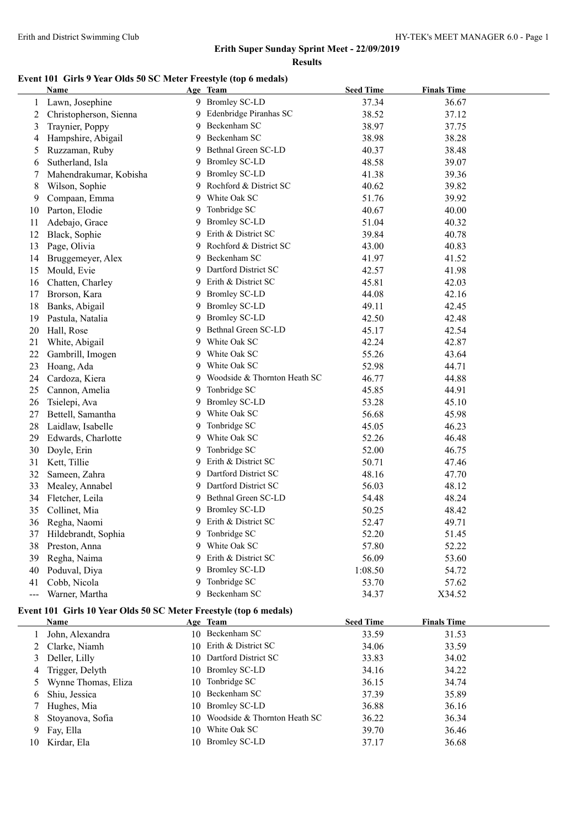#### **Erith Super Sunday Sprint Meet - 22/09/2019 Results**

#### **Event 101 Girls 9 Year Olds 50 SC Meter Freestyle (top 6 medals)**

|     | <b>Name</b>                                                       |    | Age Team                     | <b>Seed Time</b> | <b>Finals Time</b> |  |
|-----|-------------------------------------------------------------------|----|------------------------------|------------------|--------------------|--|
| 1   | Lawn, Josephine                                                   |    | 9 Bromley SC-LD              | 37.34            | 36.67              |  |
| 2   | Christopherson, Sienna                                            |    | 9 Edenbridge Piranhas SC     | 38.52            | 37.12              |  |
| 3   | Traynier, Poppy                                                   | 9  | Beckenham SC                 | 38.97            | 37.75              |  |
| 4   | Hampshire, Abigail                                                | 9  | Beckenham SC                 | 38.98            | 38.28              |  |
| 5   | Ruzzaman, Ruby                                                    | 9  | Bethnal Green SC-LD          | 40.37            | 38.48              |  |
| 6   | Sutherland, Isla                                                  | 9  | <b>Bromley SC-LD</b>         | 48.58            | 39.07              |  |
| 7   | Mahendrakumar, Kobisha                                            | 9  | <b>Bromley SC-LD</b>         | 41.38            | 39.36              |  |
| 8   | Wilson, Sophie                                                    | 9  | Rochford & District SC       | 40.62            | 39.82              |  |
| 9   | Compaan, Emma                                                     | 9  | White Oak SC                 | 51.76            | 39.92              |  |
| 10  | Parton, Elodie                                                    | 9  | Tonbridge SC                 | 40.67            | 40.00              |  |
| 11  | Adebajo, Grace                                                    | 9  | <b>Bromley SC-LD</b>         | 51.04            | 40.32              |  |
| 12  | Black, Sophie                                                     | 9  | Erith & District SC          | 39.84            | 40.78              |  |
| 13  | Page, Olivia                                                      | 9  | Rochford & District SC       | 43.00            | 40.83              |  |
| 14  | Bruggemeyer, Alex                                                 | 9  | Beckenham SC                 | 41.97            | 41.52              |  |
| 15  | Mould, Evie                                                       | 9  | Dartford District SC         | 42.57            | 41.98              |  |
| 16  | Chatten, Charley                                                  | 9. | Erith & District SC          | 45.81            | 42.03              |  |
| 17  | Brorson, Kara                                                     | 9. | <b>Bromley SC-LD</b>         | 44.08            | 42.16              |  |
| 18  | Banks, Abigail                                                    | 9. | <b>Bromley SC-LD</b>         | 49.11            | 42.45              |  |
| 19  | Pastula, Natalia                                                  | 9. | <b>Bromley SC-LD</b>         | 42.50            | 42.48              |  |
| 20  | Hall, Rose                                                        | 9  | Bethnal Green SC-LD          | 45.17            | 42.54              |  |
| 21  | White, Abigail                                                    | 9  | White Oak SC                 | 42.24            | 42.87              |  |
| 22  | Gambrill, Imogen                                                  | 9  | White Oak SC                 | 55.26            | 43.64              |  |
| 23  | Hoang, Ada                                                        | 9  | White Oak SC                 | 52.98            | 44.71              |  |
| 24  | Cardoza, Kiera                                                    | 9  | Woodside & Thornton Heath SC | 46.77            | 44.88              |  |
| 25  | Cannon, Amelia                                                    | 9  | Tonbridge SC                 | 45.85            | 44.91              |  |
| 26  | Tsielepi, Ava                                                     | 9  | <b>Bromley SC-LD</b>         | 53.28            | 45.10              |  |
| 27  | Bettell, Samantha                                                 | 9  | White Oak SC                 | 56.68            | 45.98              |  |
| 28  | Laidlaw, Isabelle                                                 | 9  | Tonbridge SC                 | 45.05            | 46.23              |  |
| 29  | Edwards, Charlotte                                                | 9  | White Oak SC                 | 52.26            | 46.48              |  |
| 30  | Doyle, Erin                                                       | 9  | Tonbridge SC                 | 52.00            | 46.75              |  |
| 31  | Kett, Tillie                                                      | 9  | Erith & District SC          | 50.71            | 47.46              |  |
| 32  | Sameen, Zahra                                                     | 9  | Dartford District SC         | 48.16            | 47.70              |  |
| 33  | Mealey, Annabel                                                   | 9. | Dartford District SC         | 56.03            | 48.12              |  |
| 34  | Fletcher, Leila                                                   | 9  | Bethnal Green SC-LD          | 54.48            | 48.24              |  |
| 35  | Collinet, Mia                                                     | 9  | <b>Bromley SC-LD</b>         | 50.25            | 48.42              |  |
| 36  | Regha, Naomi                                                      | 9  | Erith & District SC          | 52.47            | 49.71              |  |
| 37  | Hildebrandt, Sophia                                               |    | 9 Tonbridge SC               | 52.20            | 51.45              |  |
| 38  | Preston, Anna                                                     | 9  | White Oak SC                 | 57.80            | 52.22              |  |
| 39  | Regha, Naima                                                      | 9  | Erith & District SC          | 56.09            | 53.60              |  |
| 40  | Poduval, Diya                                                     | 9  | <b>Bromley SC-LD</b>         | 1:08.50          | 54.72              |  |
| 41  | Cobb, Nicola                                                      | 9  | Tonbridge SC                 | 53.70            | 57.62              |  |
| --- | Warner, Martha                                                    |    | 9 Beckenham SC               | 34.37            | X34.52             |  |
|     | Event 101 Girls 10 Year Olds 50 SC Meter Freestyle (top 6 medals) |    |                              |                  |                    |  |

|    | Name                  |    | Age Team                        | <b>Seed Time</b> | <b>Finals Time</b> |  |
|----|-----------------------|----|---------------------------------|------------------|--------------------|--|
|    | 1 John, Alexandra     |    | 10 Beckenham SC                 | 33.59            | 31.53              |  |
|    | 2 Clarke, Niamh       |    | 10 Erith & District SC          | 34.06            | 33.59              |  |
|    | 3 Deller, Lilly       |    | 10 Dartford District SC         | 33.83            | 34.02              |  |
|    | 4 Trigger, Delyth     |    | 10 Bromley SC-LD                | 34.16            | 34.22              |  |
|    | 5 Wynne Thomas, Eliza |    | 10 Tonbridge SC                 | 36.15            | 34.74              |  |
|    | 6 Shiu, Jessica       |    | 10 Beckenham SC                 | 37.39            | 35.89              |  |
|    | 7 Hughes, Mia         |    | 10 Bromley SC-LD                | 36.88            | 36.16              |  |
| 8. | Stoyanova, Sofia      |    | 10 Woodside & Thornton Heath SC | 36.22            | 36.34              |  |
|    | 9 Fay, Ella           | 10 | White Oak SC                    | 39.70            | 36.46              |  |
| 10 | Kirdar, Ela           |    | 10 Bromley SC-LD                | 37.17            | 36.68              |  |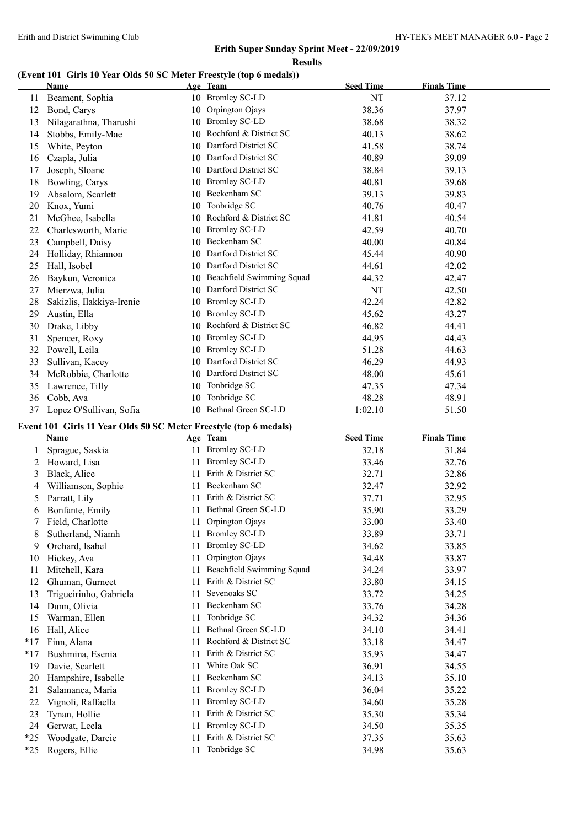#### **Results**

#### **(Event 101 Girls 10 Year Olds 50 SC Meter Freestyle (top 6 medals))**

|    | Name                                                              |     | Age Team                     | <b>Seed Time</b> | <b>Finals Time</b> |  |
|----|-------------------------------------------------------------------|-----|------------------------------|------------------|--------------------|--|
| 11 | Beament, Sophia                                                   |     | 10 Bromley SC-LD             | NT               | 37.12              |  |
| 12 | Bond, Carys                                                       |     | 10 Orpington Ojays           | 38.36            | 37.97              |  |
| 13 | Nilagarathna, Tharushi                                            |     | 10 Bromley SC-LD             | 38.68            | 38.32              |  |
| 14 | Stobbs, Emily-Mae                                                 |     | 10 Rochford & District SC    | 40.13            | 38.62              |  |
| 15 | White, Peyton                                                     |     | 10 Dartford District SC      | 41.58            | 38.74              |  |
| 16 | Czapla, Julia                                                     |     | 10 Dartford District SC      | 40.89            | 39.09              |  |
| 17 | Joseph, Sloane                                                    |     | 10 Dartford District SC      | 38.84            | 39.13              |  |
| 18 | Bowling, Carys                                                    |     | 10 Bromley SC-LD             | 40.81            | 39.68              |  |
| 19 | Absalom, Scarlett                                                 |     | 10 Beckenham SC              | 39.13            | 39.83              |  |
| 20 | Knox, Yumi                                                        | 10  | Tonbridge SC                 | 40.76            | 40.47              |  |
| 21 | McGhee, Isabella                                                  | 10. | Rochford & District SC       | 41.81            | 40.54              |  |
| 22 | Charlesworth, Marie                                               |     | 10 Bromley SC-LD             | 42.59            | 40.70              |  |
| 23 | Campbell, Daisy                                                   | 10. | Beckenham SC                 | 40.00            | 40.84              |  |
| 24 | Holliday, Rhiannon                                                |     | 10 Dartford District SC      | 45.44            | 40.90              |  |
| 25 | Hall, Isobel                                                      |     | 10 Dartford District SC      | 44.61            | 42.02              |  |
| 26 | Baykun, Veronica                                                  |     | 10 Beachfield Swimming Squad | 44.32            | 42.47              |  |
| 27 | Mierzwa, Julia                                                    |     | 10 Dartford District SC      | NT               | 42.50              |  |
| 28 | Sakizlis, Ilakkiya-Irenie                                         |     | 10 Bromley SC-LD             | 42.24            | 42.82              |  |
| 29 | Austin, Ella                                                      |     | 10 Bromley SC-LD             | 45.62            | 43.27              |  |
| 30 | Drake, Libby                                                      |     | 10 Rochford & District SC    | 46.82            | 44.41              |  |
| 31 | Spencer, Roxy                                                     | 10  | <b>Bromley SC-LD</b>         | 44.95            | 44.43              |  |
| 32 | Powell, Leila                                                     |     | 10 Bromley SC-LD             | 51.28            | 44.63              |  |
| 33 | Sullivan, Kacey                                                   |     | 10 Dartford District SC      | 46.29            | 44.93              |  |
| 34 | McRobbie, Charlotte                                               |     | 10 Dartford District SC      | 48.00            | 45.61              |  |
| 35 | Lawrence, Tilly                                                   | 10  | Tonbridge SC                 | 47.35            | 47.34              |  |
| 36 | Cobb, Ava                                                         | 10  | Tonbridge SC                 | 48.28            | 48.91              |  |
| 37 | Lopez O'Sullivan, Sofia                                           |     | 10 Bethnal Green SC-LD       | 1:02.10          | 51.50              |  |
|    | Event 101 Girls 11 Year Olds 50 SC Meter Freestyle (top 6 medals) |     |                              |                  |                    |  |
|    | Name                                                              |     | Age Team                     | <b>Seed Time</b> | <b>Finals Time</b> |  |
| 1  | Sprague, Saskia                                                   | 11  | <b>Bromley SC-LD</b>         | 32.18            | 31.84              |  |
| 2  | Howard, Lisa                                                      | 11  | <b>Bromley SC-LD</b>         | 33.46            | 32.76              |  |
| 3  | Black, Alice                                                      | 11  | Erith & District SC          | 32.71            | 32.86              |  |
| 4  | Williamson, Sophie                                                | 11  | Beckenham SC                 | 32.47            | 32.92              |  |

|       | Black, Alice           |    | Erith & District SC       | 32.71 | 32.86 |
|-------|------------------------|----|---------------------------|-------|-------|
| 4     | Williamson, Sophie     | 11 | Beckenham SC              | 32.47 | 32.92 |
| Ć.    | Parratt, Lily          | 11 | Erith & District SC       | 37.71 | 32.95 |
| 6     | Bonfante, Emily        | 11 | Bethnal Green SC-LD       | 35.90 | 33.29 |
|       | Field, Charlotte       | 11 | Orpington Ojays           | 33.00 | 33.40 |
| 8     | Sutherland, Niamh      | 11 | Bromley SC-LD             | 33.89 | 33.71 |
| 9     | Orchard, Isabel        | 11 | <b>Bromley SC-LD</b>      | 34.62 | 33.85 |
| 10    | Hickey, Ava            | 11 | Orpington Ojays           | 34.48 | 33.87 |
| 11    | Mitchell, Kara         | 11 | Beachfield Swimming Squad | 34.24 | 33.97 |
| 12    | Ghuman, Gurneet        | 11 | Erith & District SC       | 33.80 | 34.15 |
| 13    | Trigueirinho, Gabriela | 11 | Sevenoaks SC              | 33.72 | 34.25 |
| 14    | Dunn, Olivia           | 11 | Beckenham SC              | 33.76 | 34.28 |
| 15    | Warman, Ellen          | 11 | Tonbridge SC              | 34.32 | 34.36 |
| 16    | Hall, Alice            | 11 | Bethnal Green SC-LD       | 34.10 | 34.41 |
| $*17$ | Finn, Alana            | 11 | Rochford & District SC    | 33.18 | 34.47 |
| $*17$ | Bushmina, Esenia       | 11 | Erith & District SC       | 35.93 | 34.47 |
| 19    | Davie, Scarlett        | 11 | White Oak SC              | 36.91 | 34.55 |
| 20    | Hampshire, Isabelle    | 11 | Beckenham SC              | 34.13 | 35.10 |
| 21    | Salamanca, Maria       | 11 | <b>Bromley SC-LD</b>      | 36.04 | 35.22 |
| 22    | Vignoli, Raffaella     | 11 | Bromley SC-LD             | 34.60 | 35.28 |
| 23    | Tynan, Hollie          | 11 | Erith & District SC       | 35.30 | 35.34 |
| 24    | Gerwat, Leela          | 11 | <b>Bromley SC-LD</b>      | 34.50 | 35.35 |
| $*25$ | Woodgate, Darcie       | 11 | Erith & District SC       | 37.35 | 35.63 |
| $*25$ | Rogers, Ellie          | 11 | Tonbridge SC              | 34.98 | 35.63 |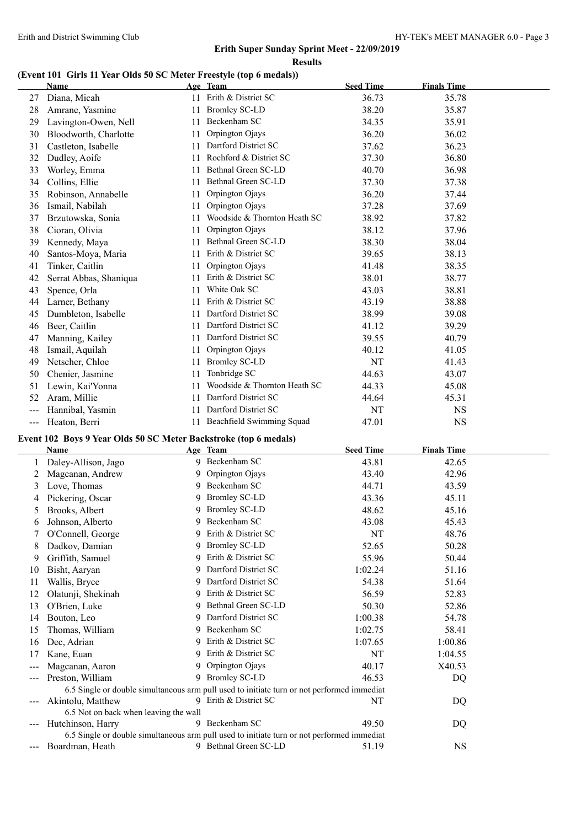#### **Results**

#### **(Event 101 Girls 11 Year Olds 50 SC Meter Freestyle (top 6 medals))**

|     | <b>Name</b>            |    | Age Team                     | <b>Seed Time</b> | <b>Finals Time</b> |  |
|-----|------------------------|----|------------------------------|------------------|--------------------|--|
| 27  | Diana, Micah           | 11 | Erith & District SC          | 36.73            | 35.78              |  |
| 28  | Amrane, Yasmine        | 11 | <b>Bromley SC-LD</b>         | 38.20            | 35.87              |  |
| 29  | Lavington-Owen, Nell   | 11 | Beckenham SC                 | 34.35            | 35.91              |  |
| 30  | Bloodworth, Charlotte  | 11 | Orpington Ojays              | 36.20            | 36.02              |  |
| 31  | Castleton, Isabelle    | 11 | Dartford District SC         | 37.62            | 36.23              |  |
| 32  | Dudley, Aoife          | 11 | Rochford & District SC       | 37.30            | 36.80              |  |
| 33  | Worley, Emma           | 11 | Bethnal Green SC-LD          | 40.70            | 36.98              |  |
| 34  | Collins, Ellie         | 11 | Bethnal Green SC-LD          | 37.30            | 37.38              |  |
| 35  | Robinson, Annabelle    | 11 | Orpington Ojays              | 36.20            | 37.44              |  |
| 36  | Ismail, Nabilah        | 11 | Orpington Ojays              | 37.28            | 37.69              |  |
| 37  | Brzutowska, Sonia      | 11 | Woodside & Thornton Heath SC | 38.92            | 37.82              |  |
| 38  | Cioran, Olivia         | 11 | Orpington Ojays              | 38.12            | 37.96              |  |
| 39  | Kennedy, Maya          | 11 | Bethnal Green SC-LD          | 38.30            | 38.04              |  |
| 40  | Santos-Moya, Maria     | 11 | Erith & District SC          | 39.65            | 38.13              |  |
| 41  | Tinker, Caitlin        | 11 | Orpington Ojays              | 41.48            | 38.35              |  |
| 42  | Serrat Abbas, Shaniqua | 11 | Erith & District SC          | 38.01            | 38.77              |  |
| 43  | Spence, Orla           | 11 | White Oak SC                 | 43.03            | 38.81              |  |
| 44  | Larner, Bethany        | 11 | Erith & District SC          | 43.19            | 38.88              |  |
| 45  | Dumbleton, Isabelle    | 11 | Dartford District SC         | 38.99            | 39.08              |  |
| 46  | Beer, Caitlin          | 11 | Dartford District SC         | 41.12            | 39.29              |  |
| 47  | Manning, Kailey        | 11 | Dartford District SC         | 39.55            | 40.79              |  |
| 48  | Ismail, Aquilah        | 11 | Orpington Ojays              | 40.12            | 41.05              |  |
| 49  | Netscher, Chloe        | 11 | <b>Bromley SC-LD</b>         | NT               | 41.43              |  |
| 50  | Chenier, Jasmine       | 11 | Tonbridge SC                 | 44.63            | 43.07              |  |
| 51  | Lewin, Kai'Yonna       | 11 | Woodside & Thornton Heath SC | 44.33            | 45.08              |  |
| 52  | Aram, Millie           | 11 | Dartford District SC         | 44.64            | 45.31              |  |
|     | Hannibal, Yasmin       | 11 | Dartford District SC         | NT               | <b>NS</b>          |  |
| --- | Heaton, Berri          | 11 | Beachfield Swimming Squad    | 47.01            | <b>NS</b>          |  |

#### **Event 102 Boys 9 Year Olds 50 SC Meter Backstroke (top 6 medals)**

|    | <b>Name</b>                                                                                |   | Age Team               | <b>Seed Time</b> | <b>Finals Time</b> |  |
|----|--------------------------------------------------------------------------------------------|---|------------------------|------------------|--------------------|--|
|    | Daley-Allison, Jago                                                                        |   | 9 Beckenham SC         | 43.81            | 42.65              |  |
|    | Magcanan, Andrew                                                                           | 9 | Orpington Ojays        | 43.40            | 42.96              |  |
| 3  | Love, Thomas                                                                               | 9 | Beckenham SC           | 44.71            | 43.59              |  |
|    | Pickering, Oscar                                                                           | 9 | <b>Bromley SC-LD</b>   | 43.36            | 45.11              |  |
| 5  | Brooks, Albert                                                                             |   | 9 Bromley SC-LD        | 48.62            | 45.16              |  |
| 6  | Johnson, Alberto                                                                           | 9 | Beckenham SC           | 43.08            | 45.43              |  |
|    | O'Connell, George                                                                          |   | 9 Erith & District SC  | NT               | 48.76              |  |
| 8  | Dadkov, Damian                                                                             |   | 9 Bromley SC-LD        | 52.65            | 50.28              |  |
| 9  | Griffith, Samuel                                                                           |   | 9 Erith & District SC  | 55.96            | 50.44              |  |
| 10 | Bisht, Aaryan                                                                              |   | 9 Dartford District SC | 1:02.24          | 51.16              |  |
| 11 | Wallis, Bryce                                                                              |   | 9 Dartford District SC | 54.38            | 51.64              |  |
| 12 | Olatunji, Shekinah                                                                         |   | 9 Erith & District SC  | 56.59            | 52.83              |  |
| 13 | O'Brien, Luke                                                                              |   | 9 Bethnal Green SC-LD  | 50.30            | 52.86              |  |
| 14 | Bouton, Leo                                                                                |   | 9 Dartford District SC | 1:00.38          | 54.78              |  |
| 15 | Thomas, William                                                                            |   | 9 Beckenham SC         | 1:02.75          | 58.41              |  |
| 16 | Dec, Adrian                                                                                |   | 9 Erith & District SC  | 1:07.65          | 1:00.86            |  |
| 17 | Kane, Euan                                                                                 |   | 9 Erith & District SC  | <b>NT</b>        | 1:04.55            |  |
|    | Magcanan, Aaron                                                                            | 9 | Orpington Ojays        | 40.17            | X40.53             |  |
|    | Preston, William                                                                           |   | 9 Bromley SC-LD        | 46.53            | DQ                 |  |
|    | 6.5 Single or double simultaneous arm pull used to initiate turn or not performed immediat |   |                        |                  |                    |  |
|    | Akintolu, Matthew                                                                          |   | 9 Erith & District SC  | NT               | DQ                 |  |
|    | 6.5 Not on back when leaving the wall                                                      |   |                        |                  |                    |  |
|    | Hutchinson, Harry                                                                          |   | 9 Beckenham SC         | 49.50            | DQ                 |  |
|    | 6.5 Single or double simultaneous arm pull used to initiate turn or not performed immediat |   |                        |                  |                    |  |
|    | Boardman, Heath                                                                            |   | 9 Bethnal Green SC-LD  | 51.19            | <b>NS</b>          |  |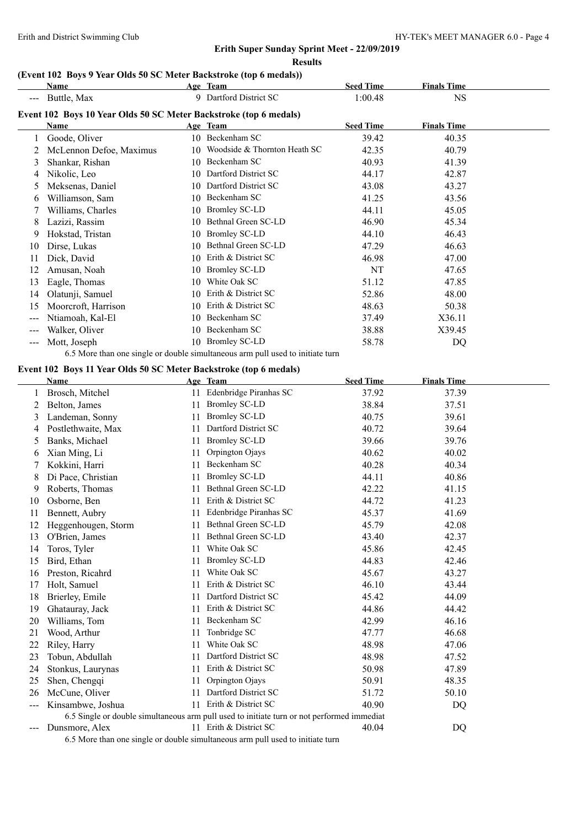$\overline{a}$ 

### **Erith Super Sunday Sprint Meet - 22/09/2019**

#### **Results**

#### **(Event 102 Boys 9 Year Olds 50 SC Meter Backstroke (top 6 medals))**

|               | <b>Name</b>                                                       |    | Age Team                     | <b>Seed Time</b> | <b>Finals Time</b> |  |
|---------------|-------------------------------------------------------------------|----|------------------------------|------------------|--------------------|--|
| $---$         | Buttle, Max                                                       |    | 9 Dartford District SC       | 1:00.48          | NS                 |  |
|               | Event 102 Boys 10 Year Olds 50 SC Meter Backstroke (top 6 medals) |    |                              |                  |                    |  |
|               | Name                                                              |    | Age Team                     | <b>Seed Time</b> | <b>Finals Time</b> |  |
|               | Goode, Oliver                                                     | 10 | Beckenham SC                 | 39.42            | 40.35              |  |
|               | McLennon Defoe, Maximus                                           | 10 | Woodside & Thornton Heath SC | 42.35            | 40.79              |  |
| 3             | Shankar, Rishan                                                   | 10 | Beckenham SC                 | 40.93            | 41.39              |  |
| 4             | Nikolic, Leo                                                      | 10 | Dartford District SC         | 44.17            | 42.87              |  |
| 5             | Meksenas, Daniel                                                  | 10 | Dartford District SC         | 43.08            | 43.27              |  |
| $\mathfrak b$ | Williamson, Sam                                                   | 10 | Beckenham SC                 | 41.25            | 43.56              |  |
|               | Williams, Charles                                                 | 10 | Bromley SC-LD                | 44.11            | 45.05              |  |
| 8             | Lazizi, Rassim                                                    | 10 | Bethnal Green SC-LD          | 46.90            | 45.34              |  |
| 9             | Hokstad, Tristan                                                  | 10 | Bromley SC-LD                | 44.10            | 46.43              |  |
| 10            | Dirse, Lukas                                                      | 10 | Bethnal Green SC-LD          | 47.29            | 46.63              |  |
| 11            | Dick, David                                                       | 10 | Erith & District SC          | 46.98            | 47.00              |  |
| 12            | Amusan, Noah                                                      | 10 | <b>Bromley SC-LD</b>         | NT               | 47.65              |  |
| 13            | Eagle, Thomas                                                     | 10 | White Oak SC                 | 51.12            | 47.85              |  |
| 14            | Olatunji, Samuel                                                  | 10 | Erith & District SC          | 52.86            | 48.00              |  |
| 15            | Moorcroft, Harrison                                               | 10 | Erith & District SC          | 48.63            | 50.38              |  |
| ---           | Ntiamoah, Kal-El                                                  | 10 | Beckenham SC                 | 37.49            | X36.11             |  |
| ---           | Walker, Oliver                                                    | 10 | Beckenham SC                 | 38.88            | X39.45             |  |
| ---           | Mott, Joseph                                                      |    | 10 Bromley SC-LD             | 58.78            | DQ                 |  |

6.5 More than one single or double simultaneous arm pull used to initiate turn

### **Event 102 Boys 11 Year Olds 50 SC Meter Backstroke (top 6 medals)**

|    | <b>Name</b>         |    | Age Team                                                                                       | <b>Seed Time</b> | <b>Finals Time</b> |
|----|---------------------|----|------------------------------------------------------------------------------------------------|------------------|--------------------|
|    | Brosch, Mitchel     | 11 | Edenbridge Piranhas SC                                                                         | 37.92            | 37.39              |
|    | Belton, James       | 11 | <b>Bromley SC-LD</b>                                                                           | 38.84            | 37.51              |
| 3  | Landeman, Sonny     | 11 | <b>Bromley SC-LD</b>                                                                           | 40.75            | 39.61              |
| 4  | Postlethwaite, Max  | 11 | Dartford District SC                                                                           | 40.72            | 39.64              |
|    | Banks, Michael      | 11 | <b>Bromley SC-LD</b>                                                                           | 39.66            | 39.76              |
| 6  | Xian Ming, Li       | 11 | Orpington Ojays                                                                                | 40.62            | 40.02              |
|    | Kokkini, Harri      | 11 | Beckenham SC                                                                                   | 40.28            | 40.34              |
| 8  | Di Pace, Christian  | 11 | <b>Bromley SC-LD</b>                                                                           | 44.11            | 40.86              |
| 9  | Roberts, Thomas     | 11 | Bethnal Green SC-LD                                                                            | 42.22            | 41.15              |
| 10 | Osborne, Ben        | 11 | Erith & District SC                                                                            | 44.72            | 41.23              |
| 11 | Bennett, Aubry      | 11 | Edenbridge Piranhas SC                                                                         | 45.37            | 41.69              |
| 12 | Heggenhougen, Storm | 11 | Bethnal Green SC-LD                                                                            | 45.79            | 42.08              |
| 13 | O'Brien, James      | 11 | Bethnal Green SC-LD                                                                            | 43.40            | 42.37              |
| 14 | Toros, Tyler        | 11 | White Oak SC                                                                                   | 45.86            | 42.45              |
| 15 | Bird, Ethan         | 11 | <b>Bromley SC-LD</b>                                                                           | 44.83            | 42.46              |
| 16 | Preston, Ricahrd    | 11 | White Oak SC                                                                                   | 45.67            | 43.27              |
| 17 | Holt, Samuel        | 11 | Erith & District SC                                                                            | 46.10            | 43.44              |
| 18 | Brierley, Emile     | 11 | Dartford District SC                                                                           | 45.42            | 44.09              |
| 19 | Ghatauray, Jack     | 11 | Erith & District SC                                                                            | 44.86            | 44.42              |
| 20 | Williams, Tom       | 11 | Beckenham SC                                                                                   | 42.99            | 46.16              |
| 21 | Wood, Arthur        | 11 | Tonbridge SC                                                                                   | 47.77            | 46.68              |
| 22 | Riley, Harry        | 11 | White Oak SC                                                                                   | 48.98            | 47.06              |
| 23 | Tobun, Abdullah     | 11 | Dartford District SC                                                                           | 48.98            | 47.52              |
| 24 | Stonkus, Laurynas   | 11 | Erith & District SC                                                                            | 50.98            | 47.89              |
| 25 | Shen, Chengqi       | 11 | Orpington Ojays                                                                                | 50.91            | 48.35              |
| 26 | McCune, Oliver      | 11 | Dartford District SC                                                                           | 51.72            | 50.10              |
|    | Kinsambwe, Joshua   |    | 11 Erith & District SC                                                                         | 40.90            | DQ                 |
|    |                     |    | 6.5 Single or double simultaneous arm pull used to initiate turn or not performed immediat     |                  |                    |
|    | Dunsmore, Alex      |    | 11 Erith & District SC                                                                         | 40.04            | DQ                 |
|    |                     |    | $\ell \in M$ and then you should you dealthy should be seen your partly seed to initiate to me |                  |                    |

6.5 More than one single or double simultaneous arm pull used to initiate turn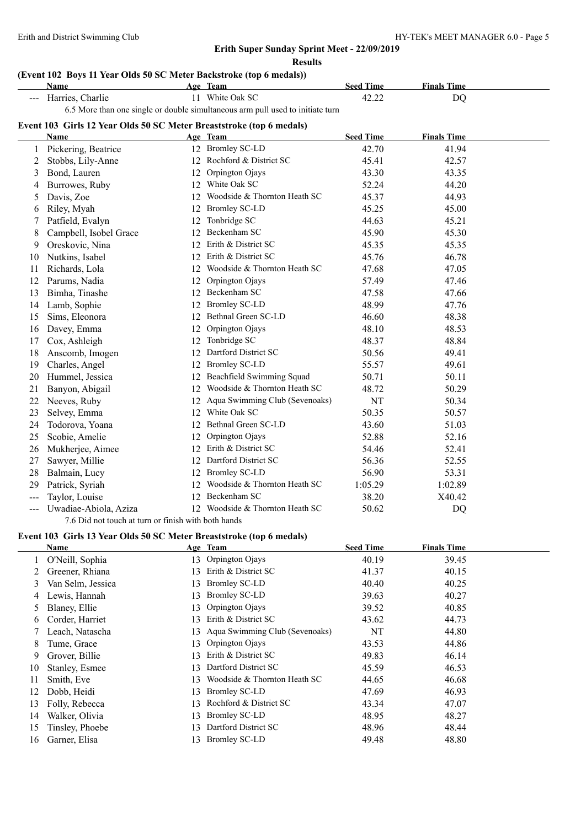**Results**

#### **(Event 102 Boys 11 Year Olds 50 SC Meter Backstroke (top 6 medals))**

|     | (Event 102 Boys 11 Year Olds 50 SC Meter Backstroke (top 6 medals))  |    |                                                                                |                  |                    |  |
|-----|----------------------------------------------------------------------|----|--------------------------------------------------------------------------------|------------------|--------------------|--|
|     | Name                                                                 |    | Age Team                                                                       | <b>Seed Time</b> | <b>Finals Time</b> |  |
|     | --- Harries, Charlie                                                 |    | 11 White Oak SC                                                                | 42.22            | <b>DQ</b>          |  |
|     |                                                                      |    | 6.5 More than one single or double simultaneous arm pull used to initiate turn |                  |                    |  |
|     | Event 103 Girls 12 Year Olds 50 SC Meter Breaststroke (top 6 medals) |    |                                                                                |                  |                    |  |
|     | Name                                                                 |    | Age Team                                                                       | <b>Seed Time</b> | <b>Finals Time</b> |  |
| 1   | Pickering, Beatrice                                                  |    | 12 Bromley SC-LD                                                               | 42.70            | 41.94              |  |
| 2   | Stobbs, Lily-Anne                                                    |    | 12 Rochford & District SC                                                      | 45.41            | 42.57              |  |
| 3   | Bond, Lauren                                                         | 12 | Orpington Ojays                                                                | 43.30            | 43.35              |  |
| 4   | Burrowes, Ruby                                                       | 12 | White Oak SC                                                                   | 52.24            | 44.20              |  |
| 5   | Davis, Zoe                                                           | 12 | Woodside & Thornton Heath SC                                                   | 45.37            | 44.93              |  |
| 6   | Riley, Myah                                                          | 12 | <b>Bromley SC-LD</b>                                                           | 45.25            | 45.00              |  |
| 7   | Patfield, Evalyn                                                     | 12 | Tonbridge SC                                                                   | 44.63            | 45.21              |  |
| 8   | Campbell, Isobel Grace                                               | 12 | Beckenham SC                                                                   | 45.90            | 45.30              |  |
| 9   | Oreskovic, Nina                                                      | 12 | Erith & District SC                                                            | 45.35            | 45.35              |  |
| 10  | Nutkins, Isabel                                                      | 12 | Erith & District SC                                                            | 45.76            | 46.78              |  |
| 11  | Richards, Lola                                                       | 12 | Woodside & Thornton Heath SC                                                   | 47.68            | 47.05              |  |
| 12  | Parums, Nadia                                                        | 12 | Orpington Ojays                                                                | 57.49            | 47.46              |  |
| 13  | Bimha, Tinashe                                                       |    | 12 Beckenham SC                                                                | 47.58            | 47.66              |  |
| 14  | Lamb, Sophie                                                         |    | 12 Bromley SC-LD                                                               | 48.99            | 47.76              |  |
| 15  | Sims, Eleonora                                                       |    | 12 Bethnal Green SC-LD                                                         | 46.60            | 48.38              |  |
| 16  | Davey, Emma                                                          | 12 | Orpington Ojays                                                                | 48.10            | 48.53              |  |
| 17  | Cox, Ashleigh                                                        | 12 | Tonbridge SC                                                                   | 48.37            | 48.84              |  |
| 18  | Anscomb, Imogen                                                      |    | 12 Dartford District SC                                                        | 50.56            | 49.41              |  |
| 19  | Charles, Angel                                                       |    | 12 Bromley SC-LD                                                               | 55.57            | 49.61              |  |
| 20  | Hummel, Jessica                                                      |    | 12 Beachfield Swimming Squad                                                   | 50.71            | 50.11              |  |
| 21  | Banyon, Abigail                                                      |    | 12 Woodside & Thornton Heath SC                                                | 48.72            | 50.29              |  |
| 22  | Neeves, Ruby                                                         |    | 12 Aqua Swimming Club (Sevenoaks)                                              | NT               | 50.34              |  |
| 23  | Selvey, Emma                                                         |    | 12 White Oak SC                                                                | 50.35            | 50.57              |  |
| 24  | Todorova, Yoana                                                      |    | 12 Bethnal Green SC-LD                                                         | 43.60            | 51.03              |  |
| 25  | Scobie, Amelie                                                       | 12 | Orpington Ojays                                                                | 52.88            | 52.16              |  |
| 26  | Mukherjee, Aimee                                                     |    | 12 Erith & District SC                                                         | 54.46            | 52.41              |  |
| 27  | Sawyer, Millie                                                       |    | 12 Dartford District SC                                                        | 56.36            | 52.55              |  |
| 28  | Balmain, Lucy                                                        |    | 12 Bromley SC-LD                                                               | 56.90            | 53.31              |  |
| 29  | Patrick, Syriah                                                      |    | 12 Woodside & Thornton Heath SC                                                | 1:05.29          | 1:02.89            |  |
| --- | Taylor, Louise                                                       |    | 12 Beckenham SC                                                                | 38.20            | X40.42             |  |
| --- | Uwadiae-Abiola, Aziza                                                |    | 12 Woodside & Thornton Heath SC                                                | 50.62            | DQ                 |  |

7.6 Did not touch at turn or finish with both hands

#### **Event 103 Girls 13 Year Olds 50 SC Meter Breaststroke (top 6 medals)**

| Name              |     |                                | <b>Seed Time</b>                                                                 | <b>Finals Time</b> |
|-------------------|-----|--------------------------------|----------------------------------------------------------------------------------|--------------------|
| O'Neill, Sophia   | 13  |                                | 40.19                                                                            | 39.45              |
| Greener, Rhiana   | 13  | Erith & District SC            | 41.37                                                                            | 40.15              |
| Van Selm, Jessica | 13  |                                | 40.40                                                                            | 40.25              |
| Lewis, Hannah     | 13. |                                | 39.63                                                                            | 40.27              |
| Blaney, Ellie     | 13  |                                | 39.52                                                                            | 40.85              |
| Corder, Harriet   | 13  | Erith & District SC            | 43.62                                                                            | 44.73              |
| Leach, Natascha   | 13  | Aqua Swimming Club (Sevenoaks) | NT                                                                               | 44.80              |
| Tume, Grace       | 13. | Orpington Ojays                | 43.53                                                                            | 44.86              |
| Grover, Billie    | 13  | Erith & District SC            | 49.83                                                                            | 46.14              |
| Stanley, Esmee    | 13  | Dartford District SC           | 45.59                                                                            | 46.53              |
| Smith, Eve        | 13  | Woodside & Thornton Heath SC   | 44.65                                                                            | 46.68              |
| Dobb, Heidi       | 13  | <b>Bromley SC-LD</b>           | 47.69                                                                            | 46.93              |
| Folly, Rebecca    | 13  | Rochford & District SC         | 43.34                                                                            | 47.07              |
| Walker, Olivia    | 13  | Bromley SC-LD                  | 48.95                                                                            | 48.27              |
| Tinsley, Phoebe   | 13  | Dartford District SC           | 48.96                                                                            | 48.44              |
| Garner, Elisa     | 13  | <b>Bromley SC-LD</b>           | 49.48                                                                            | 48.80              |
|                   |     |                                | Age Team<br>Orpington Ojays<br>Bromley SC-LD<br>Bromley SC-LD<br>Orpington Ojays |                    |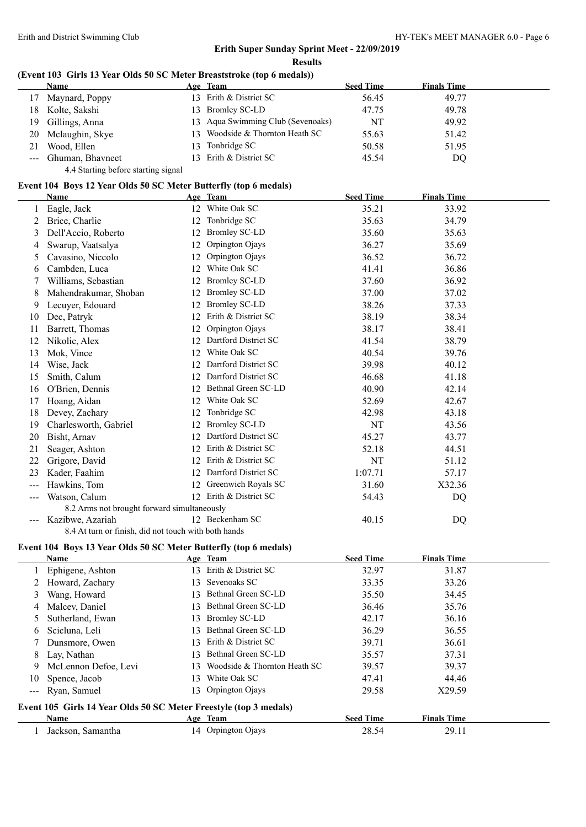### Erith and District Swimming Club HY-TEK's MEET MANAGER 6.0 - Page 6

**Erith Super Sunday Sprint Meet - 22/09/2019 Results**

#### **(Event 103 Girls 13 Year Olds 50 SC Meter Breaststroke (top 6 medals))**

|     | <b>Name</b>                         |     | Age Team                          | <b>Seed Time</b> | <b>Finals Time</b> |  |
|-----|-------------------------------------|-----|-----------------------------------|------------------|--------------------|--|
|     | Maynard, Poppy                      |     | 13 Erith & District SC            | 56.45            | 49.77              |  |
| 18. | Kolte, Sakshi                       |     | 13 Bromley SC-LD                  | 47.75            | 49.78              |  |
| 19. | Gillings, Anna                      |     | 13 Aqua Swimming Club (Sevenoaks) | NT               | 49.92              |  |
|     | 20 Mclaughin, Skye                  | 13  | Woodside & Thornton Heath SC      | 55.63            | 51.42              |  |
| 21  | Wood, Ellen                         | 13. | Tonbridge SC                      | 50.58            | 51.95              |  |
|     | Ghuman, Bhavneet                    |     | 13 Erith & District SC            | 45.54            | DO                 |  |
|     | 4.4 Starting before starting signal |     |                                   |                  |                    |  |

#### **Event 104 Boys 12 Year Olds 50 SC Meter Butterfly (top 6 medals)**

|                     | Name                                                 |    | Age Team               | <b>Seed Time</b> | <b>Finals Time</b> |  |
|---------------------|------------------------------------------------------|----|------------------------|------------------|--------------------|--|
|                     | Eagle, Jack                                          | 12 | White Oak SC           | 35.21            | 33.92              |  |
| 2                   | Brice, Charlie                                       | 12 | Tonbridge SC           | 35.63            | 34.79              |  |
| 3                   | Dell'Accio, Roberto                                  | 12 | <b>Bromley SC-LD</b>   | 35.60            | 35.63              |  |
| 4                   | Swarup, Vaatsalya                                    | 12 | Orpington Ojays        | 36.27            | 35.69              |  |
| 5                   | Cavasino, Niccolo                                    | 12 | Orpington Ojays        | 36.52            | 36.72              |  |
| 6                   | Cambden, Luca                                        | 12 | White Oak SC           | 41.41            | 36.86              |  |
| 7                   | Williams, Sebastian                                  | 12 | <b>Bromley SC-LD</b>   | 37.60            | 36.92              |  |
| 8                   | Mahendrakumar, Shoban                                | 12 | <b>Bromley SC-LD</b>   | 37.00            | 37.02              |  |
| 9                   | Lecuyer, Edouard                                     | 12 | <b>Bromley SC-LD</b>   | 38.26            | 37.33              |  |
| 10                  | Dec, Patryk                                          | 12 | Erith & District SC    | 38.19            | 38.34              |  |
| 11                  | Barrett, Thomas                                      | 12 | Orpington Ojays        | 38.17            | 38.41              |  |
| 12                  | Nikolic, Alex                                        | 12 | Dartford District SC   | 41.54            | 38.79              |  |
| 13                  | Mok, Vince                                           | 12 | White Oak SC           | 40.54            | 39.76              |  |
| 14                  | Wise, Jack                                           | 12 | Dartford District SC   | 39.98            | 40.12              |  |
| 15                  | Smith, Calum                                         | 12 | Dartford District SC   | 46.68            | 41.18              |  |
| 16                  | O'Brien, Dennis                                      | 12 | Bethnal Green SC-LD    | 40.90            | 42.14              |  |
| 17                  | Hoang, Aidan                                         | 12 | White Oak SC           | 52.69            | 42.67              |  |
| 18                  | Devey, Zachary                                       | 12 | Tonbridge SC           | 42.98            | 43.18              |  |
| 19                  | Charlesworth, Gabriel                                | 12 | <b>Bromley SC-LD</b>   | NT               | 43.56              |  |
| 20                  | Bisht, Arnav                                         | 12 | Dartford District SC   | 45.27            | 43.77              |  |
| 21                  | Seager, Ashton                                       | 12 | Erith & District SC    | 52.18            | 44.51              |  |
| 22                  | Grigore, David                                       | 12 | Erith & District SC    | NT               | 51.12              |  |
| 23                  | Kader, Faahim                                        | 12 | Dartford District SC   | 1:07.71          | 57.17              |  |
| $---$               | Hawkins, Tom                                         | 12 | Greenwich Royals SC    | 31.60            | X32.36             |  |
| $\qquad \qquad -$   | Watson, Calum                                        |    | 12 Erith & District SC | 54.43            | DQ                 |  |
|                     | 8.2 Arms not brought forward simultaneously          |    |                        |                  |                    |  |
| $\qquad \qquad - -$ | Kazibwe, Azariah                                     |    | 12 Beckenham SC        | 40.15            | DQ                 |  |
|                     | 8.4 At turn or finish, did not touch with both hands |    |                        |                  |                    |  |

### **Event 104 Boys 13 Year Olds 50 SC Meter Butterfly (top 6 medals)**

|    | <b>Name</b>                                                       |     | Age Team                     | <b>Seed Time</b> | <b>Finals Time</b> |  |  |
|----|-------------------------------------------------------------------|-----|------------------------------|------------------|--------------------|--|--|
|    | Ephigene, Ashton                                                  |     | 13 Erith & District SC       | 32.97            | 31.87              |  |  |
|    | Howard, Zachary                                                   | 13  | Sevenoaks SC                 | 33.35            | 33.26              |  |  |
|    | Wang, Howard                                                      | 13  | Bethnal Green SC-LD          | 35.50            | 34.45              |  |  |
| 4  | Malcev, Daniel                                                    | 13  | Bethnal Green SC-LD          | 36.46            | 35.76              |  |  |
|    | Sutherland, Ewan                                                  | 13  | <b>Bromley SC-LD</b>         | 42.17            | 36.16              |  |  |
| 6  | Scicluna, Leli                                                    | 13  | Bethnal Green SC-LD          | 36.29            | 36.55              |  |  |
|    | Dunsmore, Owen                                                    | 13. | Erith & District SC          | 39.71            | 36.61              |  |  |
| 8  | Lay, Nathan                                                       | 13  | Bethnal Green SC-LD          | 35.57            | 37.31              |  |  |
| 9  | McLennon Defoe, Levi                                              |     | Woodside & Thornton Heath SC | 39.57            | 39.37              |  |  |
| 10 | Spence, Jacob                                                     | 13  | White Oak SC                 | 47.41            | 44.46              |  |  |
|    | --- Ryan, Samuel                                                  | 13. | Orpington Ojays              | 29.58            | X29.59             |  |  |
|    | Event 105 Girls 14 Year Olds 50 SC Meter Freestyle (top 3 medals) |     |                              |                  |                    |  |  |
|    | Name                                                              |     | Age Team                     | <b>Seed Time</b> | <b>Finals Time</b> |  |  |

| <sup>1</sup> Jackson, Samantha | 14 Orpington Ojays | 28.54 | 29.11 |
|--------------------------------|--------------------|-------|-------|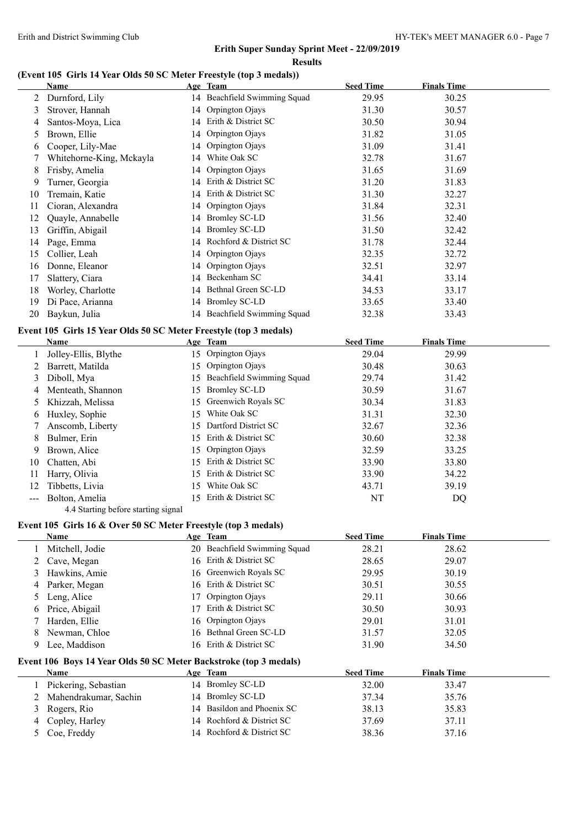**Results**

### **(Event 105 Girls 14 Year Olds 50 SC Meter Freestyle (top 3 medals))**

|    | Name                     |    | Age Team                     | <b>Seed Time</b> | <b>Finals Time</b> |  |
|----|--------------------------|----|------------------------------|------------------|--------------------|--|
|    | Durnford, Lily           |    | 14 Beachfield Swimming Squad | 29.95            | 30.25              |  |
| 3  | Strover, Hannah          |    | 14 Orpington Ojays           | 31.30            | 30.57              |  |
| 4  | Santos-Moya, Lica        | 14 | Erith & District SC          | 30.50            | 30.94              |  |
| 5  | Brown, Ellie             |    | 14 Orpington Ojays           | 31.82            | 31.05              |  |
| 6  | Cooper, Lily-Mae         | 14 | Orpington Ojays              | 31.09            | 31.41              |  |
|    | Whitehorne-King, Mckayla | 14 | White Oak SC                 | 32.78            | 31.67              |  |
| 8  | Frisby, Amelia           |    | 14 Orpington Ojays           | 31.65            | 31.69              |  |
| 9  | Turner, Georgia          | 14 | Erith & District SC          | 31.20            | 31.83              |  |
| 10 | Tremain, Katie           | 14 | Erith & District SC          | 31.30            | 32.27              |  |
| 11 | Cioran, Alexandra        |    | 14 Orpington Ojays           | 31.84            | 32.31              |  |
| 12 | Quayle, Annabelle        |    | 14 Bromley SC-LD             | 31.56            | 32.40              |  |
| 13 | Griffin, Abigail         | 14 | <b>Bromley SC-LD</b>         | 31.50            | 32.42              |  |
| 14 | Page, Emma               | 14 | Rochford & District SC       | 31.78            | 32.44              |  |
| 15 | Collier, Leah            |    | 14 Orpington Ojays           | 32.35            | 32.72              |  |
| 16 | Donne, Eleanor           |    | 14 Orpington Ojays           | 32.51            | 32.97              |  |
| 17 | Slattery, Ciara          | 14 | Beckenham SC                 | 34.41            | 33.14              |  |
| 18 | Worley, Charlotte        | 14 | Bethnal Green SC-LD          | 34.53            | 33.17              |  |
| 19 | Di Pace, Arianna         |    | 14 Bromley SC-LD             | 33.65            | 33.40              |  |
| 20 | Baykun, Julia            |    | 14 Beachfield Swimming Squad | 32.38            | 33.43              |  |

### **Event 105 Girls 15 Year Olds 50 SC Meter Freestyle (top 3 medals)**

|    | Name                 |     | Age Team                  | <b>Seed Time</b> | <b>Finals Time</b> |
|----|----------------------|-----|---------------------------|------------------|--------------------|
|    | Jolley-Ellis, Blythe |     | 15 Orpington Ojays        | 29.04            | 29.99              |
|    | Barrett, Matilda     |     | 15 Orpington Ojays        | 30.48            | 30.63              |
| 3  | Diboll, Mya          | 15. | Beachfield Swimming Squad | 29.74            | 31.42              |
| 4  | Menteath, Shannon    |     | 15 Bromley SC-LD          | 30.59            | 31.67              |
| 5  | Khizzah, Melissa     |     | 15 Greenwich Royals SC    | 30.34            | 31.83              |
| 6  | Huxley, Sophie       | 15. | White Oak SC              | 31.31            | 32.30              |
|    | Anscomb, Liberty     |     | 15 Dartford District SC   | 32.67            | 32.36              |
| 8  | Bulmer, Erin         |     | 15 Erith & District SC    | 30.60            | 32.38              |
| 9  | Brown, Alice         |     | 15 Orpington Ojays        | 32.59            | 33.25              |
| 10 | Chatten, Abi         | 15. | Erith & District SC       | 33.90            | 33.80              |
| 11 | Harry, Olivia        | 15. | Erith & District SC       | 33.90            | 34.22              |
| 12 | Tibbetts, Livia      | 15. | White Oak SC              | 43.71            | 39.19              |
|    | Bolton, Amelia       | 15. | Erith & District SC       | NT               | DQ                 |

4.4 Starting before starting signal

### **Event 105 Girls 16 & Over 50 SC Meter Freestyle (top 3 medals)**

|    | Name             | Age Team                     | <b>Seed Time</b> | <b>Finals Time</b> |
|----|------------------|------------------------------|------------------|--------------------|
|    | Mitchell, Jodie  | 20 Beachfield Swimming Squad | 28.21            | 28.62              |
|    | 2 Cave, Megan    | 16 Erith & District SC       | 28.65            | 29.07              |
|    | Hawkins, Amie    | 16 Greenwich Royals SC       | 29.95            | 30.19              |
| 4  | Parker, Megan    | 16 Erith & District SC       | 30.51            | 30.55              |
|    | 5 Leng, Alice    | 17 Orpington Ojays           | 29.11            | 30.66              |
|    | 6 Price, Abigail | 17 Erith & District SC       | 30.50            | 30.93              |
|    | Harden, Ellie    | 16 Orpington Ojays           | 29.01            | 31.01              |
| 8. | Newman, Chloe    | 16 Bethnal Green SC-LD       | 31.57            | 32.05              |
|    | Lee, Maddison    | 16 Erith & District SC       | 31.90            | 34.50              |

### **Event 106 Boys 14 Year Olds 50 SC Meter Backstroke (top 3 medals)**

|   | Name                    | Age Team                   | <b>Seed Time</b> | <b>Finals Time</b> |
|---|-------------------------|----------------------------|------------------|--------------------|
|   | Pickering, Sebastian    | 14 Bromley SC-LD           | 32.00            | 33.47              |
|   | 2 Mahendrakumar, Sachin | 14 Bromley SC-LD           | 37.34            | 35.76              |
| 3 | Rogers, Rio             | 14 Basildon and Phoenix SC | 38.13            | 35.83              |
|   | 4 Copley, Harley        | 14 Rochford & District SC  | 37.69            | 37.11              |
|   | 5 Coe, Freddy           | 14 Rochford & District SC  | 38.36            | 37.16              |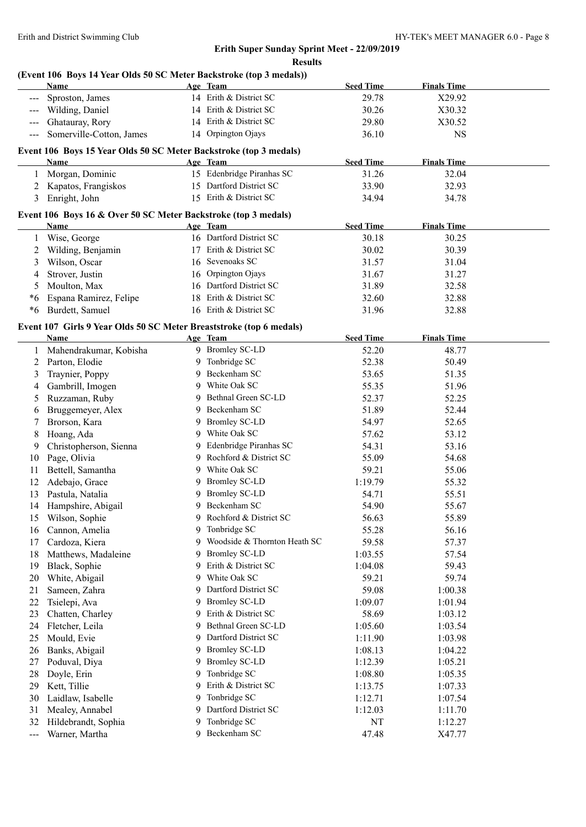**Results**

#### **(Event 106 Boys 14 Year Olds 50 SC Meter Backstroke (top 3 medals))**

|                   | <b>Name</b>                                                               |    | Age Team                     | <b>Seed Time</b> | <b>Finals Time</b> |  |
|-------------------|---------------------------------------------------------------------------|----|------------------------------|------------------|--------------------|--|
|                   | Sproston, James                                                           |    | 14 Erith & District SC       | 29.78            | X29.92             |  |
|                   | Wilding, Daniel                                                           |    | 14 Erith & District SC       | 30.26            | X30.32             |  |
|                   | Ghatauray, Rory                                                           |    | 14 Erith & District SC       | 29.80            | X30.52             |  |
|                   | Somerville-Cotton, James                                                  |    | 14 Orpington Ojays           | 36.10            | <b>NS</b>          |  |
|                   |                                                                           |    |                              |                  |                    |  |
|                   | Event 106 Boys 15 Year Olds 50 SC Meter Backstroke (top 3 medals)<br>Name |    | Age Team                     | <b>Seed Time</b> | <b>Finals Time</b> |  |
|                   | Morgan, Dominic                                                           |    | 15 Edenbridge Piranhas SC    | 31.26            | 32.04              |  |
| 1                 |                                                                           |    | 15 Dartford District SC      | 33.90            |                    |  |
|                   | Kapatos, Frangiskos                                                       |    | 15 Erith & District SC       | 34.94            | 32.93              |  |
| 3                 | Enright, John                                                             |    |                              |                  | 34.78              |  |
|                   | Event 106 Boys 16 & Over 50 SC Meter Backstroke (top 3 medals)            |    |                              |                  |                    |  |
|                   | <b>Name</b>                                                               |    | Age Team                     | <b>Seed Time</b> | <b>Finals Time</b> |  |
| 1                 | Wise, George                                                              |    | 16 Dartford District SC      | 30.18            | 30.25              |  |
| 2                 | Wilding, Benjamin                                                         |    | 17 Erith & District SC       | 30.02            | 30.39              |  |
| 3                 | Wilson, Oscar                                                             |    | 16 Sevenoaks SC              | 31.57            | 31.04              |  |
| 4                 | Strover, Justin                                                           | 16 | Orpington Ojays              | 31.67            | 31.27              |  |
| 5                 | Moulton, Max                                                              |    | 16 Dartford District SC      | 31.89            | 32.58              |  |
| *6                | Espana Ramirez, Felipe                                                    | 18 | Erith & District SC          | 32.60            | 32.88              |  |
| $*6$              | Burdett, Samuel                                                           |    | 16 Erith & District SC       | 31.96            | 32.88              |  |
|                   | Event 107 Girls 9 Year Olds 50 SC Meter Breaststroke (top 6 medals)       |    |                              |                  |                    |  |
|                   | <b>Name</b>                                                               |    |                              | <b>Seed Time</b> | <b>Finals Time</b> |  |
| 1                 | Mahendrakumar, Kobisha                                                    |    | Age Team<br>9 Bromley SC-LD  | 52.20            | 48.77              |  |
| 2                 | Parton, Elodie                                                            |    | 9 Tonbridge SC               | 52.38            | 50.49              |  |
|                   |                                                                           | 9  | Beckenham SC                 |                  |                    |  |
| 3                 | Traynier, Poppy                                                           |    | 9 White Oak SC               | 53.65            | 51.35              |  |
| 4                 | Gambrill, Imogen                                                          |    |                              | 55.35            | 51.96              |  |
| 5                 | Ruzzaman, Ruby                                                            | 9  | Bethnal Green SC-LD          | 52.37            | 52.25              |  |
| 6                 | Bruggemeyer, Alex                                                         | 9  | Beckenham SC                 | 51.89            | 52.44              |  |
| 7                 | Brorson, Kara                                                             | 9. | <b>Bromley SC-LD</b>         | 54.97            | 52.65              |  |
| 8                 | Hoang, Ada                                                                | 9  | White Oak SC                 | 57.62            | 53.12              |  |
| 9                 | Christopherson, Sienna                                                    |    | 9 Edenbridge Piranhas SC     | 54.31            | 53.16              |  |
| 10                | Page, Olivia                                                              | 9  | Rochford & District SC       | 55.09            | 54.68              |  |
| 11                | Bettell, Samantha                                                         | 9  | White Oak SC                 | 59.21            | 55.06              |  |
| 12                | Adebajo, Grace                                                            | 9  | <b>Bromley SC-LD</b>         | 1:19.79          | 55.32              |  |
| 13                | Pastula, Natalia                                                          | 9  | <b>Bromley SC-LD</b>         | 54.71            | 55.51              |  |
| 14                | Hampshire, Abigail                                                        |    | Beckenham SC                 | 54.90            | 55.67              |  |
| 15                | Wilson, Sophie                                                            | 9  | Rochford & District SC       | 56.63            | 55.89              |  |
| 16                | Cannon, Amelia                                                            | 9  | Tonbridge SC                 | 55.28            | 56.16              |  |
| 17                | Cardoza, Kiera                                                            | 9  | Woodside & Thornton Heath SC | 59.58            | 57.37              |  |
| 18                | Matthews, Madaleine                                                       | 9  | <b>Bromley SC-LD</b>         | 1:03.55          | 57.54              |  |
| 19                | Black, Sophie                                                             | 9  | Erith & District SC          | 1:04.08          | 59.43              |  |
| 20                | White, Abigail                                                            | 9  | White Oak SC                 | 59.21            | 59.74              |  |
| 21                | Sameen, Zahra                                                             | 9  | Dartford District SC         | 59.08            | 1:00.38            |  |
| 22                | Tsielepi, Ava                                                             | 9  | <b>Bromley SC-LD</b>         | 1:09.07          | 1:01.94            |  |
| 23                | Chatten, Charley                                                          | 9  | Erith & District SC          | 58.69            | 1:03.12            |  |
| 24                | Fletcher, Leila                                                           | 9  | Bethnal Green SC-LD          | 1:05.60          | 1:03.54            |  |
| 25                | Mould, Evie                                                               | 9  | Dartford District SC         | 1:11.90          | 1:03.98            |  |
| 26                | Banks, Abigail                                                            | 9  | <b>Bromley SC-LD</b>         | 1:08.13          | 1:04.22            |  |
| 27                | Poduval, Diya                                                             | 9  | <b>Bromley SC-LD</b>         | 1:12.39          | 1:05.21            |  |
| 28                | Doyle, Erin                                                               | 9  | Tonbridge SC                 | 1:08.80          | 1:05.35            |  |
| 29                | Kett, Tillie                                                              | 9  | Erith & District SC          | 1:13.75          | 1:07.33            |  |
| 30                | Laidlaw, Isabelle                                                         | 9  | Tonbridge SC                 | 1:12.71          | 1:07.54            |  |
| 31                | Mealey, Annabel                                                           | 9  | Dartford District SC         | 1:12.03          | 1:11.70            |  |
| 32                | Hildebrandt, Sophia                                                       | 9  | Tonbridge SC                 | NT               | 1:12.27            |  |
| $\qquad \qquad -$ | Warner, Martha                                                            | 9  | Beckenham SC                 | 47.48            | X47.77             |  |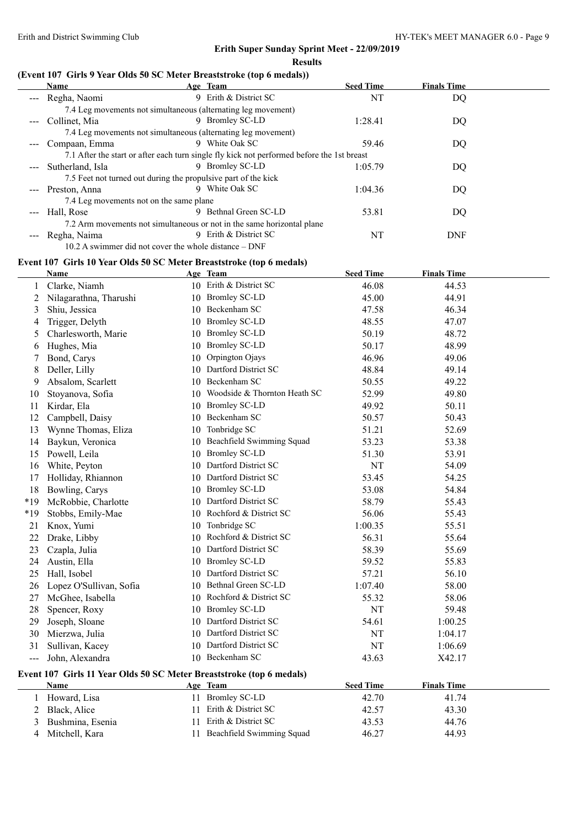l.

# **Erith Super Sunday Sprint Meet - 22/09/2019**

#### **Results**

### **(Event 107 Girls 9 Year Olds 50 SC Meter Breaststroke (top 6 medals))**

|                                                                                                                                                                                                                                                                                                                                                                                              | <b>Name</b>                                                    | Age Team                                                                                   | <b>Seed Time</b> | <b>Finals Time</b> |
|----------------------------------------------------------------------------------------------------------------------------------------------------------------------------------------------------------------------------------------------------------------------------------------------------------------------------------------------------------------------------------------------|----------------------------------------------------------------|--------------------------------------------------------------------------------------------|------------------|--------------------|
|                                                                                                                                                                                                                                                                                                                                                                                              | --- Regha, Naomi                                               | 9 Erith & District SC                                                                      | NT               | DQ                 |
|                                                                                                                                                                                                                                                                                                                                                                                              | 7.4 Leg movements not simultaneous (alternating leg movement)  |                                                                                            |                  |                    |
|                                                                                                                                                                                                                                                                                                                                                                                              | --- Collinet, Mia                                              | 9 Bromley SC-LD                                                                            | 1:28.41          | DQ                 |
|                                                                                                                                                                                                                                                                                                                                                                                              | 7.4 Leg movements not simultaneous (alternating leg movement)  |                                                                                            |                  |                    |
|                                                                                                                                                                                                                                                                                                                                                                                              | Compaan, Emma                                                  | White Oak SC<br>9                                                                          | 59.46            | DQ                 |
|                                                                                                                                                                                                                                                                                                                                                                                              |                                                                | 7.1 After the start or after each turn single fly kick not performed before the 1st breast |                  |                    |
|                                                                                                                                                                                                                                                                                                                                                                                              | Sutherland, Isla                                               | 9 Bromley SC-LD                                                                            | 1:05.79          | DQ                 |
|                                                                                                                                                                                                                                                                                                                                                                                              | 7.5 Feet not turned out during the propulsive part of the kick |                                                                                            |                  |                    |
|                                                                                                                                                                                                                                                                                                                                                                                              | --- Preston, Anna                                              | White Oak SC<br>9                                                                          | 1:04.36          | DQ                 |
|                                                                                                                                                                                                                                                                                                                                                                                              | 7.4 Leg movements not on the same plane                        |                                                                                            |                  |                    |
| $\frac{1}{2} \frac{1}{2} \frac{1}{2} \frac{1}{2} \frac{1}{2} \frac{1}{2} \frac{1}{2} \frac{1}{2} \frac{1}{2} \frac{1}{2} \frac{1}{2} \frac{1}{2} \frac{1}{2} \frac{1}{2} \frac{1}{2} \frac{1}{2} \frac{1}{2} \frac{1}{2} \frac{1}{2} \frac{1}{2} \frac{1}{2} \frac{1}{2} \frac{1}{2} \frac{1}{2} \frac{1}{2} \frac{1}{2} \frac{1}{2} \frac{1}{2} \frac{1}{2} \frac{1}{2} \frac{1}{2} \frac{$ | Hall, Rose                                                     | Bethnal Green SC-LD<br>9                                                                   | 53.81            | DQ                 |
|                                                                                                                                                                                                                                                                                                                                                                                              |                                                                | 7.2 Arm movements not simultaneous or not in the same horizontal plane                     |                  |                    |
|                                                                                                                                                                                                                                                                                                                                                                                              | --- Regha, Naima                                               | Erith & District SC<br>9                                                                   | NT               | <b>DNF</b>         |
|                                                                                                                                                                                                                                                                                                                                                                                              | $10.2$ A swimmer did not cover the whole distance $-$ DNF      |                                                                                            |                  |                    |

#### **Event 107 Girls 10 Year Olds 50 SC Meter Breaststroke (top 6 medals)**

|       | <b>Name</b>                                                          |    | Age Team                        | <b>Seed Time</b> | <b>Finals Time</b> |  |
|-------|----------------------------------------------------------------------|----|---------------------------------|------------------|--------------------|--|
| 1     | Clarke, Niamh                                                        |    | 10 Erith & District SC          | 46.08            | 44.53              |  |
| 2     | Nilagarathna, Tharushi                                               |    | 10 Bromley SC-LD                | 45.00            | 44.91              |  |
| 3     | Shiu, Jessica                                                        |    | 10 Beckenham SC                 | 47.58            | 46.34              |  |
| 4     | Trigger, Delyth                                                      |    | 10 Bromley SC-LD                | 48.55            | 47.07              |  |
| 5     | Charlesworth, Marie                                                  |    | 10 Bromley SC-LD                | 50.19            | 48.72              |  |
| 6     | Hughes, Mia                                                          |    | 10 Bromley SC-LD                | 50.17            | 48.99              |  |
| 7     | Bond, Carys                                                          |    | 10 Orpington Ojays              | 46.96            | 49.06              |  |
| 8     | Deller, Lilly                                                        |    | 10 Dartford District SC         | 48.84            | 49.14              |  |
| 9     | Absalom, Scarlett                                                    |    | 10 Beckenham SC                 | 50.55            | 49.22              |  |
| 10    | Stoyanova, Sofia                                                     |    | 10 Woodside & Thornton Heath SC | 52.99            | 49.80              |  |
| 11    | Kirdar, Ela                                                          |    | 10 Bromley SC-LD                | 49.92            | 50.11              |  |
| 12    | Campbell, Daisy                                                      |    | 10 Beckenham SC                 | 50.57            | 50.43              |  |
| 13    | Wynne Thomas, Eliza                                                  |    | 10 Tonbridge SC                 | 51.21            | 52.69              |  |
| 14    | Baykun, Veronica                                                     |    | 10 Beachfield Swimming Squad    | 53.23            | 53.38              |  |
| 15    | Powell, Leila                                                        |    | 10 Bromley SC-LD                | 51.30            | 53.91              |  |
| 16    | White, Peyton                                                        |    | 10 Dartford District SC         | NT               | 54.09              |  |
| 17    | Holliday, Rhiannon                                                   | 10 | Dartford District SC            | 53.45            | 54.25              |  |
| 18    | Bowling, Carys                                                       |    | 10 Bromley SC-LD                | 53.08            | 54.84              |  |
| *19   | McRobbie, Charlotte                                                  |    | 10 Dartford District SC         | 58.79            | 55.43              |  |
| $*19$ | Stobbs, Emily-Mae                                                    |    | 10 Rochford & District SC       | 56.06            | 55.43              |  |
| 21    | Knox, Yumi                                                           |    | 10 Tonbridge SC                 | 1:00.35          | 55.51              |  |
| 22    | Drake, Libby                                                         |    | 10 Rochford & District SC       | 56.31            | 55.64              |  |
| 23    | Czapla, Julia                                                        |    | 10 Dartford District SC         | 58.39            | 55.69              |  |
| 24    | Austin, Ella                                                         |    | 10 Bromley SC-LD                | 59.52            | 55.83              |  |
| 25    | Hall, Isobel                                                         |    | 10 Dartford District SC         | 57.21            | 56.10              |  |
| 26    | Lopez O'Sullivan, Sofia                                              |    | 10 Bethnal Green SC-LD          | 1:07.40          | 58.00              |  |
| 27    | McGhee, Isabella                                                     |    | 10 Rochford & District SC       | 55.32            | 58.06              |  |
| 28    | Spencer, Roxy                                                        |    | 10 Bromley SC-LD                | NT               | 59.48              |  |
| 29    | Joseph, Sloane                                                       |    | 10 Dartford District SC         | 54.61            | 1:00.25            |  |
| 30    | Mierzwa, Julia                                                       |    | 10 Dartford District SC         | NT               | 1:04.17            |  |
| 31    | Sullivan, Kacey                                                      |    | 10 Dartford District SC         | NT               | 1:06.69            |  |
| $---$ | John, Alexandra                                                      |    | 10 Beckenham SC                 | 43.63            | X42.17             |  |
|       | Event 107 Girls 11 Year Olds 50 SC Meter Breaststroke (top 6 medals) |    |                                 |                  |                    |  |
|       | <b>Name</b>                                                          |    | Age Team                        | <b>Seed Time</b> | <b>Finals Time</b> |  |
|       | 1 Howard, Lisa                                                       |    | 11 Bromley SC-LD                | 42.70            | 41.74              |  |
| 2     | Black, Alice                                                         |    | 11 Erith & District SC          | 42.57            | 43.30              |  |
| 3     | Bushmina, Esenia                                                     |    | 11 Erith & District SC          | 43.53            | 44.76              |  |
| 4     | Mitchell, Kara                                                       |    | 11 Beachfield Swimming Squad    | 46.27            | 44.93              |  |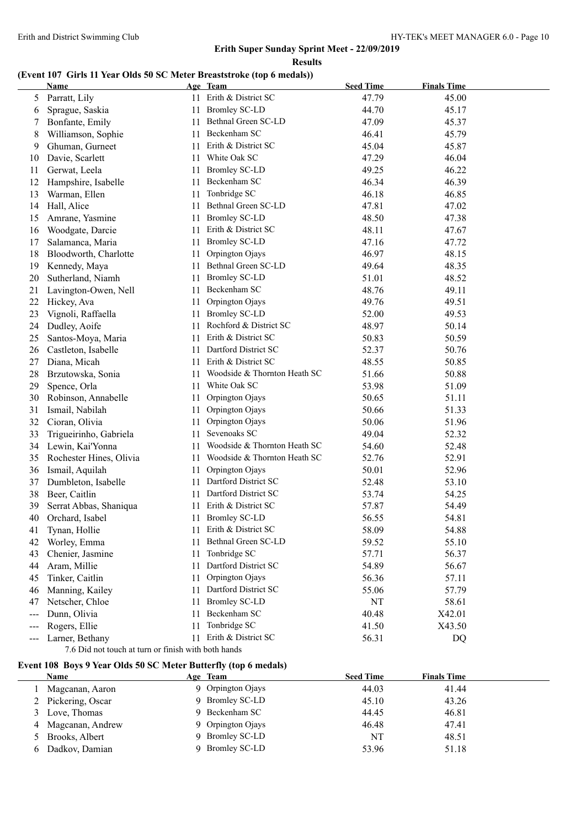#### **Results**

### **(Event 107 Girls 11 Year Olds 50 SC Meter Breaststroke (top 6 medals))**

|       | <b>Name</b>                                         |     | Age Team                     | <b>Seed Time</b> | <b>Finals Time</b> |
|-------|-----------------------------------------------------|-----|------------------------------|------------------|--------------------|
| 5     | Parratt, Lily                                       |     | 11 Erith & District SC       | 47.79            | 45.00              |
| 6     | Sprague, Saskia                                     | 11  | <b>Bromley SC-LD</b>         | 44.70            | 45.17              |
| 7     | Bonfante, Emily                                     | 11  | Bethnal Green SC-LD          | 47.09            | 45.37              |
| 8     | Williamson, Sophie                                  | 11  | Beckenham SC                 | 46.41            | 45.79              |
| 9     | Ghuman, Gurneet                                     | 11  | Erith & District SC          | 45.04            | 45.87              |
| 10    | Davie, Scarlett                                     | 11  | White Oak SC                 | 47.29            | 46.04              |
| 11    | Gerwat, Leela                                       | 11  | <b>Bromley SC-LD</b>         | 49.25            | 46.22              |
| 12    | Hampshire, Isabelle                                 | 11  | Beckenham SC                 | 46.34            | 46.39              |
| 13    | Warman, Ellen                                       | 11  | Tonbridge SC                 | 46.18            | 46.85              |
| 14    | Hall, Alice                                         | 11  | Bethnal Green SC-LD          | 47.81            | 47.02              |
| 15    | Amrane, Yasmine                                     | 11  | <b>Bromley SC-LD</b>         | 48.50            | 47.38              |
| 16    | Woodgate, Darcie                                    | 11  | Erith & District SC          | 48.11            | 47.67              |
| 17    | Salamanca, Maria                                    | 11  | <b>Bromley SC-LD</b>         | 47.16            | 47.72              |
| 18    | Bloodworth, Charlotte                               | 11  | Orpington Ojays              | 46.97            | 48.15              |
| 19    | Kennedy, Maya                                       | 11  | Bethnal Green SC-LD          | 49.64            | 48.35              |
| 20    | Sutherland, Niamh                                   | 11  | <b>Bromley SC-LD</b>         | 51.01            | 48.52              |
| 21    | Lavington-Owen, Nell                                | 11  | Beckenham SC                 | 48.76            | 49.11              |
| 22    | Hickey, Ava                                         | 11  | Orpington Ojays              | 49.76            | 49.51              |
| 23    | Vignoli, Raffaella                                  | 11  | <b>Bromley SC-LD</b>         | 52.00            | 49.53              |
| 24    | Dudley, Aoife                                       | 11  | Rochford & District SC       | 48.97            | 50.14              |
| 25    | Santos-Moya, Maria                                  | 11  | Erith & District SC          | 50.83            | 50.59              |
| 26    | Castleton, Isabelle                                 | 11  | Dartford District SC         | 52.37            | 50.76              |
| 27    | Diana, Micah                                        |     | Erith & District SC          | 48.55            | 50.85              |
| 28    |                                                     | 11  | Woodside & Thornton Heath SC | 51.66            | 50.88              |
|       | Brzutowska, Sonia                                   | 11  | White Oak SC                 |                  |                    |
| 29    | Spence, Orla                                        | 11. |                              | 53.98            | 51.09              |
| 30    | Robinson, Annabelle                                 | 11  | Orpington Ojays              | 50.65            | 51.11              |
| 31    | Ismail, Nabilah                                     | 11  | Orpington Ojays              | 50.66            | 51.33              |
| 32    | Cioran, Olivia                                      | 11  | Orpington Ojays              | 50.06            | 51.96              |
| 33    | Trigueirinho, Gabriela                              | 11  | Sevenoaks SC                 | 49.04            | 52.32              |
| 34    | Lewin, Kai'Yonna                                    | 11  | Woodside & Thornton Heath SC | 54.60            | 52.48              |
| 35    | Rochester Hines, Olivia                             | 11. | Woodside & Thornton Heath SC | 52.76            | 52.91              |
| 36    | Ismail, Aquilah                                     | 11  | Orpington Ojays              | 50.01            | 52.96              |
| 37    | Dumbleton, Isabelle                                 | 11  | Dartford District SC         | 52.48            | 53.10              |
| 38    | Beer, Caitlin                                       | 11  | Dartford District SC         | 53.74            | 54.25              |
| 39    | Serrat Abbas, Shaniqua                              | 11  | Erith & District SC          | 57.87            | 54.49              |
| 40    | Orchard, Isabel                                     |     | 11 Bromley SC-LD             | 56.55            | 54.81              |
| 41    | Tynan, Hollie                                       |     | 11 Erith & District SC       | 58.09            | 54.88              |
| 42    | Worley, Emma                                        | 11  | Bethnal Green SC-LD          | 59.52            | 55.10              |
| 43    | Chenier, Jasmine                                    | 11  | Tonbridge SC                 | 57.71            | 56.37              |
| 44    | Aram, Millie                                        | 11  | Dartford District SC         | 54.89            | 56.67              |
| 45    | Tinker, Caitlin                                     | 11  | Orpington Ojays              | 56.36            | 57.11              |
| 46    | Manning, Kailey                                     | 11  | Dartford District SC         | 55.06            | 57.79              |
| 47    | Netscher, Chloe                                     | 11  | <b>Bromley SC-LD</b>         | NT               | 58.61              |
| ---   | Dunn, Olivia                                        | 11  | Beckenham SC                 | 40.48            | X42.01             |
| $---$ | Rogers, Ellie                                       | 11  | Tonbridge SC                 | 41.50            | X43.50             |
| $---$ | Larner, Bethany                                     | 11  | Erith & District SC          | 56.31            | DQ                 |
|       | 7.6 Did not touch at turn or finish with both hands |     |                              |                  |                    |

#### **Event 108 Boys 9 Year Olds 50 SC Meter Butterfly (top 6 medals)**

|   | Name               | Age Team          | <b>Seed Time</b> | <b>Finals Time</b> |
|---|--------------------|-------------------|------------------|--------------------|
|   | Magcanan, Aaron    | 9 Orpington Ojays | 44.03            | 41.44              |
|   | 2 Pickering, Oscar | 9 Bromley SC-LD   | 45.10            | 43.26              |
|   | 3 Love, Thomas     | 9 Beckenham SC    | 44.45            | 46.81              |
| 4 | Magcanan, Andrew   | 9 Orpington Ojays | 46.48            | 47.41              |
|   | 5 Brooks, Albert   | 9 Bromley SC-LD   | NT               | 48.51              |
|   | 6 Dadkov, Damian   | 9 Bromley SC-LD   | 53.96            | 51.18              |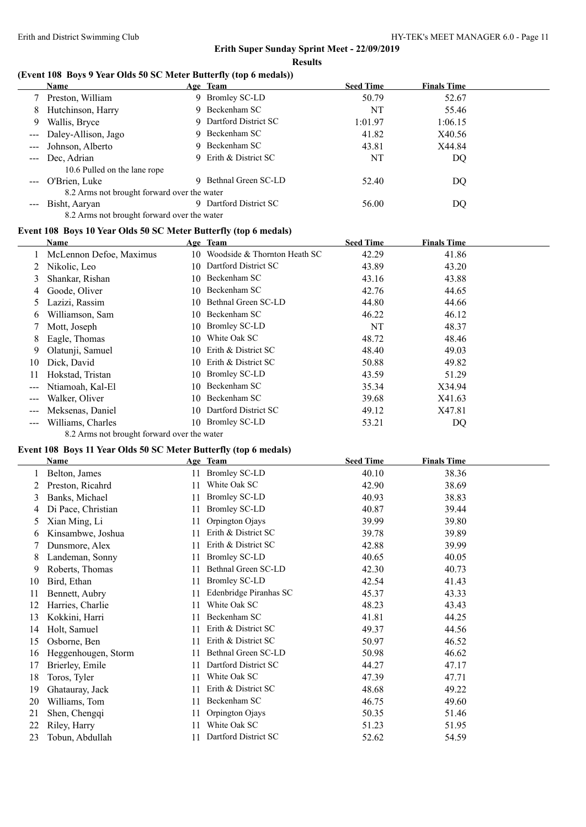#### **Results**

### **(Event 108 Boys 9 Year Olds 50 SC Meter Butterfly (top 6 medals))**

|                                                                                                                                                                                                                                                                                                                                                                                                                                                                            | <b>Name</b>                                 |    | Age Team             | <b>Seed Time</b> | <b>Finals Time</b> |  |
|----------------------------------------------------------------------------------------------------------------------------------------------------------------------------------------------------------------------------------------------------------------------------------------------------------------------------------------------------------------------------------------------------------------------------------------------------------------------------|---------------------------------------------|----|----------------------|------------------|--------------------|--|
|                                                                                                                                                                                                                                                                                                                                                                                                                                                                            | Preston, William                            | 9  | Bromley SC-LD        | 50.79            | 52.67              |  |
| 8                                                                                                                                                                                                                                                                                                                                                                                                                                                                          | Hutchinson, Harry                           | 9  | Beckenham SC         | NT               | 55.46              |  |
| 9.                                                                                                                                                                                                                                                                                                                                                                                                                                                                         | Wallis, Bryce                               | 9. | Dartford District SC | 1:01.97          | 1:06.15            |  |
|                                                                                                                                                                                                                                                                                                                                                                                                                                                                            | --- Daley-Allison, Jago                     | 9. | Beckenham SC         | 41.82            | X40.56             |  |
| $\frac{1}{2} \left( \frac{1}{2} \right) \left( \frac{1}{2} \right) \left( \frac{1}{2} \right) \left( \frac{1}{2} \right) \left( \frac{1}{2} \right) \left( \frac{1}{2} \right) \left( \frac{1}{2} \right) \left( \frac{1}{2} \right) \left( \frac{1}{2} \right) \left( \frac{1}{2} \right) \left( \frac{1}{2} \right) \left( \frac{1}{2} \right) \left( \frac{1}{2} \right) \left( \frac{1}{2} \right) \left( \frac{1}{2} \right) \left( \frac{1}{2} \right) \left( \frac$ | Johnson, Alberto                            |    | Beckenham SC         | 43.81            | X44.84             |  |
|                                                                                                                                                                                                                                                                                                                                                                                                                                                                            | --- Dec, Adrian                             | Ο, | Erith & District SC  | NT               | DQ                 |  |
|                                                                                                                                                                                                                                                                                                                                                                                                                                                                            | 10.6 Pulled on the lane rope                |    |                      |                  |                    |  |
|                                                                                                                                                                                                                                                                                                                                                                                                                                                                            | --- O'Brien, Luke                           |    | Bethnal Green SC-LD  | 52.40            | DQ.                |  |
|                                                                                                                                                                                                                                                                                                                                                                                                                                                                            | 8.2 Arms not brought forward over the water |    |                      |                  |                    |  |
| $\frac{1}{2} \left( \frac{1}{2} \right) \left( \frac{1}{2} \right) \left( \frac{1}{2} \right) \left( \frac{1}{2} \right) \left( \frac{1}{2} \right) \left( \frac{1}{2} \right) \left( \frac{1}{2} \right) \left( \frac{1}{2} \right) \left( \frac{1}{2} \right) \left( \frac{1}{2} \right) \left( \frac{1}{2} \right) \left( \frac{1}{2} \right) \left( \frac{1}{2} \right) \left( \frac{1}{2} \right) \left( \frac{1}{2} \right) \left( \frac{1}{2} \right) \left( \frac$ | Bisht, Aaryan                               |    | Dartford District SC | 56.00            | DQ.                |  |
|                                                                                                                                                                                                                                                                                                                                                                                                                                                                            | 8.2 Arms not brought forward over the water |    |                      |                  |                    |  |

#### **Event 108 Boys 10 Year Olds 50 SC Meter Butterfly (top 6 medals)**

|                        | <b>Name</b>             |     | Age Team                     | <b>Seed Time</b> | <b>Finals Time</b> |  |
|------------------------|-------------------------|-----|------------------------------|------------------|--------------------|--|
|                        | McLennon Defoe, Maximus | 10. | Woodside & Thornton Heath SC | 42.29            | 41.86              |  |
|                        | Nikolic, Leo            |     | 10 Dartford District SC      | 43.89            | 43.20              |  |
| 3                      | Shankar, Rishan         |     | 10 Beckenham SC              | 43.16            | 43.88              |  |
| 4                      | Goode, Oliver           | 10. | Beckenham SC                 | 42.76            | 44.65              |  |
| 5                      | Lazizi, Rassim          |     | 10 Bethnal Green SC-LD       | 44.80            | 44.66              |  |
| 6                      | Williamson, Sam         |     | 10 Beckenham SC              | 46.22            | 46.12              |  |
|                        | Mott, Joseph            | 10- | Bromley SC-LD                | NT               | 48.37              |  |
| 8                      | Eagle, Thomas           | 10  | White Oak SC                 | 48.72            | 48.46              |  |
| 9                      | Olatunji, Samuel        |     | 10 Erith & District SC       | 48.40            | 49.03              |  |
| 10                     | Dick, David             | 10. | Erith & District SC          | 50.88            | 49.82              |  |
| 11                     | Hokstad, Tristan        |     | 10 Bromley SC-LD             | 43.59            | 51.29              |  |
| $\qquad \qquad -$      | Ntiamoah, Kal-El        |     | 10 Beckenham SC              | 35.34            | X34.94             |  |
| $\qquad \qquad \cdots$ | Walker, Oliver          | 10. | Beckenham SC                 | 39.68            | X41.63             |  |
| $\qquad \qquad -$      | Meksenas, Daniel        |     | 10 Dartford District SC      | 49.12            | X47.81             |  |
|                        | Williams, Charles       |     | 10 Bromley SC-LD             | 53.21            | DQ                 |  |
|                        |                         |     |                              |                  |                    |  |

8.2 Arms not brought forward over the water

#### **Event 108 Boys 11 Year Olds 50 SC Meter Butterfly (top 6 medals)**

|    | Name                |    | Age Team               | <b>Seed Time</b> | <b>Finals Time</b> |  |
|----|---------------------|----|------------------------|------------------|--------------------|--|
|    | Belton, James       | 11 | <b>Bromley SC-LD</b>   | 40.10            | 38.36              |  |
| 2  | Preston, Ricahrd    | 11 | White Oak SC           | 42.90            | 38.69              |  |
| 3  | Banks, Michael      | 11 | <b>Bromley SC-LD</b>   | 40.93            | 38.83              |  |
| 4  | Di Pace, Christian  | 11 | <b>Bromley SC-LD</b>   | 40.87            | 39.44              |  |
| 5  | Xian Ming, Li       | 11 | Orpington Ojays        | 39.99            | 39.80              |  |
| 6  | Kinsambwe, Joshua   | 11 | Erith & District SC    | 39.78            | 39.89              |  |
|    | Dunsmore, Alex      | 11 | Erith & District SC    | 42.88            | 39.99              |  |
| 8  | Landeman, Sonny     | 11 | Bromley SC-LD          | 40.65            | 40.05              |  |
| 9  | Roberts, Thomas     | 11 | Bethnal Green SC-LD    | 42.30            | 40.73              |  |
| 10 | Bird, Ethan         | 11 | <b>Bromley SC-LD</b>   | 42.54            | 41.43              |  |
| 11 | Bennett, Aubry      |    | Edenbridge Piranhas SC | 45.37            | 43.33              |  |
| 12 | Harries, Charlie    | 11 | White Oak SC           | 48.23            | 43.43              |  |
| 13 | Kokkini, Harri      | 11 | Beckenham SC           | 41.81            | 44.25              |  |
| 14 | Holt, Samuel        | 11 | Erith & District SC    | 49.37            | 44.56              |  |
| 15 | Osborne, Ben        | 11 | Erith & District SC    | 50.97            | 46.52              |  |
| 16 | Heggenhougen, Storm | 11 | Bethnal Green SC-LD    | 50.98            | 46.62              |  |
| 17 | Brierley, Emile     | 11 | Dartford District SC   | 44.27            | 47.17              |  |
| 18 | Toros, Tyler        | 11 | White Oak SC           | 47.39            | 47.71              |  |
| 19 | Ghatauray, Jack     | 11 | Erith & District SC    | 48.68            | 49.22              |  |
| 20 | Williams, Tom       | 11 | Beckenham SC           | 46.75            | 49.60              |  |
| 21 | Shen, Chengqi       | 11 | Orpington Ojays        | 50.35            | 51.46              |  |
| 22 | Riley, Harry        | 11 | White Oak SC           | 51.23            | 51.95              |  |
| 23 | Tobun, Abdullah     | 11 | Dartford District SC   | 52.62            | 54.59              |  |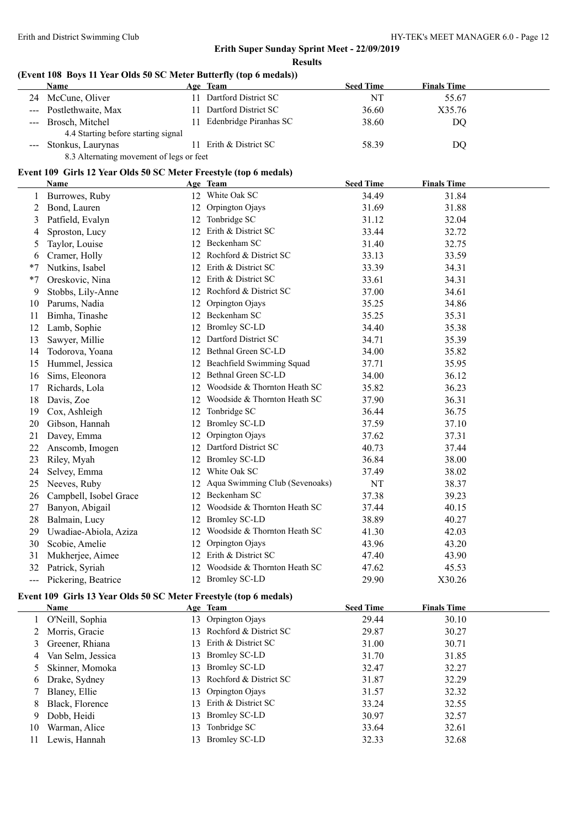#### **(Event 108 Boys 11 Year Olds 50 SC Meter Butterfly (top 6 medals))**

|    | <b>Name</b>                              |     | Age Team               | <b>Seed Time</b> | <b>Finals Time</b> |
|----|------------------------------------------|-----|------------------------|------------------|--------------------|
| 24 | McCune, Oliver                           |     | Dartford District SC   | NT               | 55.67              |
|    | --- Postlethwaite, Max                   |     | Dartford District SC   | 36.60            | X35.76             |
|    | --- Brosch, Mitchel                      | 11. | Edenbridge Piranhas SC | 38.60            | DQ                 |
|    | 4.4 Starting before starting signal      |     |                        |                  |                    |
|    | --- Stonkus, Laurynas                    |     | 11 Erith & District SC | 58.39            | DO                 |
|    | 8.3 Alternating movement of legs or feet |     |                        |                  |                    |

#### **Event 109 Girls 12 Year Olds 50 SC Meter Freestyle (top 6 medals)**

|      | <b>Name</b>            |    | Age Team                          | <b>Seed Time</b> | <b>Finals Time</b> |
|------|------------------------|----|-----------------------------------|------------------|--------------------|
|      | Burrowes, Ruby         |    | 12 White Oak SC                   | 34.49            | 31.84              |
| 2    | Bond, Lauren           | 12 | Orpington Ojays                   | 31.69            | 31.88              |
| 3    | Patfield, Evalyn       | 12 | Tonbridge SC                      | 31.12            | 32.04              |
| 4    | Sproston, Lucy         |    | 12 Erith & District SC            | 33.44            | 32.72              |
| 5    | Taylor, Louise         |    | 12 Beckenham SC                   | 31.40            | 32.75              |
| 6    | Cramer, Holly          |    | 12 Rochford & District SC         | 33.13            | 33.59              |
| $*7$ | Nutkins, Isabel        |    | 12 Erith & District SC            | 33.39            | 34.31              |
| $*7$ | Oreskovic, Nina        |    | 12 Erith & District SC            | 33.61            | 34.31              |
| 9    | Stobbs, Lily-Anne      |    | 12 Rochford & District SC         | 37.00            | 34.61              |
| 10   | Parums, Nadia          | 12 | Orpington Ojays                   | 35.25            | 34.86              |
| 11   | Bimha, Tinashe         |    | 12 Beckenham SC                   | 35.25            | 35.31              |
| 12   | Lamb, Sophie           |    | 12 Bromley SC-LD                  | 34.40            | 35.38              |
| 13   | Sawyer, Millie         |    | 12 Dartford District SC           | 34.71            | 35.39              |
| 14   | Todorova, Yoana        |    | 12 Bethnal Green SC-LD            | 34.00            | 35.82              |
| 15   | Hummel, Jessica        |    | 12 Beachfield Swimming Squad      | 37.71            | 35.95              |
| 16   | Sims, Eleonora         |    | 12 Bethnal Green SC-LD            | 34.00            | 36.12              |
| 17   | Richards, Lola         |    | 12 Woodside & Thornton Heath SC   | 35.82            | 36.23              |
| 18   | Davis, Zoe             | 12 | Woodside & Thornton Heath SC      | 37.90            | 36.31              |
| 19   | Cox, Ashleigh          | 12 | Tonbridge SC                      | 36.44            | 36.75              |
| 20   | Gibson, Hannah         | 12 | <b>Bromley SC-LD</b>              | 37.59            | 37.10              |
| 21   | Davey, Emma            | 12 | Orpington Ojays                   | 37.62            | 37.31              |
| 22   | Anscomb, Imogen        |    | 12 Dartford District SC           | 40.73            | 37.44              |
| 23   | Riley, Myah            |    | 12 Bromley SC-LD                  | 36.84            | 38.00              |
| 24   | Selvey, Emma           |    | 12 White Oak SC                   | 37.49            | 38.02              |
| 25   | Neeves, Ruby           |    | 12 Aqua Swimming Club (Sevenoaks) | NT               | 38.37              |
| 26   | Campbell, Isobel Grace |    | 12 Beckenham SC                   | 37.38            | 39.23              |
| 27   | Banyon, Abigail        |    | 12 Woodside & Thornton Heath SC   | 37.44            | 40.15              |
| 28   | Balmain, Lucy          |    | 12 Bromley SC-LD                  | 38.89            | 40.27              |
| 29   | Uwadiae-Abiola, Aziza  | 12 | Woodside & Thornton Heath SC      | 41.30            | 42.03              |
| 30   | Scobie, Amelie         | 12 | Orpington Ojays                   | 43.96            | 43.20              |
| 31   | Mukherjee, Aimee       |    | 12 Erith & District SC            | 47.40            | 43.90              |
| 32   | Patrick, Syriah        |    | 12 Woodside & Thornton Heath SC   | 47.62            | 45.53              |
|      | Pickering, Beatrice    |    | 12 Bromley SC-LD                  | 29.90            | X30.26             |

#### **Event 109 Girls 13 Year Olds 50 SC Meter Freestyle (top 6 medals)**

|    | <b>Name</b>       |     | Age Team                  | <b>Seed Time</b> | <b>Finals Time</b> |  |
|----|-------------------|-----|---------------------------|------------------|--------------------|--|
|    | O'Neill, Sophia   |     | 13 Orpington Ojays        | 29.44            | 30.10              |  |
|    | 2 Morris, Gracie  |     | 13 Rochford & District SC | 29.87            | 30.27              |  |
|    | 3 Greener, Rhiana |     | 13 Erith & District SC    | 31.00            | 30.71              |  |
| 4  | Van Selm, Jessica |     | 13 Bromley SC-LD          | 31.70            | 31.85              |  |
|    | 5 Skinner, Momoka |     | 13 Bromley SC-LD          | 32.47            | 32.27              |  |
|    | 6 Drake, Sydney   |     | 13 Rochford & District SC | 31.87            | 32.29              |  |
|    | Blaney, Ellie     |     | 13 Orpington Ojays        | 31.57            | 32.32              |  |
| 8  | Black, Florence   |     | 13 Erith & District SC    | 33.24            | 32.55              |  |
| 9. | Dobb, Heidi       |     | 13 Bromley SC-LD          | 30.97            | 32.57              |  |
| 10 | Warman, Alice     | 13. | Tonbridge SC              | 33.64            | 32.61              |  |
|    | Lewis, Hannah     | 13. | <b>Bromley SC-LD</b>      | 32.33            | 32.68              |  |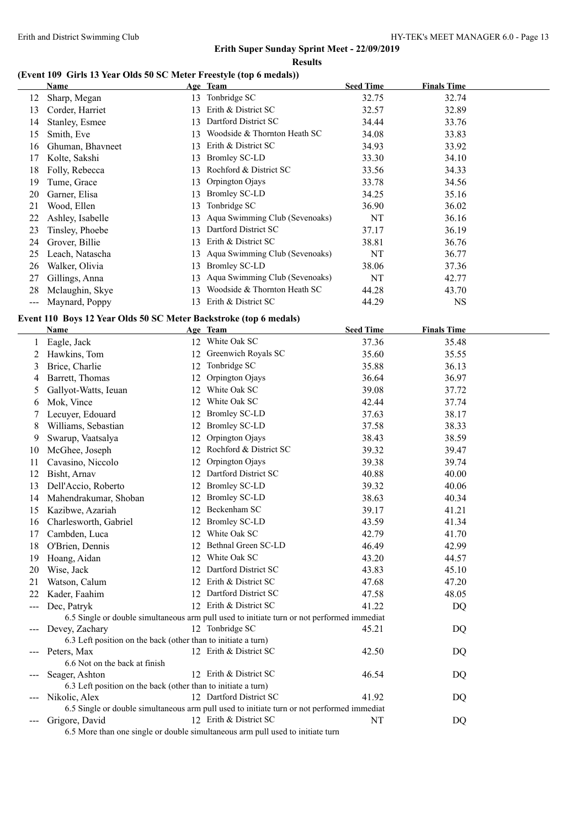#### **Results**

### **(Event 109 Girls 13 Year Olds 50 SC Meter Freestyle (top 6 medals))**

|     | Name             |     | Age Team                       | <b>Seed Time</b> | <b>Finals Time</b> |
|-----|------------------|-----|--------------------------------|------------------|--------------------|
| 12  | Sharp, Megan     | 13  | Tonbridge SC                   | 32.75            | 32.74              |
| 13  | Corder, Harriet  | 13  | Erith & District SC            | 32.57            | 32.89              |
| 14  | Stanley, Esmee   | 13  | Dartford District SC           | 34.44            | 33.76              |
| 15  | Smith, Eve       | 13. | Woodside & Thornton Heath SC   | 34.08            | 33.83              |
| 16  | Ghuman, Bhavneet | 13. | Erith & District SC            | 34.93            | 33.92              |
| 17  | Kolte, Sakshi    | 13  | Bromley SC-LD                  | 33.30            | 34.10              |
| 18  | Folly, Rebecca   | 13. | Rochford & District SC         | 33.56            | 34.33              |
| 19  | Tume, Grace      | 13  | Orpington Ojays                | 33.78            | 34.56              |
| 20  | Garner, Elisa    | 13  | Bromley SC-LD                  | 34.25            | 35.16              |
| 21  | Wood, Ellen      | 13. | Tonbridge SC                   | 36.90            | 36.02              |
| 22  | Ashley, Isabelle | 13  | Aqua Swimming Club (Sevenoaks) | NT               | 36.16              |
| 23  | Tinsley, Phoebe  | 13. | Dartford District SC           | 37.17            | 36.19              |
| 24  | Grover, Billie   | 13. | Erith & District SC            | 38.81            | 36.76              |
| 25  | Leach, Natascha  | 13  | Aqua Swimming Club (Sevenoaks) | NT               | 36.77              |
| 26  | Walker, Olivia   | 13  | Bromley SC-LD                  | 38.06            | 37.36              |
| 27  | Gillings, Anna   | 13. | Aqua Swimming Club (Sevenoaks) | NT               | 42.77              |
| 28  | Mclaughin, Skye  | 13  | Woodside & Thornton Heath SC   | 44.28            | 43.70              |
| --- | Maynard, Poppy   | 13. | Erith & District SC            | 44.29            | <b>NS</b>          |

### **Event 110 Boys 12 Year Olds 50 SC Meter Backstroke (top 6 medals)**

|                      | Name                                                          |    | Age Team                                                                                   | <b>Seed Time</b> | <b>Finals Time</b> |  |
|----------------------|---------------------------------------------------------------|----|--------------------------------------------------------------------------------------------|------------------|--------------------|--|
|                      | Eagle, Jack                                                   |    | 12 White Oak SC                                                                            | 37.36            | 35.48              |  |
| 2                    | Hawkins, Tom                                                  |    | 12 Greenwich Royals SC                                                                     | 35.60            | 35.55              |  |
| 3                    | Brice, Charlie                                                |    | 12 Tonbridge SC                                                                            | 35.88            | 36.13              |  |
| 4                    | Barrett, Thomas                                               |    | 12 Orpington Ojays                                                                         | 36.64            | 36.97              |  |
| 5                    | Gallyot-Watts, Ieuan                                          | 12 | White Oak SC                                                                               | 39.08            | 37.72              |  |
| 6                    | Mok, Vince                                                    | 12 | White Oak SC                                                                               | 42.44            | 37.74              |  |
| 7                    | Lecuyer, Edouard                                              |    | 12 Bromley SC-LD                                                                           | 37.63            | 38.17              |  |
| 8                    | Williams, Sebastian                                           |    | 12 Bromley SC-LD                                                                           | 37.58            | 38.33              |  |
| 9                    | Swarup, Vaatsalya                                             |    | 12 Orpington Ojays                                                                         | 38.43            | 38.59              |  |
| 10                   | McGhee, Joseph                                                |    | 12 Rochford & District SC                                                                  | 39.32            | 39.47              |  |
| 11                   | Cavasino, Niccolo                                             | 12 | Orpington Ojays                                                                            | 39.38            | 39.74              |  |
| 12                   | Bisht, Arnav                                                  |    | 12 Dartford District SC                                                                    | 40.88            | 40.00              |  |
| 13                   | Dell'Accio, Roberto                                           |    | 12 Bromley SC-LD                                                                           | 39.32            | 40.06              |  |
| 14                   | Mahendrakumar, Shoban                                         |    | 12 Bromley SC-LD                                                                           | 38.63            | 40.34              |  |
| 15                   | Kazibwe, Azariah                                              |    | 12 Beckenham SC                                                                            | 39.17            | 41.21              |  |
| 16                   | Charlesworth, Gabriel                                         |    | 12 Bromley SC-LD                                                                           | 43.59            | 41.34              |  |
| 17                   | Cambden, Luca                                                 |    | 12 White Oak SC                                                                            | 42.79            | 41.70              |  |
| 18                   | O'Brien, Dennis                                               |    | 12 Bethnal Green SC-LD                                                                     | 46.49            | 42.99              |  |
| 19                   | Hoang, Aidan                                                  |    | 12 White Oak SC                                                                            | 43.20            | 44.57              |  |
| 20                   | Wise, Jack                                                    |    | 12 Dartford District SC                                                                    | 43.83            | 45.10              |  |
| 21                   | Watson, Calum                                                 |    | 12 Erith & District SC                                                                     | 47.68            | 47.20              |  |
| 22                   | Kader, Faahim                                                 |    | 12 Dartford District SC                                                                    | 47.58            | 48.05              |  |
| $\sim$ $\sim$ $\sim$ | Dec, Patryk                                                   |    | 12 Erith & District SC                                                                     | 41.22            | <b>DQ</b>          |  |
|                      |                                                               |    | 6.5 Single or double simultaneous arm pull used to initiate turn or not performed immediat |                  |                    |  |
|                      | Devey, Zachary                                                |    | 12 Tonbridge SC                                                                            | 45.21            | DQ                 |  |
|                      | 6.3 Left position on the back (other than to initiate a turn) |    |                                                                                            |                  |                    |  |
| $\sim$ $\sim$ $\sim$ | Peters, Max                                                   |    | 12 Erith & District SC                                                                     | 42.50            | DQ                 |  |
|                      | 6.6 Not on the back at finish                                 |    |                                                                                            |                  |                    |  |
|                      | Seager, Ashton                                                |    | 12 Erith & District SC                                                                     | 46.54            | DQ                 |  |
|                      | 6.3 Left position on the back (other than to initiate a turn) |    | 12 Dartford District SC                                                                    |                  |                    |  |
| $\sim$ $\sim$ $\sim$ | Nikolic, Alex                                                 |    | 6.5 Single or double simultaneous arm pull used to initiate turn or not performed immediat | 41.92            | DQ                 |  |
|                      |                                                               |    |                                                                                            |                  |                    |  |
|                      | Grigore, David                                                |    | 12 Erith & District SC                                                                     | NT               | DQ                 |  |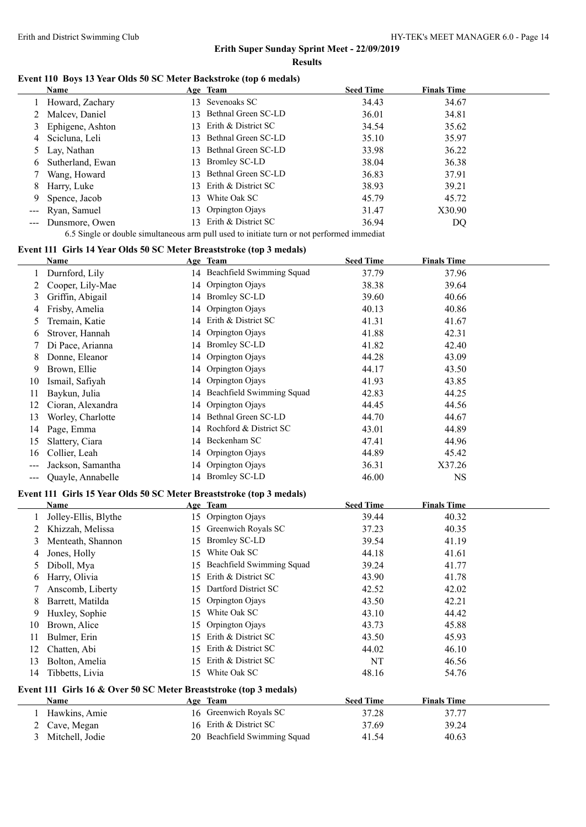#### **Event 110 Boys 13 Year Olds 50 SC Meter Backstroke (top 6 medals)**

|                                                                                                                                                                                                                                                                                                                                                                                              | <b>Name</b>      |    | Age Team               | <b>Seed Time</b> | <b>Finals Time</b> |
|----------------------------------------------------------------------------------------------------------------------------------------------------------------------------------------------------------------------------------------------------------------------------------------------------------------------------------------------------------------------------------------------|------------------|----|------------------------|------------------|--------------------|
|                                                                                                                                                                                                                                                                                                                                                                                              | Howard, Zachary  |    | 13 Sevenoaks SC        | 34.43            | 34.67              |
|                                                                                                                                                                                                                                                                                                                                                                                              | Malcev, Daniel   |    | 13 Bethnal Green SC-LD | 36.01            | 34.81              |
| 3                                                                                                                                                                                                                                                                                                                                                                                            | Ephigene, Ashton |    | 13 Erith & District SC | 34.54            | 35.62              |
| 4                                                                                                                                                                                                                                                                                                                                                                                            | Scicluna, Leli   |    | 13 Bethnal Green SC-LD | 35.10            | 35.97              |
|                                                                                                                                                                                                                                                                                                                                                                                              | 5 Lay, Nathan    |    | 13 Bethnal Green SC-LD | 33.98            | 36.22              |
| 6                                                                                                                                                                                                                                                                                                                                                                                            | Sutherland, Ewan |    | 13 Bromley SC-LD       | 38.04            | 36.38              |
|                                                                                                                                                                                                                                                                                                                                                                                              | Wang, Howard     |    | 13 Bethnal Green SC-LD | 36.83            | 37.91              |
| 8                                                                                                                                                                                                                                                                                                                                                                                            | Harry, Luke      |    | 13 Erith & District SC | 38.93            | 39.21              |
| 9                                                                                                                                                                                                                                                                                                                                                                                            | Spence, Jacob    | 13 | White Oak SC           | 45.79            | 45.72              |
| $\frac{1}{2} \frac{1}{2} \frac{1}{2} \frac{1}{2} \frac{1}{2} \frac{1}{2} \frac{1}{2} \frac{1}{2} \frac{1}{2} \frac{1}{2} \frac{1}{2} \frac{1}{2} \frac{1}{2} \frac{1}{2} \frac{1}{2} \frac{1}{2} \frac{1}{2} \frac{1}{2} \frac{1}{2} \frac{1}{2} \frac{1}{2} \frac{1}{2} \frac{1}{2} \frac{1}{2} \frac{1}{2} \frac{1}{2} \frac{1}{2} \frac{1}{2} \frac{1}{2} \frac{1}{2} \frac{1}{2} \frac{$ | Ryan, Samuel     |    | 13 Orpington Ojays     | 31.47            | X30.90             |
|                                                                                                                                                                                                                                                                                                                                                                                              | Dunsmore, Owen   |    | 13 Erith & District SC | 36.94            | DQ                 |

6.5 Single or double simultaneous arm pull used to initiate turn or not performed immediat

#### **Event 111 Girls 14 Year Olds 50 SC Meter Breaststroke (top 3 medals)**

|                | <b>Name</b>                                                          |    | Age Team                     | <b>Seed Time</b> | <b>Finals Time</b> |
|----------------|----------------------------------------------------------------------|----|------------------------------|------------------|--------------------|
| 1              | Durnford, Lily                                                       |    | 14 Beachfield Swimming Squad | 37.79            | 37.96              |
| $\overline{c}$ | Cooper, Lily-Mae                                                     |    | 14 Orpington Ojays           | 38.38            | 39.64              |
| 3              | Griffin, Abigail                                                     |    | 14 Bromley SC-LD             | 39.60            | 40.66              |
| 4              | Frisby, Amelia                                                       |    | 14 Orpington Ojays           | 40.13            | 40.86              |
| 5              | Tremain, Katie                                                       |    | 14 Erith & District SC       | 41.31            | 41.67              |
| 6              | Strover, Hannah                                                      | 14 | Orpington Ojays              | 41.88            | 42.31              |
| 7              | Di Pace, Arianna                                                     |    | 14 Bromley SC-LD             | 41.82            | 42.40              |
| 8              | Donne, Eleanor                                                       |    | 14 Orpington Ojays           | 44.28            | 43.09              |
| 9              | Brown, Ellie                                                         | 14 | Orpington Ojays              | 44.17            | 43.50              |
| 10             | Ismail, Safiyah                                                      | 14 | Orpington Ojays              | 41.93            | 43.85              |
| 11             | Baykun, Julia                                                        | 14 | Beachfield Swimming Squad    | 42.83            | 44.25              |
| 12             | Cioran, Alexandra                                                    | 14 | Orpington Ojays              | 44.45            | 44.56              |
| 13             | Worley, Charlotte                                                    |    | 14 Bethnal Green SC-LD       | 44.70            | 44.67              |
| 14             | Page, Emma                                                           |    | 14 Rochford & District SC    | 43.01            | 44.89              |
| 15             | Slattery, Ciara                                                      |    | 14 Beckenham SC              | 47.41            | 44.96              |
| 16             | Collier, Leah                                                        |    | 14 Orpington Ojays           | 44.89            | 45.42              |
| $---$          | Jackson, Samantha                                                    |    | 14 Orpington Ojays           | 36.31            | X37.26             |
| $---$          | Quayle, Annabelle                                                    |    | 14 Bromley SC-LD             | 46.00            | NS                 |
|                | Event 111 Girls 15 Year Olds 50 SC Meter Breaststroke (top 3 medals) |    |                              |                  |                    |
|                | <b>Name</b>                                                          |    | Age Team                     | <b>Seed Time</b> | <b>Finals Time</b> |
| 1              | Jolley-Ellis, Blythe                                                 |    | 15 Orpington Ojays           | 39.44            | 40.32              |
| 2              | Khizzah, Melissa                                                     |    | 15 Greenwich Royals SC       | 37.23            | 40.35              |
| 3              | Menteath, Shannon                                                    |    | 15 Bromley SC-LD             | 39.54            | 41.19              |
| 4              | Jones, Holly                                                         |    | 15 White Oak SC              | 44.18            | 41.61              |
| 5              | Diboll, Mya                                                          | 15 | Beachfield Swimming Squad    | 39.24            | 41.77              |
| 6              | Harry, Olivia                                                        |    | 15 Erith & District SC       | 43.90            | 41.78              |
| 7              | Anscomb, Liberty                                                     |    | 15 Dartford District SC      | 42.52            | 42.02              |
| 8              | Barrett, Matilda                                                     |    | 15 Orpington Ojays           | 43.50            | 42.21              |
| 9              | Huxley, Sophie                                                       |    | 15 White Oak SC              | 43.10            | 44.42              |
| 10             | Brown, Alice                                                         |    | 15 Orpington Ojays           | 43.73            | 45.88              |
| 11             | Bulmer, Erin                                                         | 15 | Erith & District SC          | 43.50            | 45.93              |
| 12             | Chatten, Abi                                                         |    | 15 Erith & District SC       | 44.02            | 46.10              |
| 13             | Bolton, Amelia                                                       |    | 15 Erith & District SC       | NT               | 46.56              |
| 14             | Tibbetts, Livia                                                      |    | 15 White Oak SC              | 48.16            | 54.76              |
|                | Event 111 Girls 16 & Over 50 SC Meter Breaststroke (top 3 medals)    |    |                              |                  |                    |
|                | Name                                                                 |    | Age Team                     | <b>Seed Time</b> | <b>Finals Time</b> |
|                | 1 Hawkins, Amie                                                      |    | 16 Greenwich Royals SC       | 37.28            | 37.77              |
| 2              | Cave, Megan                                                          |    | 16 Erith & District SC       | 37.69            | 39.24              |
| 3              | Mitchell, Jodie                                                      |    | 20 Beachfield Swimming Squad | 41.54            | 40.63              |
|                |                                                                      |    |                              |                  |                    |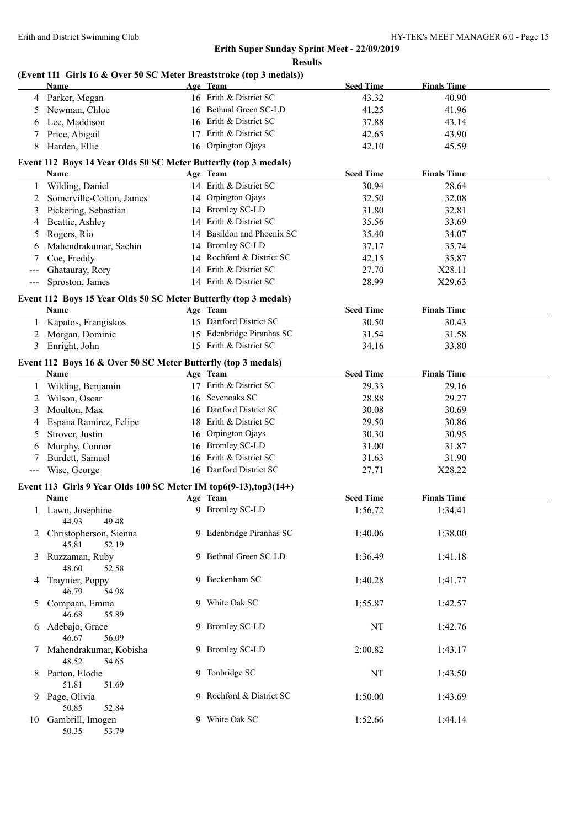#### **(Event 111 Girls 16 & Over 50 SC Meter Breaststroke (top 3 medals))**

|          | <b>Name</b>                                                       |    | Age Team                   | <b>Seed Time</b> | <b>Finals Time</b> |  |
|----------|-------------------------------------------------------------------|----|----------------------------|------------------|--------------------|--|
| 4        | Parker, Megan                                                     |    | 16 Erith & District SC     | 43.32            | 40.90              |  |
| 5        | Newman, Chloe                                                     |    | 16 Bethnal Green SC-LD     | 41.25            | 41.96              |  |
| 6        | Lee, Maddison                                                     |    | 16 Erith & District SC     | 37.88            | 43.14              |  |
|          | Price, Abigail                                                    |    | 17 Erith & District SC     | 42.65            | 43.90              |  |
| 8        | Harden, Ellie                                                     |    | 16 Orpington Ojays         | 42.10            | 45.59              |  |
|          | Event 112 Boys 14 Year Olds 50 SC Meter Butterfly (top 3 medals)  |    |                            |                  |                    |  |
|          | Name                                                              |    | Age Team                   | <b>Seed Time</b> | <b>Finals Time</b> |  |
| 1        | Wilding, Daniel                                                   |    | 14 Erith & District SC     | 30.94            | 28.64              |  |
| 2        | Somerville-Cotton, James                                          |    | 14 Orpington Ojays         | 32.50            | 32.08              |  |
| 3        | Pickering, Sebastian                                              |    | 14 Bromley SC-LD           | 31.80            | 32.81              |  |
| 4        | Beattie, Ashley                                                   |    | 14 Erith & District SC     | 35.56            | 33.69              |  |
| 5        | Rogers, Rio                                                       |    | 14 Basildon and Phoenix SC | 35.40            | 34.07              |  |
| 6        | Mahendrakumar, Sachin                                             |    | 14 Bromley SC-LD           | 37.17            | 35.74              |  |
|          | Coe, Freddy                                                       |    | 14 Rochford & District SC  | 42.15            | 35.87              |  |
| $--$     | Ghatauray, Rory                                                   |    | 14 Erith & District SC     | 27.70            | X28.11             |  |
| $- - -$  | Sproston, James                                                   |    | 14 Erith & District SC     | 28.99            | X29.63             |  |
|          | Event 112 Boys 15 Year Olds 50 SC Meter Butterfly (top 3 medals)  |    |                            |                  |                    |  |
|          | Name                                                              |    | Age Team                   | <b>Seed Time</b> | <b>Finals Time</b> |  |
| 1        | Kapatos, Frangiskos                                               |    | 15 Dartford District SC    | 30.50            | 30.43              |  |
| 2        | Morgan, Dominic                                                   |    | 15 Edenbridge Piranhas SC  | 31.54            | 31.58              |  |
| 3        | Enright, John                                                     |    | 15 Erith & District SC     | 34.16            | 33.80              |  |
|          |                                                                   |    |                            |                  |                    |  |
|          | Event 112 Boys 16 & Over 50 SC Meter Butterfly (top 3 medals)     |    |                            |                  |                    |  |
|          | Name                                                              |    | Age Team                   | <b>Seed Time</b> | <b>Finals Time</b> |  |
| 1        | Wilding, Benjamin                                                 |    | 17 Erith & District SC     | 29.33            | 29.16              |  |
| 2        | Wilson, Oscar                                                     |    | 16 Sevenoaks SC            | 28.88            | 29.27              |  |
| 3        | Moulton, Max                                                      |    | 16 Dartford District SC    | 30.08            | 30.69              |  |
| 4        | Espana Ramirez, Felipe                                            |    | 18 Erith & District SC     | 29.50            | 30.86              |  |
| 5        | Strover, Justin                                                   | 16 | Orpington Ojays            | 30.30            | 30.95              |  |
| 6        | Murphy, Connor                                                    |    | 16 Bromley SC-LD           | 31.00            | 31.87              |  |
| 7        | Burdett, Samuel                                                   |    | 16 Erith & District SC     | 31.63            | 31.90              |  |
| $---$    | Wise, George                                                      |    | 16 Dartford District SC    | 27.71            | X28.22             |  |
|          | Event 113 Girls 9 Year Olds 100 SC Meter IM top6(9-13), top3(14+) |    |                            |                  |                    |  |
|          | Name                                                              |    | Age Team                   | <b>Seed Time</b> | <b>Finals Time</b> |  |
|          | 1 Lawn, Josephine<br>44.93<br>49.48                               |    | 9 Bromley SC-LD            | 1:56.72          | 1:34.41            |  |
|          | Christopherson, Sienna<br>45.81<br>52.19                          |    | 9 Edenbridge Piranhas SC   | 1:40.06          | 1:38.00            |  |
| 3        | Ruzzaman, Ruby<br>48.60<br>52.58                                  |    | 9 Bethnal Green SC-LD      | 1:36.49          | 1:41.18            |  |
|          | 4 Traynier, Poppy<br>46.79<br>54.98                               |    | 9 Beckenham SC             | 1:40.28          | 1:41.77            |  |
| 5        | Compaan, Emma                                                     |    | 9 White Oak SC             | 1:55.87          | 1:42.57            |  |
| $\sigma$ | 46.68<br>55.89<br>Adebajo, Grace<br>56.09<br>46.67                |    | 9 Bromley SC-LD            | NT               | 1:42.76            |  |
|          | Mahendrakumar, Kobisha<br>48.52<br>54.65                          |    | 9 Bromley SC-LD            | 2:00.82          | 1:43.17            |  |
| 8        | Parton, Elodie                                                    |    | 9 Tonbridge SC             | NT               | 1:43.50            |  |
| 9        | 51.81<br>51.69<br>Page, Olivia                                    |    | 9 Rochford & District SC   | 1:50.00          | 1:43.69            |  |
| 10       | 50.85<br>52.84<br>Gambrill, Imogen<br>50.35<br>53.79              |    | 9 White Oak SC             | 1:52.66          | 1:44.14            |  |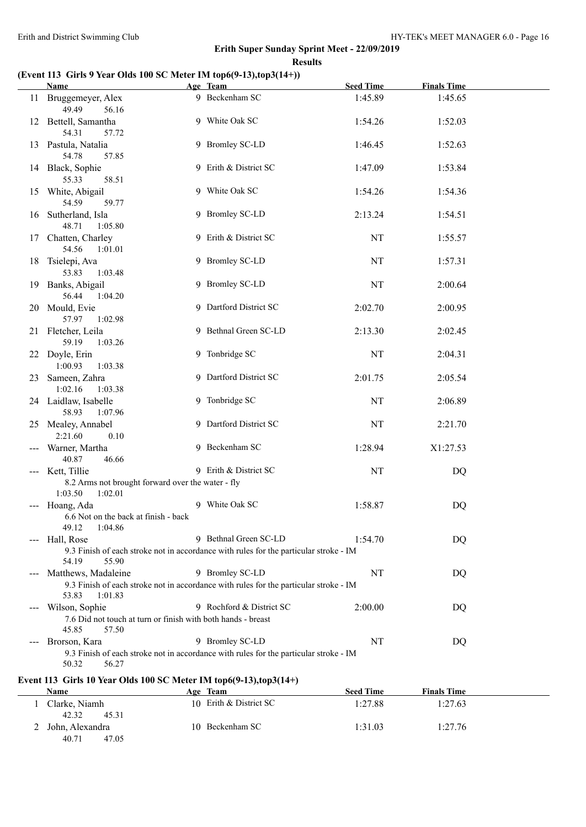40.71 47.05

#### **Erith Super Sunday Sprint Meet - 22/09/2019 Results**

#### **(Event 113 Girls 9 Year Olds 100 SC Meter IM top6(9-13),top3(14+))**

|    | <b>Name</b>                                                                                      | Age Team                                                                                                       | <b>Seed Time</b> | <b>Finals Time</b> |  |
|----|--------------------------------------------------------------------------------------------------|----------------------------------------------------------------------------------------------------------------|------------------|--------------------|--|
|    | 11 Bruggemeyer, Alex<br>49.49<br>56.16                                                           | 9 Beckenham SC                                                                                                 | 1:45.89          | 1:45.65            |  |
|    | 12 Bettell, Samantha<br>54.31<br>57.72                                                           | 9 White Oak SC                                                                                                 | 1:54.26          | 1:52.03            |  |
|    | 13 Pastula, Natalia<br>54.78<br>57.85                                                            | 9 Bromley SC-LD                                                                                                | 1:46.45          | 1:52.63            |  |
|    | 14 Black, Sophie<br>55.33<br>58.51                                                               | 9 Erith & District SC                                                                                          | 1:47.09          | 1:53.84            |  |
|    | 15 White, Abigail<br>54.59<br>59.77                                                              | 9 White Oak SC                                                                                                 | 1:54.26          | 1:54.36            |  |
|    | 16 Sutherland, Isla<br>48.71<br>1:05.80                                                          | 9 Bromley SC-LD                                                                                                | 2:13.24          | 1:54.51            |  |
|    | 17 Chatten, Charley<br>54.56<br>1:01.01                                                          | 9 Erith & District SC                                                                                          | NT               | 1:55.57            |  |
| 18 | Tsielepi, Ava<br>53.83<br>1:03.48                                                                | 9 Bromley SC-LD                                                                                                | NT               | 1:57.31            |  |
|    | 19 Banks, Abigail<br>56.44<br>1:04.20                                                            | 9 Bromley SC-LD                                                                                                | NT               | 2:00.64            |  |
|    | 20 Mould, Evie<br>57.97<br>1:02.98                                                               | 9 Dartford District SC                                                                                         | 2:02.70          | 2:00.95            |  |
|    | 21 Fletcher, Leila<br>59.19<br>1:03.26                                                           | 9 Bethnal Green SC-LD                                                                                          | 2:13.30          | 2:02.45            |  |
|    | 22 Doyle, Erin<br>1:03.38<br>1:00.93                                                             | 9 Tonbridge SC                                                                                                 | NT               | 2:04.31            |  |
|    | 23 Sameen, Zahra<br>1:02.16<br>1:03.38                                                           | 9 Dartford District SC                                                                                         | 2:01.75          | 2:05.54            |  |
|    | 24 Laidlaw, Isabelle<br>58.93<br>1:07.96                                                         | 9 Tonbridge SC                                                                                                 | NT               | 2:06.89            |  |
|    | 25 Mealey, Annabel<br>2:21.60<br>0.10                                                            | 9 Dartford District SC                                                                                         | NT               | 2:21.70            |  |
|    | --- Warner, Martha<br>40.87<br>46.66                                                             | 9 Beckenham SC                                                                                                 | 1:28.94          | X1:27.53           |  |
|    | --- Kett, Tillie<br>8.2 Arms not brought forward over the water - fly<br>1:03.50<br>1:02.01      | 9 Erith & District SC                                                                                          | NT               | DQ                 |  |
|    | --- Hoang, Ada<br>6.6 Not on the back at finish - back<br>49.12<br>1:04.86                       | 9 White Oak SC                                                                                                 | 1:58.87          | DQ                 |  |
|    | Hall, Rose<br>54.19<br>55.90                                                                     | 9 Bethnal Green SC-LD<br>9.3 Finish of each stroke not in accordance with rules for the particular stroke - IM | 1:54.70          | DQ                 |  |
|    | Matthews, Madaleine<br>53.83<br>1:01.83                                                          | 9 Bromley SC-LD<br>9.3 Finish of each stroke not in accordance with rules for the particular stroke - IM       | NT               | DQ                 |  |
|    | Wilson, Sophie<br>7.6 Did not touch at turn or finish with both hands - breast<br>45.85<br>57.50 | 9 Rochford & District SC                                                                                       | 2:00.00          | DQ                 |  |
|    | Brorson, Kara<br>50.32<br>56.27                                                                  | 9 Bromley SC-LD<br>9.3 Finish of each stroke not in accordance with rules for the particular stroke - IM       | NT               | DQ                 |  |
|    | Event 113 Girls 10 Year Olds 100 SC Meter IM top6(9-13), top3(14+)                               |                                                                                                                |                  |                    |  |
|    | Name                                                                                             | Age Team                                                                                                       | <b>Seed Time</b> | <b>Finals Time</b> |  |
|    | 1 Clarke, Niamh<br>42.32<br>45.31                                                                | 10 Erith & District SC                                                                                         | 1:27.88          | 1:27.63            |  |
|    | 2 John, Alexandra                                                                                | 10 Beckenham SC                                                                                                | 1:31.03          | 1:27.76            |  |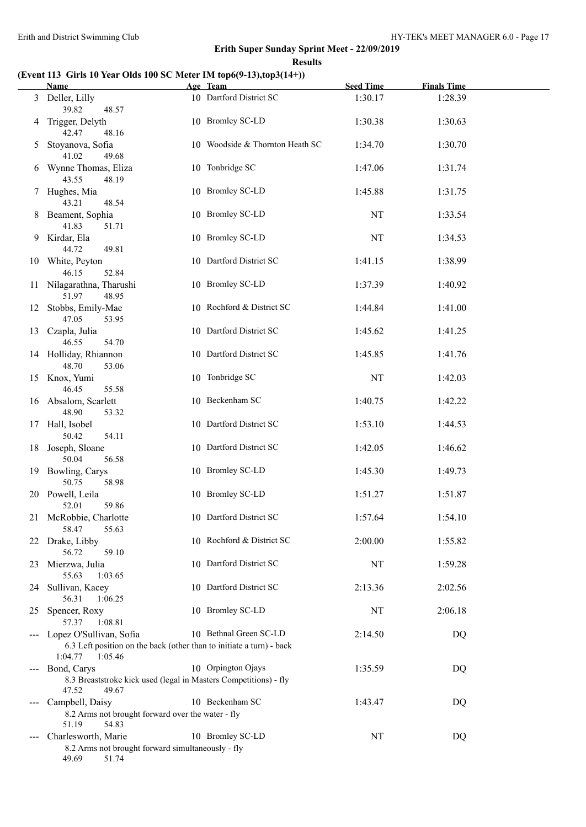#### **(Event 113 Girls 10 Year Olds 100 SC Meter IM top6(9-13),top3(14+))**

|                     | Name                                                                                                                  | Age Team                        | <b>Seed Time</b> | <b>Finals Time</b> |  |
|---------------------|-----------------------------------------------------------------------------------------------------------------------|---------------------------------|------------------|--------------------|--|
|                     | 3 Deller, Lilly<br>39.82<br>48.57                                                                                     | 10 Dartford District SC         | 1:30.17          | 1:28.39            |  |
| 4                   | Trigger, Delyth<br>42.47<br>48.16                                                                                     | 10 Bromley SC-LD                | 1:30.38          | 1:30.63            |  |
| 5                   | Stoyanova, Sofia<br>41.02<br>49.68                                                                                    | 10 Woodside & Thornton Heath SC | 1:34.70          | 1:30.70            |  |
| 6                   | Wynne Thomas, Eliza<br>43.55<br>48.19                                                                                 | 10 Tonbridge SC                 | 1:47.06          | 1:31.74            |  |
| 7                   | Hughes, Mia<br>43.21<br>48.54                                                                                         | 10 Bromley SC-LD                | 1:45.88          | 1:31.75            |  |
| 8                   | Beament, Sophia<br>41.83<br>51.71                                                                                     | 10 Bromley SC-LD                | NT               | 1:33.54            |  |
| 9                   | Kirdar, Ela<br>49.81<br>44.72                                                                                         | 10 Bromley SC-LD                | NT               | 1:34.53            |  |
|                     | 10 White, Peyton<br>46.15<br>52.84                                                                                    | 10 Dartford District SC         | 1:41.15          | 1:38.99            |  |
|                     | 11 Nilagarathna, Tharushi<br>51.97<br>48.95                                                                           | 10 Bromley SC-LD                | 1:37.39          | 1:40.92            |  |
|                     | 12 Stobbs, Emily-Mae<br>47.05<br>53.95                                                                                | 10 Rochford & District SC       | 1:44.84          | 1:41.00            |  |
|                     | 13 Czapla, Julia<br>46.55<br>54.70                                                                                    | 10 Dartford District SC         | 1:45.62          | 1:41.25            |  |
|                     | 14 Holliday, Rhiannon<br>48.70<br>53.06                                                                               | 10 Dartford District SC         | 1:45.85          | 1:41.76            |  |
|                     | 15 Knox, Yumi<br>46.45<br>55.58                                                                                       | 10 Tonbridge SC                 | NT               | 1:42.03            |  |
|                     | 16 Absalom, Scarlett<br>48.90<br>53.32                                                                                | 10 Beckenham SC                 | 1:40.75          | 1:42.22            |  |
|                     | 17 Hall, Isobel<br>50.42<br>54.11                                                                                     | 10 Dartford District SC         | 1:53.10          | 1:44.53            |  |
|                     | 18 Joseph, Sloane<br>50.04<br>56.58                                                                                   | 10 Dartford District SC         | 1:42.05          | 1:46.62            |  |
|                     | 19 Bowling, Carys<br>50.75<br>58.98                                                                                   | 10 Bromley SC-LD                | 1:45.30          | 1:49.73            |  |
|                     | 20 Powell, Leila<br>52.01<br>59.86                                                                                    | 10 Bromley SC-LD                | 1:51.27          | 1:51.87            |  |
| 21                  | McRobbie, Charlotte<br>58.47<br>55.63                                                                                 | 10 Dartford District SC         | 1:57.64          | 1:54.10            |  |
|                     | 22 Drake, Libby<br>56.72<br>59.10                                                                                     | 10 Rochford & District SC       | 2:00.00          | 1:55.82            |  |
| 23                  | Mierzwa, Julia<br>55.63<br>1:03.65                                                                                    | 10 Dartford District SC         | NT               | 1:59.28            |  |
|                     | 24 Sullivan, Kacey<br>56.31<br>1:06.25                                                                                | 10 Dartford District SC         | 2:13.36          | 2:02.56            |  |
| 25                  | Spencer, Roxy<br>57.37<br>1:08.81                                                                                     | 10 Bromley SC-LD                | NT               | 2:06.18            |  |
|                     | Lopez O'Sullivan, Sofia<br>6.3 Left position on the back (other than to initiate a turn) - back<br>1:04.77<br>1:05.46 | 10 Bethnal Green SC-LD          | 2:14.50          | DQ                 |  |
| $\qquad \qquad - -$ | Bond, Carys<br>8.3 Breaststroke kick used (legal in Masters Competitions) - fly<br>47.52<br>49.67                     | 10 Orpington Ojays              | 1:35.59          | <b>DQ</b>          |  |
|                     | Campbell, Daisy<br>8.2 Arms not brought forward over the water - fly<br>51.19<br>54.83                                | 10 Beckenham SC                 | 1:43.47          | DQ                 |  |
|                     | Charlesworth, Marie<br>8.2 Arms not brought forward simultaneously - fly<br>49.69<br>51.74                            | 10 Bromley SC-LD                | NT               | DQ                 |  |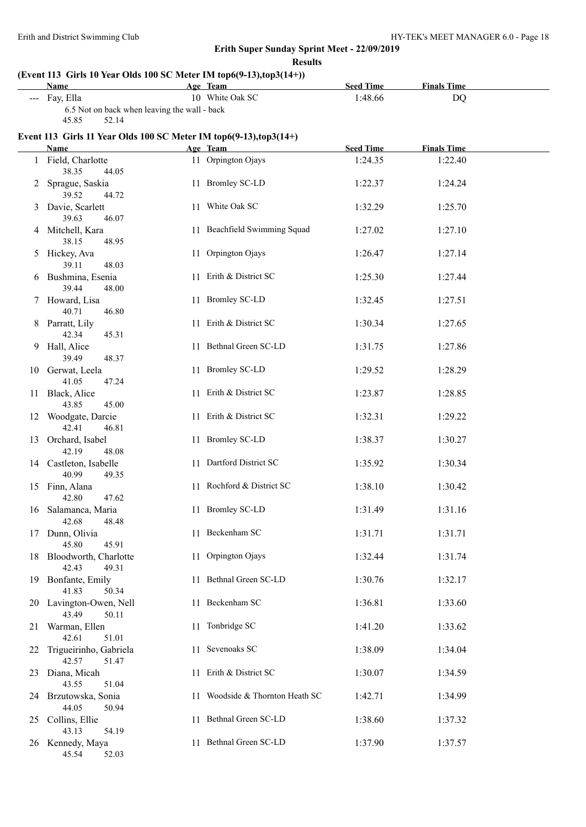**<u>Seed Time</u> Finals Time** 

### **Erith Super Sunday Sprint Meet - 22/09/2019**

**Results**

#### **(Event 113 Girls 10 Year Olds 100 SC Meter IM top6(9-13),top3(14+))**

| Name          | Age Team                                     | <b>Seed Time</b> | <b>Finals Time</b> |
|---------------|----------------------------------------------|------------------|--------------------|
| --- Fay, Ella | 10 White Oak SC                              | 1:48.66          | DO                 |
|               | 6.5 Not on back when leaving the wall - back |                  |                    |
| 45.85         | 52.14                                        |                  |                    |

#### **Event 113 Girls 11 Year Olds 100 SC Meter IM top6(9-13),top3(14+)**

|                                 | Age Team                | EVENT II.3 GIFIS II YEAF OIQS TUU SC METEF IM TOPO(9-13), TOP3(14+)<br><b>Name</b> |     |  |
|---------------------------------|-------------------------|------------------------------------------------------------------------------------|-----|--|
|                                 | 11 Orpington Ojays      | 1 Field, Charlotte                                                                 |     |  |
|                                 |                         | 38.35<br>44.05                                                                     |     |  |
|                                 | 11 Bromley SC-LD        | 2 Sprague, Saskia<br>39.52<br>44.72                                                |     |  |
|                                 | 11 White Oak SC         | 3 Davie, Scarlett<br>39.63<br>46.07                                                |     |  |
| 11 Beachfield Swimming Squad    |                         | 4 Mitchell, Kara                                                                   |     |  |
|                                 | 11 Orpington Ojays      | 38.15<br>48.95<br>5 Hickey, Ava<br>39.11<br>48.03                                  |     |  |
|                                 | 11 Erith & District SC  | Bushmina, Esenia<br>39.44<br>48.00                                                 | 6   |  |
|                                 | 11 Bromley SC-LD        | 7 Howard, Lisa<br>40.71<br>46.80                                                   |     |  |
|                                 | 11 Erith & District SC  | Parratt, Lily<br>42.34<br>45.31                                                    | 8   |  |
| 11 Bethnal Green SC-LD          |                         | Hall, Alice<br>39.49<br>48.37                                                      | 9.  |  |
|                                 | 11 Bromley SC-LD        | 10 Gerwat, Leela                                                                   |     |  |
|                                 | 11 Erith & District SC  | 41.05<br>47.24<br>Black, Alice<br>43.85<br>45.00                                   | 11. |  |
|                                 | 11 Erith & District SC  | 12 Woodgate, Darcie<br>42.41<br>46.81                                              |     |  |
|                                 | 11 Bromley SC-LD        | Orchard, Isabel<br>42.19<br>48.08                                                  | 13  |  |
|                                 | 11 Dartford District SC | 14 Castleton, Isabelle<br>40.99<br>49.35                                           |     |  |
| 11 Rochford & District SC       |                         | Finn, Alana<br>42.80<br>47.62                                                      | 15  |  |
|                                 | 11 Bromley SC-LD        | 16 Salamanca, Maria<br>42.68<br>48.48                                              |     |  |
|                                 | 11 Beckenham SC         | Dunn, Olivia<br>45.80<br>45.91                                                     | 17  |  |
|                                 | 11 Orpington Ojays      | Bloodworth, Charlotte<br>49.31<br>42.43                                            | 18  |  |
| 11 Bethnal Green SC-LD          |                         | 19 Bonfante, Emily<br>41.83<br>50.34                                               |     |  |
|                                 | 11 Beckenham SC         | 20 Lavington-Owen, Nell<br>43.49<br>50.11                                          |     |  |
|                                 | 11 Tonbridge SC         | Warman, Ellen<br>42.61<br>51.01                                                    | 21. |  |
|                                 | 11 Sevenoaks SC         | Trigueirinho, Gabriela<br>42.57<br>51.47                                           | 22  |  |
|                                 | 11 Erith & District SC  | Diana, Micah<br>43.55<br>51.04                                                     | 23  |  |
| 11 Woodside & Thornton Heath SC |                         | 24 Brzutowska, Sonia<br>44.05                                                      |     |  |
| 11 Bethnal Green SC-LD          |                         | 50.94<br>25 Collins, Ellie                                                         |     |  |
| 11 Bethnal Green SC-LD          |                         | 26 Kennedy, Maya<br>52.03<br>45.54                                                 |     |  |
|                                 |                         | 43.13<br>54.19                                                                     |     |  |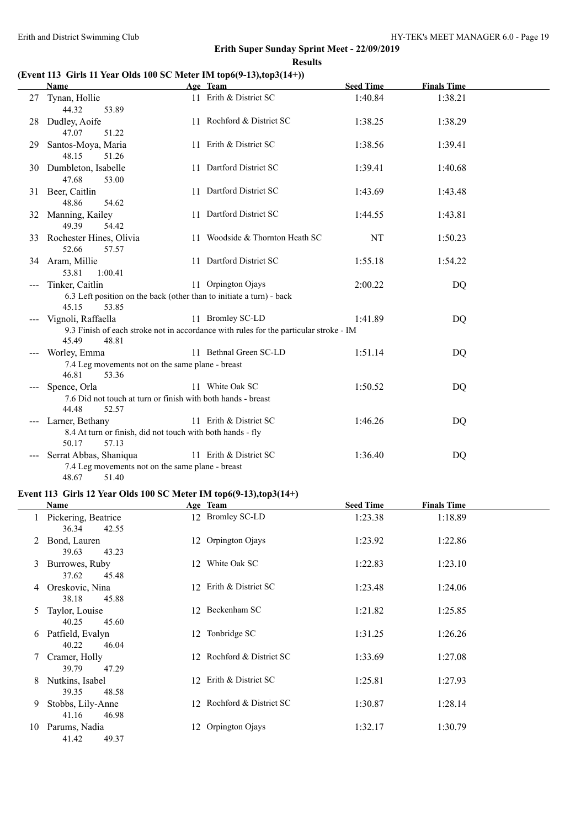#### **(Event 113 Girls 11 Year Olds 100 SC Meter IM top6(9-13),top3(14+))**

|    | <b>Name</b>                                                                             | Age Team                                                                              | <b>Seed Time</b> | <b>Finals Time</b> |  |
|----|-----------------------------------------------------------------------------------------|---------------------------------------------------------------------------------------|------------------|--------------------|--|
| 27 | Tynan, Hollie<br>44.32<br>53.89                                                         | 11 Erith & District SC                                                                | 1:40.84          | 1:38.21            |  |
| 28 | Dudley, Aoife<br>47.07<br>51.22                                                         | 11 Rochford & District SC                                                             | 1:38.25          | 1:38.29            |  |
| 29 | Santos-Moya, Maria<br>48.15<br>51.26                                                    | 11 Erith & District SC                                                                | 1:38.56          | 1:39.41            |  |
|    | 30 Dumbleton, Isabelle<br>47.68<br>53.00                                                | 11 Dartford District SC                                                               | 1:39.41          | 1:40.68            |  |
|    | 31 Beer, Caitlin<br>48.86<br>54.62                                                      | 11 Dartford District SC                                                               | 1:43.69          | 1:43.48            |  |
| 32 | Manning, Kailey<br>49.39<br>54.42                                                       | 11 Dartford District SC                                                               | 1:44.55          | 1:43.81            |  |
|    | 33 Rochester Hines, Olivia<br>52.66<br>57.57                                            | 11 Woodside & Thornton Heath SC                                                       | NT               | 1:50.23            |  |
|    | 34 Aram, Millie<br>53.81<br>1:00.41                                                     | 11 Dartford District SC                                                               | 1:55.18          | 1:54.22            |  |
|    | Tinker, Caitlin<br>6.3 Left position on the back (other than to initiate a turn) - back | 11 Orpington Ojays                                                                    | 2:00.22          | DQ                 |  |
|    | 45.15<br>53.85                                                                          |                                                                                       |                  |                    |  |
|    | --- Vignoli, Raffaella                                                                  | 11 Bromley SC-LD                                                                      | 1:41.89          | DQ                 |  |
|    | 45.49<br>48.81                                                                          | 9.3 Finish of each stroke not in accordance with rules for the particular stroke - IM |                  |                    |  |
|    | Worley, Emma                                                                            | 11 Bethnal Green SC-LD                                                                | 1:51.14          | DQ                 |  |
|    | 7.4 Leg movements not on the same plane - breast                                        |                                                                                       |                  |                    |  |
|    | 46.81<br>53.36                                                                          |                                                                                       |                  |                    |  |
|    | Spence, Orla                                                                            | 11 White Oak SC                                                                       | 1:50.52          | DQ                 |  |
|    | 7.6 Did not touch at turn or finish with both hands - breast<br>44.48<br>52.57          |                                                                                       |                  |                    |  |
|    | Larner, Bethany                                                                         | 11 Erith & District SC                                                                | 1:46.26          | DQ                 |  |
|    | 8.4 At turn or finish, did not touch with both hands - fly                              |                                                                                       |                  |                    |  |
|    | 50.17<br>57.13                                                                          |                                                                                       |                  |                    |  |
|    | Serrat Abbas, Shaniqua                                                                  | 11 Erith & District SC                                                                | 1:36.40          | DQ                 |  |
|    | 7.4 Leg movements not on the same plane - breast                                        |                                                                                       |                  |                    |  |
|    | 48.67<br>51.40                                                                          |                                                                                       |                  |                    |  |

#### **Event 113 Girls 12 Year Olds 100 SC Meter IM top6(9-13),top3(14+)**

|    | Name                                  | Age Team                  | <b>Seed Time</b> | <b>Finals Time</b> |  |
|----|---------------------------------------|---------------------------|------------------|--------------------|--|
|    | Pickering, Beatrice<br>36.34<br>42.55 | 12 Bromley SC-LD          | 1:23.38          | 1:18.89            |  |
| 2  | Bond, Lauren<br>39.63<br>43.23        | 12 Orpington Ojays        | 1:23.92          | 1:22.86            |  |
| 3  | Burrowes, Ruby<br>37.62<br>45.48      | 12 White Oak SC           | 1:22.83          | 1:23.10            |  |
| 4  | Oreskovic, Nina<br>38.18<br>45.88     | 12 Erith & District SC    | 1:23.48          | 1:24.06            |  |
| 5  | Taylor, Louise<br>40.25<br>45.60      | 12 Beckenham SC           | 1:21.82          | 1:25.85            |  |
| 6  | Patfield, Evalyn<br>40.22<br>46.04    | 12 Tonbridge SC           | 1:31.25          | 1:26.26            |  |
| 7  | Cramer, Holly<br>39.79<br>47.29       | 12 Rochford & District SC | 1:33.69          | 1:27.08            |  |
| 8  | Nutkins, Isabel<br>39.35<br>48.58     | 12 Erith & District SC    | 1:25.81          | 1:27.93            |  |
| 9  | Stobbs, Lily-Anne<br>41.16<br>46.98   | 12 Rochford & District SC | 1:30.87          | 1:28.14            |  |
| 10 | Parums, Nadia<br>41.42<br>49.37       | 12 Orpington Ojays        | 1:32.17          | 1:30.79            |  |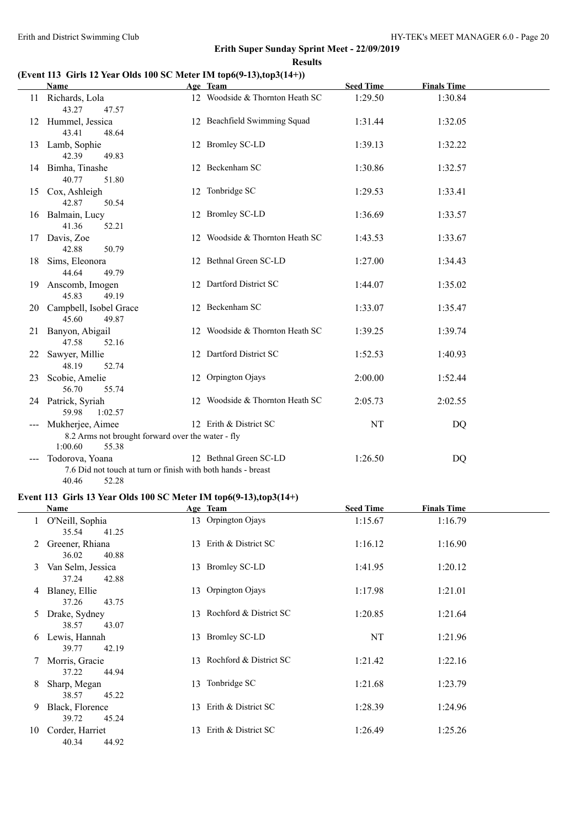**Results**

#### **(Event 113 Girls 12 Year Olds 100 SC Meter IM top6(9-13),top3(14+))**

|                      | Name                                                         | Age Team                        | <b>Seed Time</b> | <b>Finals Time</b> |  |
|----------------------|--------------------------------------------------------------|---------------------------------|------------------|--------------------|--|
| 11                   | Richards, Lola<br>43.27<br>47.57                             | 12 Woodside & Thornton Heath SC | 1:29.50          | 1:30.84            |  |
| 12                   | Hummel, Jessica                                              | 12 Beachfield Swimming Squad    | 1:31.44          | 1:32.05            |  |
|                      | 43.41<br>48.64                                               |                                 |                  |                    |  |
|                      | 13 Lamb, Sophie                                              | 12 Bromley SC-LD                | 1:39.13          | 1:32.22            |  |
|                      | 42.39<br>49.83                                               |                                 |                  |                    |  |
|                      | 14 Bimha, Tinashe                                            | 12 Beckenham SC                 | 1:30.86          | 1:32.57            |  |
|                      | 40.77<br>51.80                                               |                                 |                  |                    |  |
|                      | 15 Cox, Ashleigh                                             | 12 Tonbridge SC                 | 1:29.53          | 1:33.41            |  |
|                      | 42.87<br>50.54                                               |                                 |                  |                    |  |
|                      | 16 Balmain, Lucy                                             | 12 Bromley SC-LD                | 1:36.69          | 1:33.57            |  |
|                      | 41.36<br>52.21                                               |                                 |                  |                    |  |
| 17                   | Davis, Zoe                                                   | 12 Woodside & Thornton Heath SC | 1:43.53          | 1:33.67            |  |
|                      | 42.88<br>50.79                                               |                                 |                  |                    |  |
| 18                   | Sims, Eleonora                                               | 12 Bethnal Green SC-LD          | 1:27.00          | 1:34.43            |  |
|                      | 44.64<br>49.79                                               |                                 |                  |                    |  |
| 19                   | Anscomb, Imogen                                              | 12 Dartford District SC         | 1:44.07          | 1:35.02            |  |
|                      | 45.83<br>49.19                                               | 12 Beckenham SC                 |                  |                    |  |
| 20                   | Campbell, Isobel Grace<br>45.60<br>49.87                     |                                 | 1:33.07          | 1:35.47            |  |
| 21                   |                                                              | 12 Woodside & Thornton Heath SC | 1:39.25          | 1:39.74            |  |
|                      | Banyon, Abigail<br>47.58<br>52.16                            |                                 |                  |                    |  |
| 22                   | Sawyer, Millie                                               | 12 Dartford District SC         | 1:52.53          | 1:40.93            |  |
|                      | 48.19<br>52.74                                               |                                 |                  |                    |  |
| 23                   | Scobie, Amelie                                               | 12 Orpington Ojays              | 2:00.00          | 1:52.44            |  |
|                      | 56.70<br>55.74                                               |                                 |                  |                    |  |
|                      | 24 Patrick, Syriah                                           | 12 Woodside & Thornton Heath SC | 2:05.73          | 2:02.55            |  |
|                      | 59.98<br>1:02.57                                             |                                 |                  |                    |  |
| $\sim$ $\sim$ $\sim$ | Mukherjee, Aimee                                             | 12 Erith & District SC          | NT               | DQ                 |  |
|                      | 8.2 Arms not brought forward over the water - fly            |                                 |                  |                    |  |
|                      | 1:00.60<br>55.38                                             |                                 |                  |                    |  |
|                      | Todorova, Yoana                                              | 12 Bethnal Green SC-LD          | 1:26.50          | DQ                 |  |
|                      | 7.6 Did not touch at turn or finish with both hands - breast |                                 |                  |                    |  |
|                      | 40.46<br>52.28                                               |                                 |                  |                    |  |

#### **Event 113 Girls 13 Year Olds 100 SC Meter IM top6(9-13),top3(14+)**

|    | Name                                |    | Age Team               | <b>Seed Time</b> | <b>Finals Time</b> |
|----|-------------------------------------|----|------------------------|------------------|--------------------|
|    | O'Neill, Sophia<br>35.54<br>41.25   |    | 13 Orpington Ojays     | 1:15.67          | 1:16.79            |
| 2  | Greener, Rhiana<br>36.02<br>40.88   | 13 | Erith & District SC    | 1:16.12          | 1:16.90            |
| 3  | Van Selm, Jessica<br>37.24<br>42.88 | 13 | Bromley SC-LD          | 1:41.95          | 1:20.12            |
| 4  | Blaney, Ellie<br>37.26<br>43.75     | 13 | Orpington Ojays        | 1:17.98          | 1:21.01            |
| 5  | Drake, Sydney<br>38.57<br>43.07     | 13 | Rochford & District SC | 1:20.85          | 1:21.64            |
| 6  | Lewis, Hannah<br>42.19<br>39.77     |    | 13 Bromley SC-LD       | NT               | 1:21.96            |
|    | Morris, Gracie<br>44.94<br>37.22    | 13 | Rochford & District SC | 1:21.42          | 1:22.16            |
| 8  | Sharp, Megan<br>38.57<br>45.22      | 13 | Tonbridge SC           | 1:21.68          | 1:23.79            |
| 9  | Black, Florence<br>39.72<br>45.24   | 13 | Erith & District SC    | 1:28.39          | 1:24.96            |
| 10 | Corder, Harriet<br>40.34<br>44.92   | 13 | Erith & District SC    | 1:26.49          | 1:25.26            |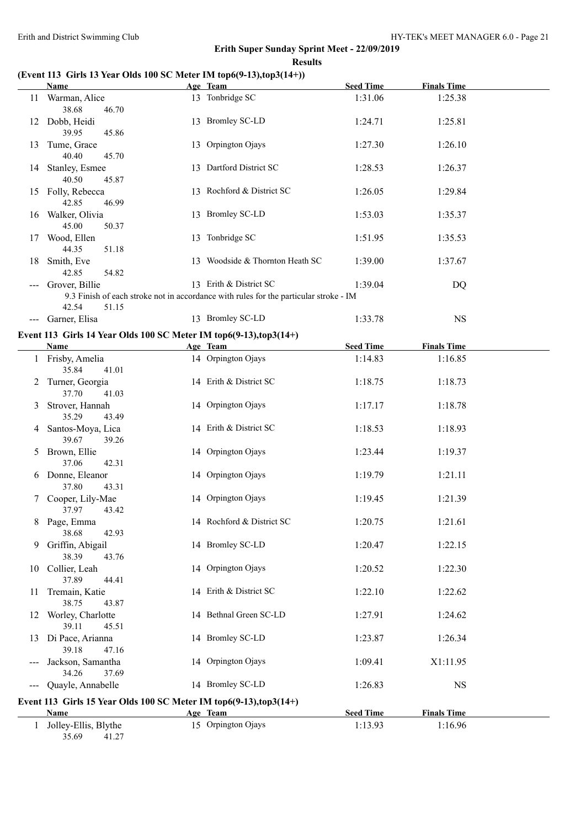### **(Event 113 Girls 13 Year Olds 100 SC Meter IM top6(9-13),top3(14+))**

|   | Name                                                               | Age Team                                                                                                        | <b>Seed Time</b> | <b>Finals Time</b> |  |
|---|--------------------------------------------------------------------|-----------------------------------------------------------------------------------------------------------------|------------------|--------------------|--|
|   | 11 Warman, Alice<br>38.68<br>46.70                                 | 13 Tonbridge SC                                                                                                 | 1:31.06          | 1:25.38            |  |
|   | 12 Dobb, Heidi<br>39.95<br>45.86                                   | 13 Bromley SC-LD                                                                                                | 1:24.71          | 1:25.81            |  |
|   | 13 Tume, Grace<br>40.40<br>45.70                                   | 13 Orpington Ojays                                                                                              | 1:27.30          | 1:26.10            |  |
|   | 14 Stanley, Esmee<br>40.50<br>45.87                                | 13 Dartford District SC                                                                                         | 1:28.53          | 1:26.37            |  |
|   | 15 Folly, Rebecca<br>42.85<br>46.99                                | 13 Rochford & District SC                                                                                       | 1:26.05          | 1:29.84            |  |
|   | 16 Walker, Olivia<br>45.00<br>50.37                                | 13 Bromley SC-LD                                                                                                | 1:53.03          | 1:35.37            |  |
|   | 17 Wood, Ellen<br>44.35<br>51.18                                   | 13 Tonbridge SC                                                                                                 | 1:51.95          | 1:35.53            |  |
|   | 18 Smith, Eve<br>42.85<br>54.82                                    | 13 Woodside & Thornton Heath SC                                                                                 | 1:39.00          | 1:37.67            |  |
|   | --- Grover, Billie<br>42.54<br>51.15                               | 13 Erith & District SC<br>9.3 Finish of each stroke not in accordance with rules for the particular stroke - IM | 1:39.04          | <b>DQ</b>          |  |
|   | --- Garner, Elisa                                                  | 13 Bromley SC-LD                                                                                                | 1:33.78          | <b>NS</b>          |  |
|   | Event 113 Girls 14 Year Olds 100 SC Meter IM top6(9-13), top3(14+) |                                                                                                                 |                  |                    |  |
|   | Name                                                               | Age Team                                                                                                        | <b>Seed Time</b> | <b>Finals Time</b> |  |
|   | 1 Frisby, Amelia<br>35.84<br>41.01                                 | 14 Orpington Ojays                                                                                              | 1:14.83          | 1:16.85            |  |
|   | 2 Turner, Georgia<br>37.70<br>41.03                                | 14 Erith & District SC                                                                                          | 1:18.75          | 1:18.73            |  |
| 3 | Strover, Hannah<br>35.29<br>43.49                                  | 14 Orpington Ojays                                                                                              | 1:17.17          | 1:18.78            |  |
|   | 4 Santos-Moya, Lica<br>39.67<br>39.26                              | 14 Erith & District SC                                                                                          | 1:18.53          | 1:18.93            |  |
| 5 | Brown, Ellie<br>37.06<br>42.31                                     | 14 Orpington Ojays                                                                                              | 1:23.44          | 1:19.37            |  |
| 6 | Donne, Eleanor<br>37.80<br>43.31                                   | 14 Orpington Ojays                                                                                              | 1:19.79          | 1:21.11            |  |
| 7 | Cooper, Lily-Mae<br>37.97 43.42                                    | 14 Orpington Ojays                                                                                              | 1:19.45          | 1:21.39            |  |

|    | 43.42<br>37.97        |                                                                    |                  |                    |  |
|----|-----------------------|--------------------------------------------------------------------|------------------|--------------------|--|
| 8  | Page, Emma            | 14 Rochford & District SC                                          | 1:20.75          | 1:21.61            |  |
|    | 38.68<br>42.93        |                                                                    |                  |                    |  |
| 9. | Griffin, Abigail      | 14 Bromley SC-LD                                                   | 1:20.47          | 1:22.15            |  |
|    | 38.39<br>43.76        |                                                                    |                  |                    |  |
| 10 | Collier, Leah         | 14 Orpington Ojays                                                 | 1:20.52          | 1:22.30            |  |
|    | 37.89<br>44.41        |                                                                    |                  |                    |  |
| 11 | Tremain, Katie        | 14 Erith & District SC                                             | 1:22.10          | 1:22.62            |  |
|    | 38.75<br>43.87        |                                                                    |                  |                    |  |
| 12 | Worley, Charlotte     | 14 Bethnal Green SC-LD                                             | 1:27.91          | 1:24.62            |  |
|    | 39.11<br>45.51        |                                                                    |                  |                    |  |
| 13 | Di Pace, Arianna      | 14 Bromley SC-LD                                                   | 1:23.87          | 1:26.34            |  |
|    | 39.18<br>47.16        |                                                                    |                  |                    |  |
|    | Jackson, Samantha     | 14 Orpington Ojays                                                 | 1:09.41          | X1:11.95           |  |
|    | 34.26<br>37.69        |                                                                    |                  |                    |  |
|    | --- Quayle, Annabelle | 14 Bromley SC-LD                                                   | 1:26.83          | <b>NS</b>          |  |
|    |                       | Event 113 Girls 15 Year Olds 100 SC Meter IM top6(9-13), top3(14+) |                  |                    |  |
|    | Name                  | Age Team                                                           | <b>Seed Time</b> | <b>Finals Time</b> |  |
|    | Jolley-Ellis, Blythe  | 15 Orpington Ojays                                                 | 1:13.93          | 1:16.96            |  |
|    | 41.27<br>35.69        |                                                                    |                  |                    |  |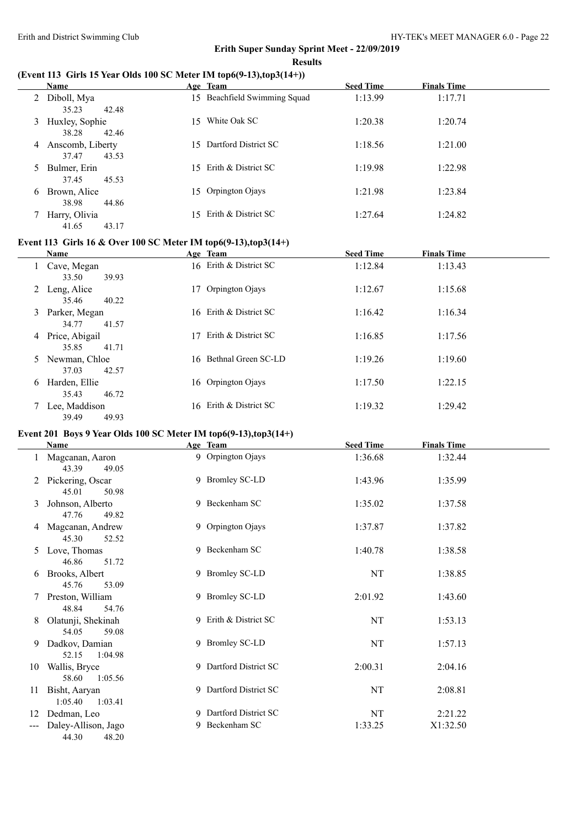$\overline{\phantom{a}}$ 

#### **Erith Super Sunday Sprint Meet - 22/09/2019 Results**

#### **(Event 113 Girls 15 Year Olds 100 SC Meter IM top6(9-13),top3(14+))**

|   | <b>Name</b>                        |     | Age Team                     | <b>Seed Time</b> | <b>Finals Time</b> |
|---|------------------------------------|-----|------------------------------|------------------|--------------------|
| 2 | Diboll, Mya<br>35.23<br>42.48      |     | 15 Beachfield Swimming Squad | 1:13.99          | 1:17.71            |
| 3 | Huxley, Sophie<br>38.28<br>42.46   | 15. | White Oak SC                 | 1:20.38          | 1:20.74            |
| 4 | Anscomb, Liberty<br>37.47<br>43.53 | 15  | Dartford District SC         | 1:18.56          | 1:21.00            |
| 5 | Bulmer, Erin<br>45.53<br>37.45     |     | 15 Erith & District SC       | 1:19.98          | 1:22.98            |
| 6 | Brown, Alice<br>38.98<br>44.86     |     | 15 Orpington Ojays           | 1:21.98          | 1:23.84            |
|   | Harry, Olivia<br>41.65<br>43.17    | 15. | Erith & District SC          | 1:27.64          | 1:24.82            |

#### **Event 113 Girls 16 & Over 100 SC Meter IM top6(9-13),top3(14+)**

|   | Name             |    | Age Team               | <b>Seed Time</b> | <b>Finals Time</b> |  |
|---|------------------|----|------------------------|------------------|--------------------|--|
|   | 1 Cave, Megan    |    | 16 Erith & District SC | 1:12.84          | 1:13.43            |  |
|   | 39.93<br>33.50   |    |                        |                  |                    |  |
|   | 2 Leng, Alice    | 17 | Orpington Ojays        | 1:12.67          | 1:15.68            |  |
|   | 40.22<br>35.46   |    |                        |                  |                    |  |
|   | 3 Parker, Megan  |    | 16 Erith & District SC | 1:16.42          | 1:16.34            |  |
|   | 34.77<br>41.57   |    |                        |                  |                    |  |
|   | 4 Price, Abigail | 17 | Erith & District SC    | 1:16.85          | 1:17.56            |  |
|   | 35.85<br>41.71   |    |                        |                  |                    |  |
|   | 5 Newman, Chloe  |    | 16 Bethnal Green SC-LD | 1:19.26          | 1:19.60            |  |
|   | 37.03<br>42.57   |    |                        |                  |                    |  |
| 6 | Harden, Ellie    | 16 | Orpington Ojays        | 1:17.50          | 1:22.15            |  |
|   | 46.72<br>35.43   |    |                        |                  |                    |  |
|   | Lee, Maddison    |    | 16 Erith & District SC | 1:19.32          | 1:29.42            |  |
|   | 39.49<br>49.93   |    |                        |                  |                    |  |

#### **Event 201 Boys 9 Year Olds 100 SC Meter IM top6(9-13),top3(14+)**

|     | Name                                  | Age Team               | <b>Seed Time</b> | <b>Finals Time</b> |  |
|-----|---------------------------------------|------------------------|------------------|--------------------|--|
|     | Magcanan, Aaron<br>43.39<br>49.05     | 9 Orpington Ojays      | 1:36.68          | 1:32.44            |  |
|     | Pickering, Oscar<br>45.01<br>50.98    | 9 Bromley SC-LD        | 1:43.96          | 1:35.99            |  |
| 3   | Johnson, Alberto<br>47.76<br>49.82    | 9 Beckenham SC         | 1:35.02          | 1:37.58            |  |
| 4   | Magcanan, Andrew<br>45.30<br>52.52    | 9 Orpington Ojays      | 1:37.87          | 1:37.82            |  |
| 5.  | Love, Thomas<br>46.86<br>51.72        | 9 Beckenham SC         | 1:40.78          | 1:38.58            |  |
| 6   | Brooks, Albert<br>45.76<br>53.09      | 9 Bromley SC-LD        | NT               | 1:38.85            |  |
|     | Preston, William<br>48.84<br>54.76    | 9 Bromley SC-LD        | 2:01.92          | 1:43.60            |  |
| 8   | Olatunji, Shekinah<br>54.05<br>59.08  | 9 Erith & District SC  | NT               | 1:53.13            |  |
| 9   | Dadkov, Damian<br>52.15<br>1:04.98    | 9 Bromley SC-LD        | NT               | 1:57.13            |  |
| 10  | Wallis, Bryce<br>58.60<br>1:05.56     | 9 Dartford District SC | 2:00.31          | 2:04.16            |  |
| 11  | Bisht, Aaryan<br>1:05.40<br>1:03.41   | 9 Dartford District SC | NT               | 2:08.81            |  |
| 12  | Dedman, Leo                           | 9 Dartford District SC | NT               | 2:21.22            |  |
| --- | Daley-Allison, Jago<br>44.30<br>48.20 | 9 Beckenham SC         | 1:33.25          | X1:32.50           |  |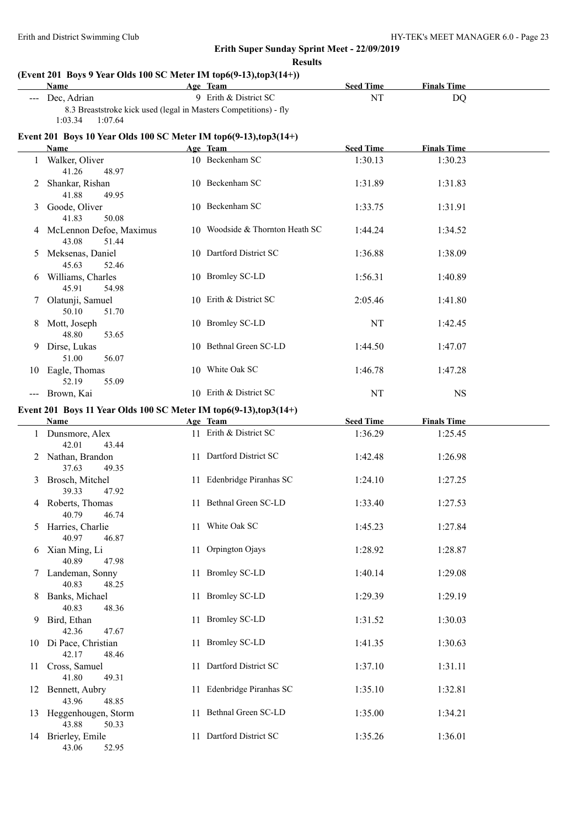**<u>Seed Time</u> Finals Time** 

#### **Erith Super Sunday Sprint Meet - 22/09/2019**

**Results**

#### **(Event 201 Boys 9 Year Olds 100 SC Meter IM top6(9-13),top3(14+))**

| Name               | Age Team                                                         | <b>Seed Time</b> | <b>Finals Time</b> |
|--------------------|------------------------------------------------------------------|------------------|--------------------|
| --- Dec. Adrian    | 9 Erith & District SC                                            | <b>NT</b>        | DO                 |
|                    | 8.3 Breaststroke kick used (legal in Masters Competitions) - fly |                  |                    |
| 1:03.34<br>1:07.64 |                                                                  |                  |                    |

#### **Event 201 Boys 10 Year Olds 100 SC Meter IM top6(9-13),top3(14+)**

|                        | Name                    |    | Age Team                        | <b>Seed Time</b> | <b>Finals Time</b> |  |
|------------------------|-------------------------|----|---------------------------------|------------------|--------------------|--|
|                        | Walker, Oliver          |    | 10 Beckenham SC                 | 1:30.13          | 1:30.23            |  |
|                        | 48.97<br>41.26          |    |                                 |                  |                    |  |
| 2                      | Shankar, Rishan         |    | 10 Beckenham SC                 | 1:31.89          | 1:31.83            |  |
|                        | 41.88<br>49.95          |    |                                 |                  |                    |  |
| 3                      | Goode, Oliver           |    | 10 Beckenham SC                 | 1:33.75          | 1:31.91            |  |
|                        | 41.83<br>50.08          |    |                                 |                  |                    |  |
| 4                      | McLennon Defoe, Maximus |    | 10 Woodside & Thornton Heath SC | 1:44.24          | 1:34.52            |  |
|                        | 43.08<br>51.44          |    |                                 |                  |                    |  |
| 5                      | Meksenas, Daniel        |    | 10 Dartford District SC         | 1:36.88          | 1:38.09            |  |
|                        | 52.46<br>45.63          |    |                                 |                  |                    |  |
| 6                      | Williams, Charles       |    | 10 Bromley SC-LD                | 1:56.31          | 1:40.89            |  |
|                        | 45.91<br>54.98          |    |                                 |                  |                    |  |
| 7                      | Olatunji, Samuel        |    | 10 Erith & District SC          | 2:05.46          | 1:41.80            |  |
|                        | 50.10<br>51.70          |    |                                 |                  |                    |  |
| 8                      | Mott, Joseph            |    | 10 Bromley SC-LD                | NT               | 1:42.45            |  |
|                        | 48.80<br>53.65          |    |                                 |                  |                    |  |
| 9                      | Dirse, Lukas            |    | 10 Bethnal Green SC-LD          | 1:44.50          | 1:47.07            |  |
|                        | 51.00<br>56.07          |    |                                 |                  |                    |  |
| 10                     | Eagle, Thomas           |    | 10 White Oak SC                 | 1:46.78          | 1:47.28            |  |
|                        | 52.19<br>55.09          |    |                                 |                  |                    |  |
| $\qquad \qquad \cdots$ | Brown, Kai              | 10 | Erith & District SC             | NT               | <b>NS</b>          |  |

#### **Event 201 Boys 11 Year Olds 100 SC Meter IM top6(9-13),top3(14+)**

|    | Name                                  | Age Team                  | <b>Seed Time</b> | <b>Finals Time</b> |  |
|----|---------------------------------------|---------------------------|------------------|--------------------|--|
|    | Dunsmore, Alex<br>42.01<br>43.44      | 11 Erith & District SC    | 1:36.29          | 1:25.45            |  |
|    | Nathan, Brandon<br>37.63<br>49.35     | 11 Dartford District SC   | 1:42.48          | 1:26.98            |  |
| 3  | Brosch, Mitchel<br>47.92<br>39.33     | 11 Edenbridge Piranhas SC | 1:24.10          | 1:27.25            |  |
| 4  | Roberts, Thomas<br>40.79<br>46.74     | 11 Bethnal Green SC-LD    | 1:33.40          | 1:27.53            |  |
| 5  | Harries, Charlie<br>40.97<br>46.87    | 11 White Oak SC           | 1:45.23          | 1:27.84            |  |
| 6  | Xian Ming, Li<br>40.89<br>47.98       | 11 Orpington Ojays        | 1:28.92          | 1:28.87            |  |
|    | Landeman, Sonny<br>40.83<br>48.25     | 11 Bromley SC-LD          | 1:40.14          | 1:29.08            |  |
| 8  | Banks, Michael<br>40.83<br>48.36      | 11 Bromley SC-LD          | 1:29.39          | 1:29.19            |  |
| 9  | Bird, Ethan<br>42.36<br>47.67         | 11 Bromley SC-LD          | 1:31.52          | 1:30.03            |  |
| 10 | Di Pace, Christian<br>42.17<br>48.46  | 11 Bromley SC-LD          | 1:41.35          | 1:30.63            |  |
| 11 | Cross, Samuel<br>41.80<br>49.31       | 11 Dartford District SC   | 1:37.10          | 1:31.11            |  |
| 12 | Bennett, Aubry<br>43.96<br>48.85      | 11 Edenbridge Piranhas SC | 1:35.10          | 1:32.81            |  |
| 13 | Heggenhougen, Storm<br>43.88<br>50.33 | 11 Bethnal Green SC-LD    | 1:35.00          | 1:34.21            |  |
| 14 | Brierley, Emile<br>43.06<br>52.95     | 11 Dartford District SC   | 1:35.26          | 1:36.01            |  |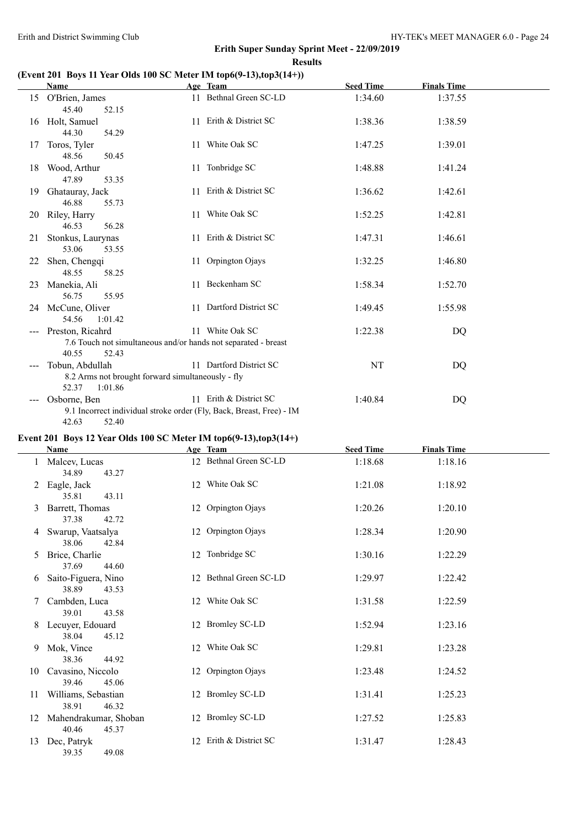#### **Results**

#### **(Event 201 Boys 11 Year Olds 100 SC Meter IM top6(9-13),top3(14+))**

|    | <b>Name</b>                                                                                              |    | Age Team                | <b>Seed Time</b> | <b>Finals Time</b> |  |
|----|----------------------------------------------------------------------------------------------------------|----|-------------------------|------------------|--------------------|--|
| 15 | O'Brien, James<br>45.40<br>52.15                                                                         |    | 11 Bethnal Green SC-LD  | 1:34.60          | 1:37.55            |  |
| 16 | Holt, Samuel<br>44.30<br>54.29                                                                           |    | 11 Erith & District SC  | 1:38.36          | 1:38.59            |  |
| 17 | Toros, Tyler<br>48.56<br>50.45                                                                           |    | 11 White Oak SC         | 1:47.25          | 1:39.01            |  |
| 18 | Wood, Arthur<br>47.89<br>53.35                                                                           | 11 | Tonbridge SC            | 1:48.88          | 1:41.24            |  |
| 19 | Ghatauray, Jack<br>46.88<br>55.73                                                                        |    | 11 Erith & District SC  | 1:36.62          | 1:42.61            |  |
| 20 | Riley, Harry<br>46.53<br>56.28                                                                           |    | 11 White Oak SC         | 1:52.25          | 1:42.81            |  |
| 21 | Stonkus, Laurynas<br>53.06<br>53.55                                                                      |    | 11 Erith & District SC  | 1:47.31          | 1:46.61            |  |
| 22 | Shen, Chengqi<br>48.55<br>58.25                                                                          |    | 11 Orpington Ojays      | 1:32.25          | 1:46.80            |  |
| 23 | Manekia, Ali<br>56.75<br>55.95                                                                           |    | 11 Beckenham SC         | 1:58.34          | 1:52.70            |  |
|    | 24 McCune, Oliver<br>54.56<br>1:01.42                                                                    |    | 11 Dartford District SC | 1:49.45          | 1:55.98            |  |
|    | --- Preston, Ricahrd<br>7.6 Touch not simultaneous and/or hands not separated - breast<br>40.55<br>52.43 |    | 11 White Oak SC         | 1:22.38          | <b>DQ</b>          |  |
|    | Tobun, Abdullah<br>8.2 Arms not brought forward simultaneously - fly<br>52.37<br>1:01.86                 |    | 11 Dartford District SC | NT               | DQ                 |  |
|    | Osborne, Ben<br>9.1 Incorrect individual stroke order (Fly, Back, Breast, Free) - IM<br>42.63<br>52.40   |    | 11 Erith & District SC  | 1:40.84          | DQ                 |  |

#### **Event 201 Boys 12 Year Olds 100 SC Meter IM top6(9-13),top3(14+)**

|    | <b>Name</b>                             |    | Age Team               | <b>Seed Time</b> | <b>Finals Time</b> |  |
|----|-----------------------------------------|----|------------------------|------------------|--------------------|--|
|    | Malcev, Lucas<br>34.89<br>43.27         |    | 12 Bethnal Green SC-LD | 1:18.68          | 1:18.16            |  |
| 2  | Eagle, Jack<br>35.81<br>43.11           |    | 12 White Oak SC        | 1:21.08          | 1:18.92            |  |
| 3  | Barrett, Thomas<br>37.38<br>42.72       |    | 12 Orpington Ojays     | 1:20.26          | 1:20.10            |  |
| 4  | Swarup, Vaatsalya<br>38.06<br>42.84     |    | 12 Orpington Ojays     | 1:28.34          | 1:20.90            |  |
| 5  | Brice, Charlie<br>37.69<br>44.60        |    | 12 Tonbridge SC        | 1:30.16          | 1:22.29            |  |
| 6  | Saito-Figuera, Nino<br>38.89<br>43.53   |    | 12 Bethnal Green SC-LD | 1:29.97          | 1:22.42            |  |
| 7  | Cambden, Luca<br>39.01<br>43.58         |    | 12 White Oak SC        | 1:31.58          | 1:22.59            |  |
| 8  | Lecuyer, Edouard<br>38.04<br>45.12      |    | 12 Bromley SC-LD       | 1:52.94          | 1:23.16            |  |
| 9  | Mok, Vince<br>38.36<br>44.92            |    | 12 White Oak SC        | 1:29.81          | 1:23.28            |  |
| 10 | Cavasino, Niccolo<br>39.46<br>45.06     |    | 12 Orpington Ojays     | 1:23.48          | 1:24.52            |  |
| 11 | Williams, Sebastian<br>38.91<br>46.32   |    | 12 Bromley SC-LD       | 1:31.41          | 1:25.23            |  |
| 12 | Mahendrakumar, Shoban<br>40.46<br>45.37 |    | 12 Bromley SC-LD       | 1:27.52          | 1:25.83            |  |
| 13 | Dec, Patryk<br>39.35<br>49.08           | 12 | Erith & District SC    | 1:31.47          | 1:28.43            |  |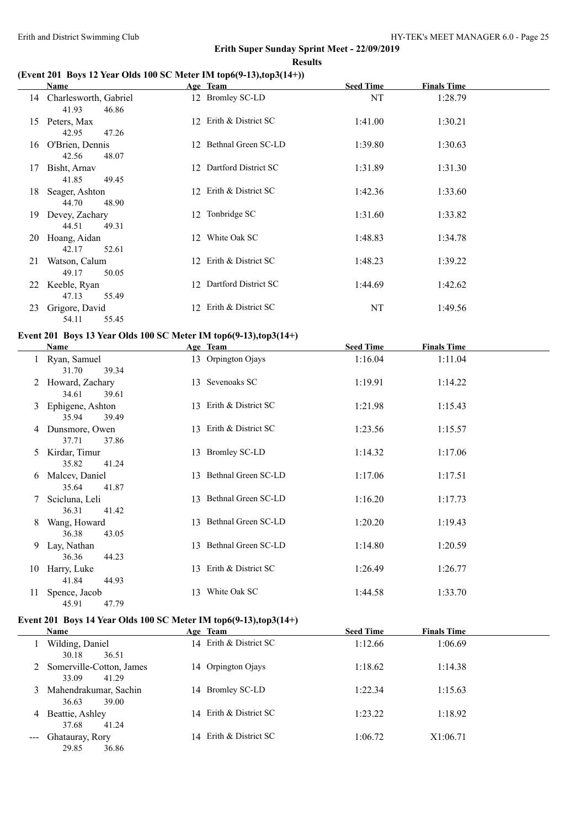#### **(Event 201 Boys 12 Year Olds 100 SC Meter IM top6(9-13),top3(14+))**

|    | Name                                       | Age Team                | <b>Seed Time</b> | <b>Finals Time</b> |  |
|----|--------------------------------------------|-------------------------|------------------|--------------------|--|
|    | 14 Charlesworth, Gabriel<br>41.93<br>46.86 | 12 Bromley SC-LD        | NT               | 1:28.79            |  |
| 15 | Peters, Max<br>42.95<br>47.26              | 12 Erith & District SC  | 1:41.00          | 1:30.21            |  |
| 16 | O'Brien, Dennis<br>48.07<br>42.56          | 12 Bethnal Green SC-LD  | 1:39.80          | 1:30.63            |  |
| 17 | Bisht, Arnav<br>41.85<br>49.45             | 12 Dartford District SC | 1:31.89          | 1:31.30            |  |
| 18 | Seager, Ashton<br>44.70<br>48.90           | 12 Erith & District SC  | 1:42.36          | 1:33.60            |  |
| 19 | Devey, Zachary<br>44.51<br>49.31           | 12 Tonbridge SC         | 1:31.60          | 1:33.82            |  |
| 20 | Hoang, Aidan<br>42.17<br>52.61             | 12 White Oak SC         | 1:48.83          | 1:34.78            |  |
| 21 | Watson, Calum<br>49.17<br>50.05            | 12 Erith & District SC  | 1:48.23          | 1:39.22            |  |
| 22 | Keeble, Ryan<br>47.13<br>55.49             | 12 Dartford District SC | 1:44.69          | 1:42.62            |  |
| 23 | Grigore, David<br>55.45<br>54.11           | 12 Erith & District SC  | NT               | 1:49.56            |  |

#### **Event 201 Boys 13 Year Olds 100 SC Meter IM top6(9-13),top3(14+)**

|    | Name                               |    | Age Team               | <b>Seed Time</b> | <b>Finals Time</b> |
|----|------------------------------------|----|------------------------|------------------|--------------------|
|    | Ryan, Samuel<br>39.34<br>31.70     |    | 13 Orpington Ojays     | 1:16.04          | 1:11.04            |
| 2  | Howard, Zachary<br>34.61<br>39.61  | 13 | Sevenoaks SC           | 1:19.91          | 1:14.22            |
| 3  | Ephigene, Ashton<br>39.49<br>35.94 |    | 13 Erith & District SC | 1:21.98          | 1:15.43            |
| 4  | Dunsmore, Owen<br>37.71<br>37.86   |    | 13 Erith & District SC | 1:23.56          | 1:15.57            |
| 5  | Kirdar, Timur<br>35.82<br>41.24    |    | 13 Bromley SC-LD       | 1:14.32          | 1:17.06            |
| 6  | Malcev, Daniel<br>35.64<br>41.87   | 13 | Bethnal Green SC-LD    | 1:17.06          | 1:17.51            |
|    | Scicluna, Leli<br>36.31<br>41.42   | 13 | Bethnal Green SC-LD    | 1:16.20          | 1:17.73            |
| 8  | Wang, Howard<br>36.38<br>43.05     | 13 | Bethnal Green SC-LD    | 1:20.20          | 1:19.43            |
| 9  | Lay, Nathan<br>44.23<br>36.36      | 13 | Bethnal Green SC-LD    | 1:14.80          | 1:20.59            |
| 10 | Harry, Luke<br>41.84<br>44.93      | 13 | Erith & District SC    | 1:26.49          | 1:26.77            |
| 11 | Spence, Jacob<br>45.91<br>47.79    | 13 | White Oak SC           | 1:44.58          | 1:33.70            |

#### **Event 201 Boys 14 Year Olds 100 SC Meter IM top6(9-13),top3(14+)**

|                     | Name                                         |    | Age Team               | <b>Seed Time</b> | <b>Finals Time</b> |  |
|---------------------|----------------------------------------------|----|------------------------|------------------|--------------------|--|
|                     | Wilding, Daniel<br>36.51<br>30.18            |    | 14 Erith & District SC | 1:12.66          | 1:06.69            |  |
|                     | 2 Somerville-Cotton, James<br>41.29<br>33.09 |    | 14 Orpington Ojays     | 1:18.62          | 1:14.38            |  |
| 3                   | Mahendrakumar, Sachin<br>36.63<br>39.00      |    | 14 Bromley SC-LD       | 1:22.34          | 1:15.63            |  |
| 4                   | Beattie, Ashley<br>41.24<br>37.68            |    | 14 Erith & District SC | 1:23.22          | 1:18.92            |  |
| $\qquad \qquad - -$ | Ghatauray, Rory<br>36.86<br>29.85            | 14 | Erith & District SC    | 1:06.72          | X1:06.71           |  |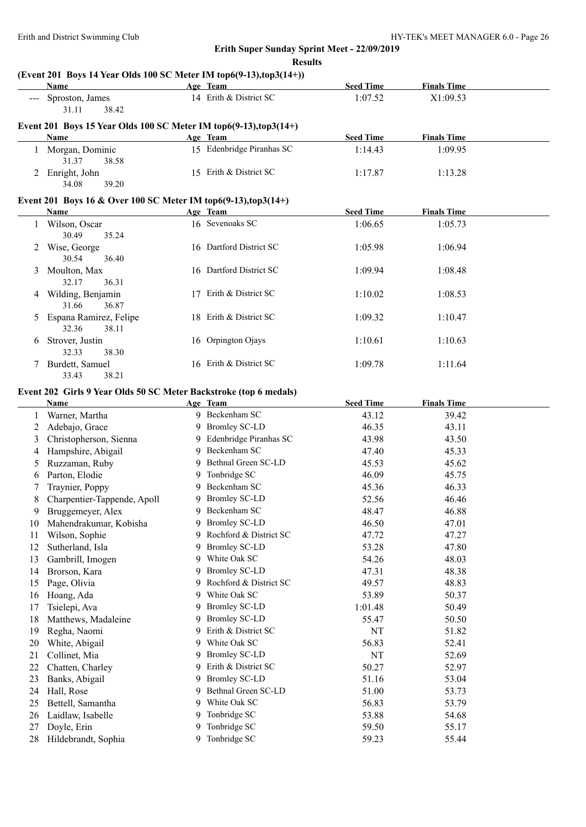**Results**

|                     | (Event 201 Boys 14 Year Olds 100 SC Meter IM top6(9-13), top3(14+))<br>Name |    | Age Team                  | <b>Seed Time</b> | <b>Finals Time</b> |  |
|---------------------|-----------------------------------------------------------------------------|----|---------------------------|------------------|--------------------|--|
| $\qquad \qquad - -$ | Sproston, James<br>31.11<br>38.42                                           |    | 14 Erith & District SC    | 1:07.52          | X1:09.53           |  |
|                     | Event 201 Boys 15 Year Olds 100 SC Meter IM top6(9-13), top3(14+)           |    |                           |                  |                    |  |
|                     | Name                                                                        |    | Age Team                  | <b>Seed Time</b> | <b>Finals Time</b> |  |
| 1                   | Morgan, Dominic<br>31.37<br>38.58                                           |    | 15 Edenbridge Piranhas SC | 1:14.43          | 1:09.95            |  |
|                     | 2 Enright, John<br>34.08<br>39.20                                           |    | 15 Erith & District SC    | 1:17.87          | 1:13.28            |  |
|                     | Event 201 Boys 16 & Over 100 SC Meter IM top6(9-13), top3(14+)              |    |                           |                  |                    |  |
|                     | <b>Name</b>                                                                 |    | Age Team                  | <b>Seed Time</b> | <b>Finals Time</b> |  |
| $\mathbf{1}$        | Wilson, Oscar<br>30.49<br>35.24                                             |    | 16 Sevenoaks SC           | 1:06.65          | 1:05.73            |  |
| 2                   | Wise, George<br>30.54<br>36.40                                              |    | 16 Dartford District SC   | 1:05.98          | 1:06.94            |  |
| 3                   | Moulton, Max<br>36.31<br>32.17                                              |    | 16 Dartford District SC   | 1:09.94          | 1:08.48            |  |
| 4                   | Wilding, Benjamin<br>31.66<br>36.87                                         |    | 17 Erith & District SC    | 1:10.02          | 1:08.53            |  |
| 5                   | Espana Ramirez, Felipe<br>32.36<br>38.11                                    |    | 18 Erith & District SC    | 1:09.32          | 1:10.47            |  |
| 6                   | Strover, Justin<br>32.33<br>38.30                                           |    | 16 Orpington Ojays        | 1:10.61          | 1:10.63            |  |
| 7                   | Burdett, Samuel<br>33.43<br>38.21                                           |    | 16 Erith & District SC    | 1:09.78          | 1:11.64            |  |
|                     | Event 202 Girls 9 Year Olds 50 SC Meter Backstroke (top 6 medals)           |    |                           |                  |                    |  |
|                     | Name                                                                        |    | Age Team                  | <b>Seed Time</b> | <b>Finals Time</b> |  |
| 1                   | Warner, Martha                                                              |    | 9 Beckenham SC            | 43.12            | 39.42              |  |
| 2                   | Adebajo, Grace                                                              |    | 9 Bromley SC-LD           | 46.35            | 43.11              |  |
| 3                   | Christopherson, Sienna                                                      |    | 9 Edenbridge Piranhas SC  | 43.98            | 43.50              |  |
| 4                   | Hampshire, Abigail                                                          |    | 9 Beckenham SC            | 47.40            | 45.33              |  |
| 5                   | Ruzzaman, Ruby                                                              | 9. | Bethnal Green SC-LD       | 45.53            | 45.62              |  |
| 6                   | Parton, Elodie                                                              | 9  | Tonbridge SC              | 46.09            | 45.75              |  |
|                     | Traynier, Poppy                                                             | 9  | Beckenham SC              | 45.36            | 46.33              |  |
| 8                   | Charpentier-Tappende, Apoll                                                 |    | 9 Bromley SC-LD           | 52.56            | 46.46              |  |
| 9                   | Bruggemeyer, Alex                                                           |    | 9 Beckenham SC            | 48.47            | 46.88              |  |
| 10                  | Mahendrakumar, Kobisha                                                      | 9. | <b>Bromley SC-LD</b>      | 46.50            | 47.01              |  |
| 11                  | Wilson, Sophie                                                              | 9. | Rochford & District SC    | 47.72            | 47.27              |  |
| 12                  | Sutherland, Isla                                                            | 9. | <b>Bromley SC-LD</b>      | 53.28            | 47.80              |  |
| 13                  | Gambrill, Imogen                                                            | 9  | White Oak SC              | 54.26            | 48.03              |  |
| 14                  | Brorson, Kara                                                               | 9  | <b>Bromley SC-LD</b>      | 47.31            | 48.38              |  |
| 15                  | Page, Olivia                                                                | 9  | Rochford & District SC    | 49.57            | 48.83              |  |
| 16                  | Hoang, Ada                                                                  | 9  | White Oak SC              | 53.89            | 50.37              |  |
| 17                  | Tsielepi, Ava                                                               | 9  | <b>Bromley SC-LD</b>      | 1:01.48          | 50.49              |  |
| 18                  | Matthews, Madaleine                                                         | 9  | <b>Bromley SC-LD</b>      | 55.47            | 50.50              |  |
| 19                  | Regha, Naomi                                                                | 9  | Erith & District SC       | NT               | 51.82              |  |
| 20                  | White, Abigail                                                              | 9  | White Oak SC              | 56.83            | 52.41              |  |
| 21                  | Collinet, Mia                                                               | 9  | <b>Bromley SC-LD</b>      | NT               | 52.69              |  |
| 22                  | Chatten, Charley                                                            | 9  | Erith & District SC       | 50.27            | 52.97              |  |
| 23                  | Banks, Abigail                                                              | 9  | <b>Bromley SC-LD</b>      | 51.16            | 53.04              |  |
| 24                  | Hall, Rose                                                                  | 9  | Bethnal Green SC-LD       | 51.00            | 53.73              |  |
| 25                  | Bettell, Samantha                                                           | 9  | White Oak SC              | 56.83            | 53.79              |  |
| 26                  | Laidlaw, Isabelle                                                           | 9  | Tonbridge SC              | 53.88            | 54.68              |  |
| 27                  | Doyle, Erin                                                                 | 9  | Tonbridge SC              | 59.50            | 55.17              |  |
| 28                  | Hildebrandt, Sophia                                                         | 9  | Tonbridge SC              | 59.23            | 55.44              |  |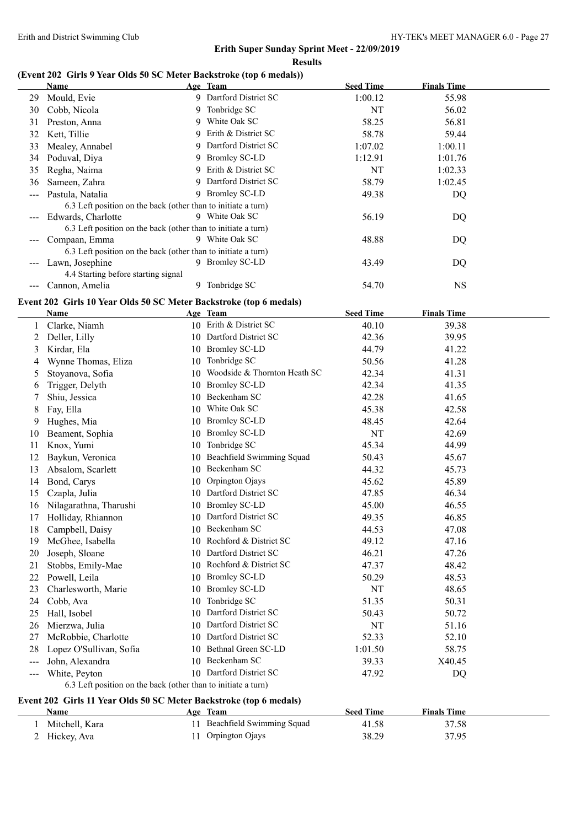#### **Results**

#### **(Event 202 Girls 9 Year Olds 50 SC Meter Backstroke (top 6 medals))**

|                        | Name                                                          |    | Age Team               | <b>Seed Time</b> | <b>Finals Time</b> |  |
|------------------------|---------------------------------------------------------------|----|------------------------|------------------|--------------------|--|
| 29                     | Mould, Evie                                                   |    | 9 Dartford District SC | 1:00.12          | 55.98              |  |
| 30                     | Cobb, Nicola                                                  |    | 9 Tonbridge SC         | NT               | 56.02              |  |
| 31                     | Preston, Anna                                                 | 9. | White Oak SC           | 58.25            | 56.81              |  |
| 32                     | Kett, Tillie                                                  |    | 9 Erith & District SC  | 58.78            | 59.44              |  |
| 33                     | Mealey, Annabel                                               |    | 9 Dartford District SC | 1:07.02          | 1:00.11            |  |
| 34                     | Poduval, Diya                                                 |    | 9 Bromley SC-LD        | 1:12.91          | 1:01.76            |  |
| 35                     | Regha, Naima                                                  |    | 9 Erith & District SC  | NT               | 1:02.33            |  |
| 36                     | Sameen, Zahra                                                 | 9. | Dartford District SC   | 58.79            | 1:02.45            |  |
| $\qquad \qquad -$      | Pastula, Natalia                                              | 9. | Bromley SC-LD          | 49.38            | DQ                 |  |
|                        | 6.3 Left position on the back (other than to initiate a turn) |    |                        |                  |                    |  |
|                        | Edwards, Charlotte                                            |    | 9 White Oak SC         | 56.19            | DQ                 |  |
|                        | 6.3 Left position on the back (other than to initiate a turn) |    |                        |                  |                    |  |
| $\qquad \qquad \cdots$ | Compaan, Emma                                                 |    | 9 White Oak SC         | 48.88            | DQ                 |  |
|                        | 6.3 Left position on the back (other than to initiate a turn) |    |                        |                  |                    |  |
| $\sim$ $\sim$ $\sim$   | Lawn, Josephine                                               |    | 9 Bromley SC-LD        | 43.49            | DQ                 |  |
|                        | 4.4 Starting before starting signal                           |    |                        |                  |                    |  |
|                        | Cannon, Amelia                                                | 9  | Tonbridge SC           | 54.70            | NS                 |  |

#### **Event 202 Girls 10 Year Olds 50 SC Meter Backstroke (top 6 medals)**

|                                                                                                                                                                                                                                                                                                                                                                                              | <b>Name</b>                                                   |    | Age Team                     | <b>Seed Time</b> | <b>Finals Time</b> |  |
|----------------------------------------------------------------------------------------------------------------------------------------------------------------------------------------------------------------------------------------------------------------------------------------------------------------------------------------------------------------------------------------------|---------------------------------------------------------------|----|------------------------------|------------------|--------------------|--|
|                                                                                                                                                                                                                                                                                                                                                                                              | Clarke, Niamh                                                 |    | 10 Erith & District SC       | 40.10            | 39.38              |  |
| 2                                                                                                                                                                                                                                                                                                                                                                                            | Deller, Lilly                                                 | 10 | Dartford District SC         | 42.36            | 39.95              |  |
| 3                                                                                                                                                                                                                                                                                                                                                                                            | Kirdar, Ela                                                   | 10 | <b>Bromley SC-LD</b>         | 44.79            | 41.22              |  |
| 4                                                                                                                                                                                                                                                                                                                                                                                            | Wynne Thomas, Eliza                                           | 10 | Tonbridge SC                 | 50.56            | 41.28              |  |
| 5                                                                                                                                                                                                                                                                                                                                                                                            | Stoyanova, Sofia                                              | 10 | Woodside & Thornton Heath SC | 42.34            | 41.31              |  |
| 6                                                                                                                                                                                                                                                                                                                                                                                            | Trigger, Delyth                                               | 10 | <b>Bromley SC-LD</b>         | 42.34            | 41.35              |  |
|                                                                                                                                                                                                                                                                                                                                                                                              | Shiu, Jessica                                                 | 10 | Beckenham SC                 | 42.28            | 41.65              |  |
| 8                                                                                                                                                                                                                                                                                                                                                                                            | Fay, Ella                                                     | 10 | White Oak SC                 | 45.38            | 42.58              |  |
| 9                                                                                                                                                                                                                                                                                                                                                                                            | Hughes, Mia                                                   | 10 | <b>Bromley SC-LD</b>         | 48.45            | 42.64              |  |
| 10                                                                                                                                                                                                                                                                                                                                                                                           | Beament, Sophia                                               | 10 | <b>Bromley SC-LD</b>         | NT               | 42.69              |  |
| 11                                                                                                                                                                                                                                                                                                                                                                                           | Knox, Yumi                                                    | 10 | Tonbridge SC                 | 45.34            | 44.99              |  |
| 12                                                                                                                                                                                                                                                                                                                                                                                           | Baykun, Veronica                                              | 10 | Beachfield Swimming Squad    | 50.43            | 45.67              |  |
| 13                                                                                                                                                                                                                                                                                                                                                                                           | Absalom, Scarlett                                             | 10 | Beckenham SC                 | 44.32            | 45.73              |  |
| 14                                                                                                                                                                                                                                                                                                                                                                                           | Bond, Carys                                                   | 10 | Orpington Ojays              | 45.62            | 45.89              |  |
| 15                                                                                                                                                                                                                                                                                                                                                                                           | Czapla, Julia                                                 | 10 | Dartford District SC         | 47.85            | 46.34              |  |
| 16                                                                                                                                                                                                                                                                                                                                                                                           | Nilagarathna, Tharushi                                        | 10 | <b>Bromley SC-LD</b>         | 45.00            | 46.55              |  |
| 17                                                                                                                                                                                                                                                                                                                                                                                           | Holliday, Rhiannon                                            | 10 | Dartford District SC         | 49.35            | 46.85              |  |
| 18                                                                                                                                                                                                                                                                                                                                                                                           | Campbell, Daisy                                               | 10 | Beckenham SC                 | 44.53            | 47.08              |  |
| 19                                                                                                                                                                                                                                                                                                                                                                                           | McGhee, Isabella                                              | 10 | Rochford & District SC       | 49.12            | 47.16              |  |
| 20                                                                                                                                                                                                                                                                                                                                                                                           | Joseph, Sloane                                                | 10 | Dartford District SC         | 46.21            | 47.26              |  |
| 21                                                                                                                                                                                                                                                                                                                                                                                           | Stobbs, Emily-Mae                                             |    | 10 Rochford & District SC    | 47.37            | 48.42              |  |
| 22                                                                                                                                                                                                                                                                                                                                                                                           | Powell, Leila                                                 | 10 | <b>Bromley SC-LD</b>         | 50.29            | 48.53              |  |
| 23                                                                                                                                                                                                                                                                                                                                                                                           | Charlesworth, Marie                                           | 10 | <b>Bromley SC-LD</b>         | NT               | 48.65              |  |
| 24                                                                                                                                                                                                                                                                                                                                                                                           | Cobb, Ava                                                     | 10 | Tonbridge SC                 | 51.35            | 50.31              |  |
| 25                                                                                                                                                                                                                                                                                                                                                                                           | Hall, Isobel                                                  | 10 | Dartford District SC         | 50.43            | 50.72              |  |
| 26                                                                                                                                                                                                                                                                                                                                                                                           | Mierzwa, Julia                                                | 10 | Dartford District SC         | NT               | 51.16              |  |
| 27                                                                                                                                                                                                                                                                                                                                                                                           | McRobbie, Charlotte                                           | 10 | Dartford District SC         | 52.33            | 52.10              |  |
| 28                                                                                                                                                                                                                                                                                                                                                                                           | Lopez O'Sullivan, Sofia                                       | 10 | Bethnal Green SC-LD          | 1:01.50          | 58.75              |  |
| $---$                                                                                                                                                                                                                                                                                                                                                                                        | John, Alexandra                                               | 10 | Beckenham SC                 | 39.33            | X40.45             |  |
| $\frac{1}{2} \frac{1}{2} \frac{1}{2} \frac{1}{2} \frac{1}{2} \frac{1}{2} \frac{1}{2} \frac{1}{2} \frac{1}{2} \frac{1}{2} \frac{1}{2} \frac{1}{2} \frac{1}{2} \frac{1}{2} \frac{1}{2} \frac{1}{2} \frac{1}{2} \frac{1}{2} \frac{1}{2} \frac{1}{2} \frac{1}{2} \frac{1}{2} \frac{1}{2} \frac{1}{2} \frac{1}{2} \frac{1}{2} \frac{1}{2} \frac{1}{2} \frac{1}{2} \frac{1}{2} \frac{1}{2} \frac{$ | White, Peyton                                                 |    | 10 Dartford District SC      | 47.92            | DQ                 |  |
|                                                                                                                                                                                                                                                                                                                                                                                              | 6.3 Left position on the back (other than to initiate a turn) |    |                              |                  |                    |  |

#### **Event 202 Girls 11 Year Olds 50 SC Meter Backstroke (top 6 medals)**

| Name           | Age Team                  | <b>Seed Time</b> | <b>Finals Time</b> |
|----------------|---------------------------|------------------|--------------------|
| Mitchell, Kara | Beachfield Swimming Squad | 41.58            | 37.58              |
| Hickey, Ava    | Orpington Ojays           | 38.29            | 37.95              |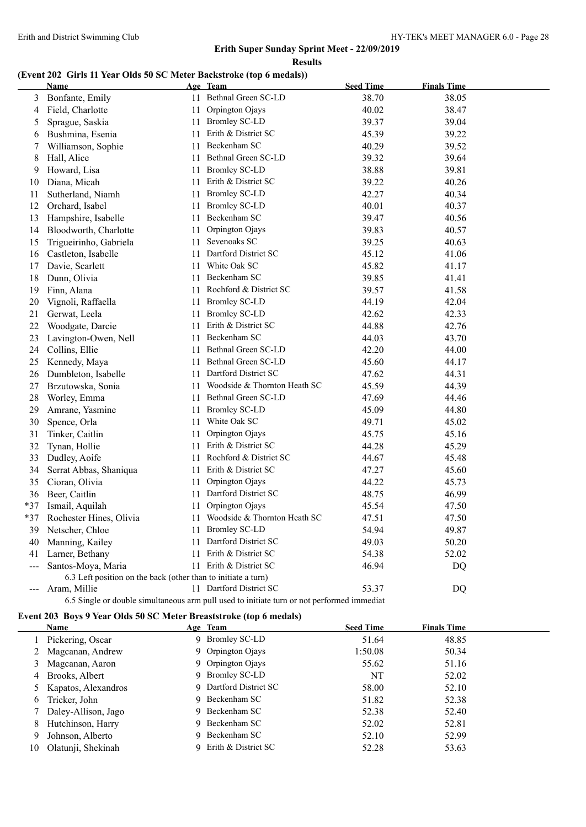#### **Results**

#### **(Event 202 Girls 11 Year Olds 50 SC Meter Backstroke (top 6 medals))**

|       | Name                                                          |     | Age Team                                                                                   | <b>Seed Time</b> | <b>Finals Time</b> |
|-------|---------------------------------------------------------------|-----|--------------------------------------------------------------------------------------------|------------------|--------------------|
| 3     | Bonfante, Emily                                               |     | 11 Bethnal Green SC-LD                                                                     | 38.70            | 38.05              |
| 4     | Field, Charlotte                                              | 11  | Orpington Ojays                                                                            | 40.02            | 38.47              |
| 5     | Sprague, Saskia                                               | 11  | <b>Bromley SC-LD</b>                                                                       | 39.37            | 39.04              |
| 6     | Bushmina, Esenia                                              | 11  | Erith & District SC                                                                        | 45.39            | 39.22              |
| 7     | Williamson, Sophie                                            | 11  | Beckenham SC                                                                               | 40.29            | 39.52              |
| 8     | Hall, Alice                                                   | 11  | Bethnal Green SC-LD                                                                        | 39.32            | 39.64              |
| 9     | Howard, Lisa                                                  | 11  | <b>Bromley SC-LD</b>                                                                       | 38.88            | 39.81              |
| 10    | Diana, Micah                                                  | 11  | Erith & District SC                                                                        | 39.22            | 40.26              |
| 11    | Sutherland, Niamh                                             | 11  | <b>Bromley SC-LD</b>                                                                       | 42.27            | 40.34              |
| 12    | Orchard, Isabel                                               | 11  | <b>Bromley SC-LD</b>                                                                       | 40.01            | 40.37              |
| 13    | Hampshire, Isabelle                                           | 11  | Beckenham SC                                                                               | 39.47            | 40.56              |
| 14    | Bloodworth, Charlotte                                         | 11  | Orpington Ojays                                                                            | 39.83            | 40.57              |
| 15    | Trigueirinho, Gabriela                                        | 11  | Sevenoaks SC                                                                               | 39.25            | 40.63              |
| 16    | Castleton, Isabelle                                           | 11  | Dartford District SC                                                                       | 45.12            | 41.06              |
| 17    | Davie, Scarlett                                               | 11  | White Oak SC                                                                               | 45.82            | 41.17              |
| 18    | Dunn, Olivia                                                  | 11  | Beckenham SC                                                                               | 39.85            | 41.41              |
| 19    | Finn, Alana                                                   | 11  | Rochford & District SC                                                                     | 39.57            | 41.58              |
| 20    | Vignoli, Raffaella                                            | 11  | <b>Bromley SC-LD</b>                                                                       | 44.19            | 42.04              |
| 21    | Gerwat, Leela                                                 | 11  | <b>Bromley SC-LD</b>                                                                       | 42.62            | 42.33              |
| 22    | Woodgate, Darcie                                              | 11  | Erith & District SC                                                                        | 44.88            | 42.76              |
| 23    | Lavington-Owen, Nell                                          | 11  | Beckenham SC                                                                               | 44.03            | 43.70              |
| 24    | Collins, Ellie                                                | 11  | Bethnal Green SC-LD                                                                        | 42.20            | 44.00              |
| 25    | Kennedy, Maya                                                 | 11  | Bethnal Green SC-LD                                                                        | 45.60            | 44.17              |
| 26    | Dumbleton, Isabelle                                           |     | 11 Dartford District SC                                                                    | 47.62            | 44.31              |
| 27    | Brzutowska, Sonia                                             | 11. | Woodside & Thornton Heath SC                                                               | 45.59            | 44.39              |
| 28    | Worley, Emma                                                  | 11  | Bethnal Green SC-LD                                                                        | 47.69            | 44.46              |
| 29    | Amrane, Yasmine                                               | 11  | <b>Bromley SC-LD</b>                                                                       | 45.09            | 44.80              |
| 30    | Spence, Orla                                                  | 11  | White Oak SC                                                                               | 49.71            | 45.02              |
| 31    | Tinker, Caitlin                                               | 11  | Orpington Ojays                                                                            | 45.75            | 45.16              |
| 32    | Tynan, Hollie                                                 | 11  | Erith & District SC                                                                        | 44.28            | 45.29              |
| 33    | Dudley, Aoife                                                 | 11. | Rochford & District SC                                                                     | 44.67            | 45.48              |
| 34    | Serrat Abbas, Shaniqua                                        | 11  | Erith & District SC                                                                        | 47.27            | 45.60              |
| 35    | Cioran, Olivia                                                | 11  | Orpington Ojays                                                                            | 44.22            | 45.73              |
| 36    | Beer, Caitlin                                                 | 11  | Dartford District SC                                                                       | 48.75            | 46.99              |
| *37   | Ismail, Aquilah                                               | 11  | Orpington Ojays                                                                            | 45.54            | 47.50              |
| $*37$ | Rochester Hines, Olivia                                       | 11  | Woodside & Thornton Heath SC                                                               | 47.51            | 47.50              |
| 39    | Netscher, Chloe                                               |     | 11 Bromley SC-LD                                                                           | 54.94            | 49.87              |
| 40    | Manning, Kailey                                               |     | 11 Dartford District SC                                                                    | 49.03            | 50.20              |
| 41    | Larner, Bethany                                               |     | 11 Erith & District SC                                                                     | 54.38            | 52.02              |
|       | Santos-Moya, Maria                                            |     | 11 Erith & District SC                                                                     | 46.94            | <b>DQ</b>          |
|       | 6.3 Left position on the back (other than to initiate a turn) |     |                                                                                            |                  |                    |
|       | Aram, Millie                                                  |     | 11 Dartford District SC                                                                    | 53.37            | <b>DQ</b>          |
|       |                                                               |     | 6.5 Single or double simultaneous arm pull used to initiate turn or not performed immediat |                  |                    |

#### **Event 203 Boys 9 Year Olds 50 SC Meter Breaststroke (top 6 medals)**

|    | Name                  | Age Team               | <b>Seed Time</b> | <b>Finals Time</b> |  |
|----|-----------------------|------------------------|------------------|--------------------|--|
|    | 1 Pickering, Oscar    | 9 Bromley SC-LD        | 51.64            | 48.85              |  |
|    | 2 Magcanan, Andrew    | 9 Orpington Ojays      | 1:50.08          | 50.34              |  |
|    | 3 Magcanan, Aaron     | 9 Orpington Ojays      | 55.62            | 51.16              |  |
|    | 4 Brooks, Albert      | 9 Bromley SC-LD        | NT               | 52.02              |  |
|    | 5 Kapatos, Alexandros | 9 Dartford District SC | 58.00            | 52.10              |  |
| 6  | Tricker, John         | 9 Beckenham SC         | 51.82            | 52.38              |  |
|    | 7 Daley-Allison, Jago | 9 Beckenham SC         | 52.38            | 52.40              |  |
|    | 8 Hutchinson, Harry   | 9 Beckenham SC         | 52.02            | 52.81              |  |
| 9  | Johnson, Alberto      | 9 Beckenham SC         | 52.10            | 52.99              |  |
| 10 | Olatunji, Shekinah    | 9 Erith & District SC  | 52.28            | 53.63              |  |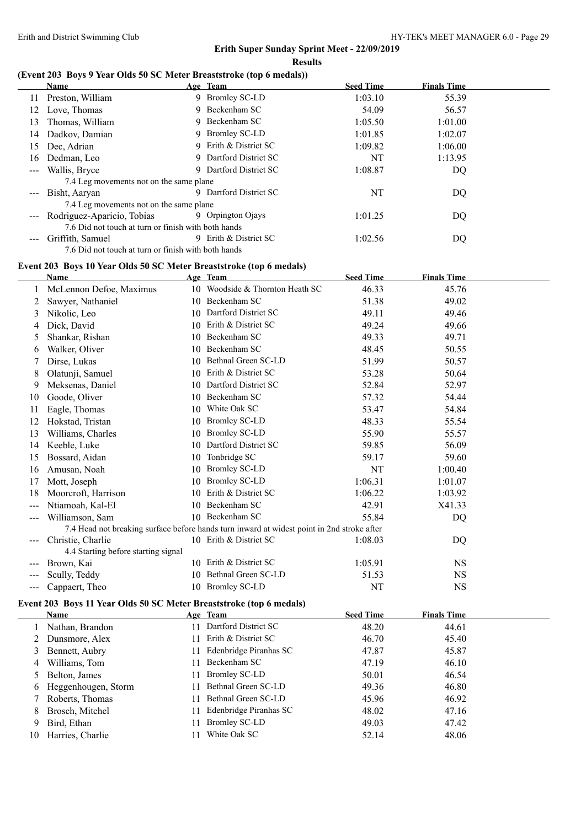$\overline{a}$ 

### **Erith Super Sunday Sprint Meet - 22/09/2019**

#### **Results**

#### **(Event 203 Boys 9 Year Olds 50 SC Meter Breaststroke (top 6 medals))**

|                                                                                                                                                                                                                                                                                                                                                                                                                                                                            | <b>Name</b>                                         |    | Age Team               | <b>Seed Time</b> | <b>Finals Time</b> |  |
|----------------------------------------------------------------------------------------------------------------------------------------------------------------------------------------------------------------------------------------------------------------------------------------------------------------------------------------------------------------------------------------------------------------------------------------------------------------------------|-----------------------------------------------------|----|------------------------|------------------|--------------------|--|
| 11                                                                                                                                                                                                                                                                                                                                                                                                                                                                         | Preston, William                                    |    | 9 Bromley SC-LD        | 1:03.10          | 55.39              |  |
| 12                                                                                                                                                                                                                                                                                                                                                                                                                                                                         | Love, Thomas                                        |    | 9 Beckenham SC         | 54.09            | 56.57              |  |
| 13                                                                                                                                                                                                                                                                                                                                                                                                                                                                         | Thomas, William                                     |    | 9 Beckenham SC         | 1:05.50          | 1:01.00            |  |
| 14                                                                                                                                                                                                                                                                                                                                                                                                                                                                         | Dadkov, Damian                                      |    | 9 Bromley SC-LD        | 1:01.85          | 1:02.07            |  |
| 15                                                                                                                                                                                                                                                                                                                                                                                                                                                                         | Dec, Adrian                                         |    | 9 Erith & District SC  | 1:09.82          | 1:06.00            |  |
| 16                                                                                                                                                                                                                                                                                                                                                                                                                                                                         | Dedman, Leo                                         |    | 9 Dartford District SC | NT               | 1:13.95            |  |
| $\frac{1}{2} \left( \frac{1}{2} \right) \left( \frac{1}{2} \right) \left( \frac{1}{2} \right) \left( \frac{1}{2} \right) \left( \frac{1}{2} \right) \left( \frac{1}{2} \right) \left( \frac{1}{2} \right) \left( \frac{1}{2} \right) \left( \frac{1}{2} \right) \left( \frac{1}{2} \right) \left( \frac{1}{2} \right) \left( \frac{1}{2} \right) \left( \frac{1}{2} \right) \left( \frac{1}{2} \right) \left( \frac{1}{2} \right) \left( \frac{1}{2} \right) \left( \frac$ | Wallis, Bryce                                       | 9. | Dartford District SC   | 1:08.87          | DQ                 |  |
|                                                                                                                                                                                                                                                                                                                                                                                                                                                                            | 7.4 Leg movements not on the same plane             |    |                        |                  |                    |  |
|                                                                                                                                                                                                                                                                                                                                                                                                                                                                            | --- Bisht, Aaryan                                   |    | 9 Dartford District SC | NT               | DQ                 |  |
|                                                                                                                                                                                                                                                                                                                                                                                                                                                                            | 7.4 Leg movements not on the same plane             |    |                        |                  |                    |  |
|                                                                                                                                                                                                                                                                                                                                                                                                                                                                            | --- Rodriguez-Aparicio, Tobias                      |    | 9 Orpington Ojays      | 1:01.25          | DQ                 |  |
|                                                                                                                                                                                                                                                                                                                                                                                                                                                                            | 7.6 Did not touch at turn or finish with both hands |    |                        |                  |                    |  |
|                                                                                                                                                                                                                                                                                                                                                                                                                                                                            | Griffith, Samuel                                    |    | 9 Erith & District SC  | 1:02.56          | DQ                 |  |
|                                                                                                                                                                                                                                                                                                                                                                                                                                                                            | 7.6 Did not touch at turn or finish with both hands |    |                        |                  |                    |  |

#### **Event 203 Boys 10 Year Olds 50 SC Meter Breaststroke (top 6 medals)**

|     | Name                                |    | Age Team                                                                                   | <b>Seed Time</b> | <b>Finals Time</b> |
|-----|-------------------------------------|----|--------------------------------------------------------------------------------------------|------------------|--------------------|
|     | McLennon Defoe, Maximus             | 10 | Woodside & Thornton Heath SC                                                               | 46.33            | 45.76              |
|     | Sawyer, Nathaniel                   | 10 | Beckenham SC                                                                               | 51.38            | 49.02              |
| 3   | Nikolic, Leo                        | 10 | Dartford District SC                                                                       | 49.11            | 49.46              |
| 4   | Dick, David                         | 10 | Erith & District SC                                                                        | 49.24            | 49.66              |
| 5   | Shankar, Rishan                     | 10 | Beckenham SC                                                                               | 49.33            | 49.71              |
| 6   | Walker, Oliver                      | 10 | Beckenham SC                                                                               | 48.45            | 50.55              |
|     | Dirse, Lukas                        | 10 | Bethnal Green SC-LD                                                                        | 51.99            | 50.57              |
|     | Olatunji, Samuel                    | 10 | Erith & District SC                                                                        | 53.28            | 50.64              |
| 9   | Meksenas, Daniel                    | 10 | Dartford District SC                                                                       | 52.84            | 52.97              |
| 10  | Goode, Oliver                       | 10 | Beckenham SC                                                                               | 57.32            | 54.44              |
| 11  | Eagle, Thomas                       | 10 | White Oak SC                                                                               | 53.47            | 54.84              |
| 12  | Hokstad, Tristan                    | 10 | <b>Bromley SC-LD</b>                                                                       | 48.33            | 55.54              |
| 13  | Williams, Charles                   | 10 | <b>Bromley SC-LD</b>                                                                       | 55.90            | 55.57              |
| 14  | Keeble, Luke                        | 10 | Dartford District SC                                                                       | 59.85            | 56.09              |
| 15  | Bossard, Aidan                      | 10 | Tonbridge SC                                                                               | 59.17            | 59.60              |
| 16  | Amusan, Noah                        | 10 | Bromley SC-LD                                                                              | <b>NT</b>        | 1:00.40            |
| 17  | Mott, Joseph                        | 10 | <b>Bromley SC-LD</b>                                                                       | 1:06.31          | 1:01.07            |
| 18  | Moorcroft, Harrison                 | 10 | Erith & District SC                                                                        | 1:06.22          | 1:03.92            |
|     | Ntiamoah, Kal-El                    | 10 | Beckenham SC                                                                               | 42.91            | X41.33             |
|     | Williamson, Sam                     |    | 10 Beckenham SC                                                                            | 55.84            | DQ                 |
|     |                                     |    | 7.4 Head not breaking surface before hands turn inward at widest point in 2nd stroke after |                  |                    |
|     | Christie, Charlie                   |    | 10 Erith & District SC                                                                     | 1:08.03          | DQ                 |
|     | 4.4 Starting before starting signal |    |                                                                                            |                  |                    |
|     | Brown, Kai                          | 10 | Erith & District SC                                                                        | 1:05.91          | <b>NS</b>          |
|     | Scully, Teddy                       | 10 | Bethnal Green SC-LD                                                                        | 51.53            | <b>NS</b>          |
| --- | Cappaert, Theo                      |    | 10 Bromley SC-LD                                                                           | NT               | <b>NS</b>          |

#### **Event 203 Boys 11 Year Olds 50 SC Meter Breaststroke (top 6 medals)**

|    | <b>Name</b>         |     | Age Team                  | <b>Seed Time</b> | <b>Finals Time</b> |  |
|----|---------------------|-----|---------------------------|------------------|--------------------|--|
|    | Nathan, Brandon     | 11  | Dartford District SC      | 48.20            | 44.61              |  |
|    | 2 Dunsmore, Alex    |     | 11 Erith & District SC    | 46.70            | 45.40              |  |
|    | Bennett, Aubry      |     | 11 Edenbridge Piranhas SC | 47.87            | 45.87              |  |
| 4  | Williams, Tom       |     | 11 Beckenham SC           | 47.19            | 46.10              |  |
|    | Belton, James       |     | 11 Bromley SC-LD          | 50.01            | 46.54              |  |
| 6  | Heggenhougen, Storm |     | 11 Bethnal Green SC-LD    | 49.36            | 46.80              |  |
|    | Roberts, Thomas     | 11. | Bethnal Green SC-LD       | 45.96            | 46.92              |  |
| 8  | Brosch, Mitchel     | 11  | Edenbridge Piranhas SC    | 48.02            | 47.16              |  |
| 9  | Bird, Ethan         | 11  | Bromley SC-LD             | 49.03            | 47.42              |  |
| 10 | Harries, Charlie    | 11  | White Oak SC              | 52.14            | 48.06              |  |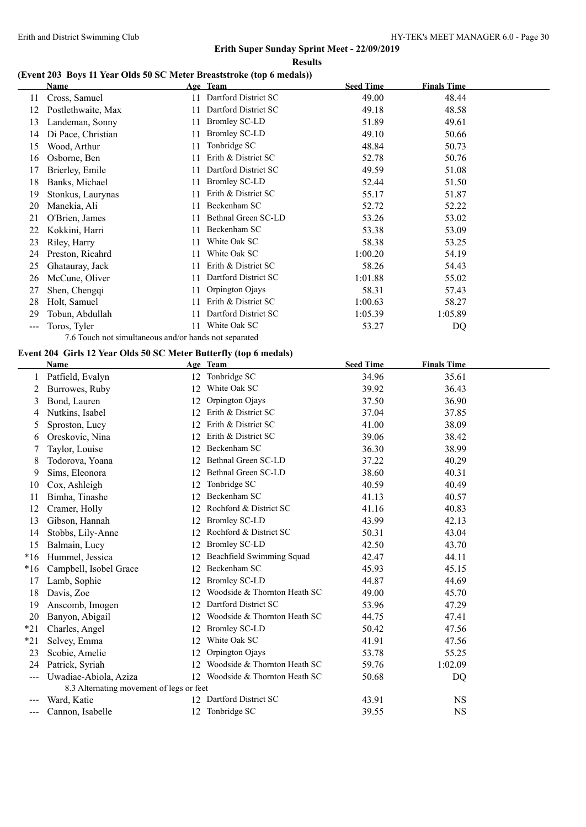#### **Results**

#### **(Event 203 Boys 11 Year Olds 50 SC Meter Breaststroke (top 6 medals))**

|    | Name                                                  |    | Age Team             | <b>Seed Time</b> | <b>Finals Time</b> |
|----|-------------------------------------------------------|----|----------------------|------------------|--------------------|
| 11 | Cross, Samuel                                         | 11 | Dartford District SC | 49.00            | 48.44              |
| 12 | Postlethwaite, Max                                    | 11 | Dartford District SC | 49.18            | 48.58              |
| 13 | Landeman, Sonny                                       | 11 | Bromley SC-LD        | 51.89            | 49.61              |
| 14 | Di Pace, Christian                                    | 11 | <b>Bromley SC-LD</b> | 49.10            | 50.66              |
| 15 | Wood, Arthur                                          | 11 | Tonbridge SC         | 48.84            | 50.73              |
| 16 | Osborne, Ben                                          |    | Erith & District SC  | 52.78            | 50.76              |
| 17 | Brierley, Emile                                       | 11 | Dartford District SC | 49.59            | 51.08              |
| 18 | Banks, Michael                                        | 11 | <b>Bromley SC-LD</b> | 52.44            | 51.50              |
| 19 | Stonkus, Laurynas                                     |    | Erith & District SC  | 55.17            | 51.87              |
| 20 | Manekia, Ali                                          | 11 | Beckenham SC         | 52.72            | 52.22              |
| 21 | O'Brien, James                                        |    | Bethnal Green SC-LD  | 53.26            | 53.02              |
| 22 | Kokkini, Harri                                        | 11 | Beckenham SC         | 53.38            | 53.09              |
| 23 | Riley, Harry                                          | 11 | White Oak SC         | 58.38            | 53.25              |
| 24 | Preston, Ricahrd                                      | 11 | White Oak SC         | 1:00.20          | 54.19              |
| 25 | Ghatauray, Jack                                       | 11 | Erith & District SC  | 58.26            | 54.43              |
| 26 | McCune, Oliver                                        | 11 | Dartford District SC | 1:01.88          | 55.02              |
| 27 | Shen, Chengqi                                         | 11 | Orpington Ojays      | 58.31            | 57.43              |
| 28 | Holt, Samuel                                          | 11 | Erith & District SC  | 1:00.63          | 58.27              |
| 29 | Tobun, Abdullah                                       |    | Dartford District SC | 1:05.39          | 1:05.89            |
|    | Toros, Tyler                                          | 11 | White Oak SC         | 53.27            | DQ                 |
|    | 7.6 Touch not simultaneous and/or hands not separated |    |                      |                  |                    |

#### **Event 204 Girls 12 Year Olds 50 SC Meter Butterfly (top 6 medals)**

|       | Name                                     |    | Age Team                     | <b>Seed Time</b> | <b>Finals Time</b> |
|-------|------------------------------------------|----|------------------------------|------------------|--------------------|
|       | Patfield, Evalyn                         | 12 | Tonbridge SC                 | 34.96            | 35.61              |
| 2     | Burrowes, Ruby                           | 12 | White Oak SC                 | 39.92            | 36.43              |
| 3     | Bond, Lauren                             | 12 | Orpington Ojays              | 37.50            | 36.90              |
| 4     | Nutkins, Isabel                          | 12 | Erith & District SC          | 37.04            | 37.85              |
| 5     | Sproston, Lucy                           | 12 | Erith & District SC          | 41.00            | 38.09              |
| 6     | Oreskovic, Nina                          | 12 | Erith & District SC          | 39.06            | 38.42              |
| 7     | Taylor, Louise                           | 12 | Beckenham SC                 | 36.30            | 38.99              |
| 8     | Todorova, Yoana                          | 12 | Bethnal Green SC-LD          | 37.22            | 40.29              |
| 9     | Sims, Eleonora                           | 12 | Bethnal Green SC-LD          | 38.60            | 40.31              |
| 10    | Cox, Ashleigh                            | 12 | Tonbridge SC                 | 40.59            | 40.49              |
| 11    | Bimha, Tinashe                           | 12 | Beckenham SC                 | 41.13            | 40.57              |
| 12    | Cramer, Holly                            | 12 | Rochford & District SC       | 41.16            | 40.83              |
| 13    | Gibson, Hannah                           | 12 | <b>Bromley SC-LD</b>         | 43.99            | 42.13              |
| 14    | Stobbs, Lily-Anne                        | 12 | Rochford & District SC       | 50.31            | 43.04              |
| 15    | Balmain, Lucy                            | 12 | <b>Bromley SC-LD</b>         | 42.50            | 43.70              |
| $*16$ | Hummel, Jessica                          | 12 | Beachfield Swimming Squad    | 42.47            | 44.11              |
| $*16$ | Campbell, Isobel Grace                   | 12 | Beckenham SC                 | 45.93            | 45.15              |
| 17    | Lamb, Sophie                             | 12 | <b>Bromley SC-LD</b>         | 44.87            | 44.69              |
| 18    | Davis, Zoe                               | 12 | Woodside & Thornton Heath SC | 49.00            | 45.70              |
| 19    | Anscomb, Imogen                          | 12 | Dartford District SC         | 53.96            | 47.29              |
| 20    | Banyon, Abigail                          | 12 | Woodside & Thornton Heath SC | 44.75            | 47.41              |
| $*21$ | Charles, Angel                           | 12 | <b>Bromley SC-LD</b>         | 50.42            | 47.56              |
| $*21$ | Selvey, Emma                             | 12 | White Oak SC                 | 41.91            | 47.56              |
| 23    | Scobie, Amelie                           | 12 | Orpington Ojays              | 53.78            | 55.25              |
| 24    | Patrick, Syriah                          | 12 | Woodside & Thornton Heath SC | 59.76            | 1:02.09            |
|       | Uwadiae-Abiola, Aziza                    | 12 | Woodside & Thornton Heath SC | 50.68            | DQ                 |
|       | 8.3 Alternating movement of legs or feet |    |                              |                  |                    |
|       | Ward, Katie                              |    | 12 Dartford District SC      | 43.91            | <b>NS</b>          |
| $---$ | Cannon, Isabelle                         | 12 | Tonbridge SC                 | 39.55            | <b>NS</b>          |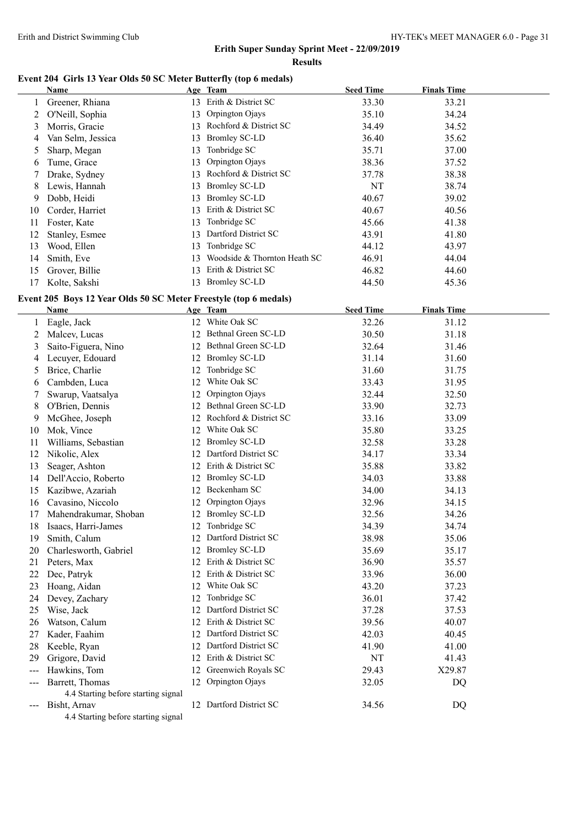$\overline{\phantom{a}}$ 

#### **Erith Super Sunday Sprint Meet - 22/09/2019 Results**

#### **Event 204 Girls 13 Year Olds 50 SC Meter Butterfly (top 6 medals)**

|    | Name              |     | Age Team                     | <b>Seed Time</b> | <b>Finals Time</b> |
|----|-------------------|-----|------------------------------|------------------|--------------------|
|    | Greener, Rhiana   | 13  | Erith & District SC          | 33.30            | 33.21              |
| 2  | O'Neill, Sophia   | 13  | Orpington Ojays              | 35.10            | 34.24              |
| 3  | Morris, Gracie    | 13  | Rochford & District SC       | 34.49            | 34.52              |
| 4  | Van Selm, Jessica | 13  | Bromley SC-LD                | 36.40            | 35.62              |
|    | Sharp, Megan      | 13  | Tonbridge SC                 | 35.71            | 37.00              |
| 6  | Tume, Grace       | 13  | Orpington Ojays              | 38.36            | 37.52              |
|    | Drake, Sydney     | 13  | Rochford & District SC       | 37.78            | 38.38              |
| 8  | Lewis, Hannah     | 13. | Bromley SC-LD                | NT               | 38.74              |
| 9  | Dobb, Heidi       | 13  | Bromley SC-LD                | 40.67            | 39.02              |
| 10 | Corder, Harriet   | 13  | Erith & District SC          | 40.67            | 40.56              |
| 11 | Foster, Kate      | 13. | Tonbridge SC                 | 45.66            | 41.38              |
| 12 | Stanley, Esmee    | 13  | Dartford District SC         | 43.91            | 41.80              |
| 13 | Wood, Ellen       | 13  | Tonbridge SC                 | 44.12            | 43.97              |
| 14 | Smith, Eve        | 13  | Woodside & Thornton Heath SC | 46.91            | 44.04              |
| 15 | Grover, Billie    | 13  | Erith & District SC          | 46.82            | 44.60              |
| 17 | Kolte, Sakshi     | 13  | Bromley SC-LD                | 44.50            | 45.36              |

#### **Event 205 Boys 12 Year Olds 50 SC Meter Freestyle (top 6 medals)**

|       | Name                                |    | Age Team                | <b>Seed Time</b> | <b>Finals Time</b> |
|-------|-------------------------------------|----|-------------------------|------------------|--------------------|
| 1     | Eagle, Jack                         |    | 12 White Oak SC         | 32.26            | 31.12              |
| 2     | Malcev, Lucas                       |    | 12 Bethnal Green SC-LD  | 30.50            | 31.18              |
| 3     | Saito-Figuera, Nino                 | 12 | Bethnal Green SC-LD     | 32.64            | 31.46              |
| 4     | Lecuyer, Edouard                    |    | 12 Bromley SC-LD        | 31.14            | 31.60              |
| 5     | Brice, Charlie                      | 12 | Tonbridge SC            | 31.60            | 31.75              |
| 6     | Cambden, Luca                       | 12 | White Oak SC            | 33.43            | 31.95              |
| 7     | Swarup, Vaatsalya                   | 12 | Orpington Ojays         | 32.44            | 32.50              |
| 8     | O'Brien, Dennis                     |    | 12 Bethnal Green SC-LD  | 33.90            | 32.73              |
| 9     | McGhee, Joseph                      | 12 | Rochford & District SC  | 33.16            | 33.09              |
| 10    | Mok, Vince                          | 12 | White Oak SC            | 35.80            | 33.25              |
| 11    | Williams, Sebastian                 |    | 12 Bromley SC-LD        | 32.58            | 33.28              |
| 12    | Nikolic, Alex                       | 12 | Dartford District SC    | 34.17            | 33.34              |
| 13    | Seager, Ashton                      | 12 | Erith & District SC     | 35.88            | 33.82              |
| 14    | Dell'Accio, Roberto                 |    | 12 Bromley SC-LD        | 34.03            | 33.88              |
| 15    | Kazibwe, Azariah                    | 12 | Beckenham SC            | 34.00            | 34.13              |
| 16    | Cavasino, Niccolo                   | 12 | Orpington Ojays         | 32.96            | 34.15              |
| 17    | Mahendrakumar, Shoban               |    | 12 Bromley SC-LD        | 32.56            | 34.26              |
| 18    | Isaacs, Harri-James                 | 12 | Tonbridge SC            | 34.39            | 34.74              |
| 19    | Smith, Calum                        | 12 | Dartford District SC    | 38.98            | 35.06              |
| 20    | Charlesworth, Gabriel               |    | 12 Bromley SC-LD        | 35.69            | 35.17              |
| 21    | Peters, Max                         | 12 | Erith & District SC     | 36.90            | 35.57              |
| 22    | Dec, Patryk                         | 12 | Erith & District SC     | 33.96            | 36.00              |
| 23    | Hoang, Aidan                        | 12 | White Oak SC            | 43.20            | 37.23              |
| 24    | Devey, Zachary                      | 12 | Tonbridge SC            | 36.01            | 37.42              |
| 25    | Wise, Jack                          | 12 | Dartford District SC    | 37.28            | 37.53              |
| 26    | Watson, Calum                       | 12 | Erith & District SC     | 39.56            | 40.07              |
| 27    | Kader, Faahim                       | 12 | Dartford District SC    | 42.03            | 40.45              |
| 28    | Keeble, Ryan                        | 12 | Dartford District SC    | 41.90            | 41.00              |
| 29    | Grigore, David                      |    | 12 Erith & District SC  | NT               | 41.43              |
| ---   | Hawkins, Tom                        | 12 | Greenwich Royals SC     | 29.43            | X29.87             |
| $---$ | Barrett, Thomas                     |    | 12 Orpington Ojays      | 32.05            | DQ                 |
|       | 4.4 Starting before starting signal |    |                         |                  |                    |
|       | Bisht, Arnav                        |    | 12 Dartford District SC | 34.56            | DQ                 |
|       | 4.4 Starting before starting signal |    |                         |                  |                    |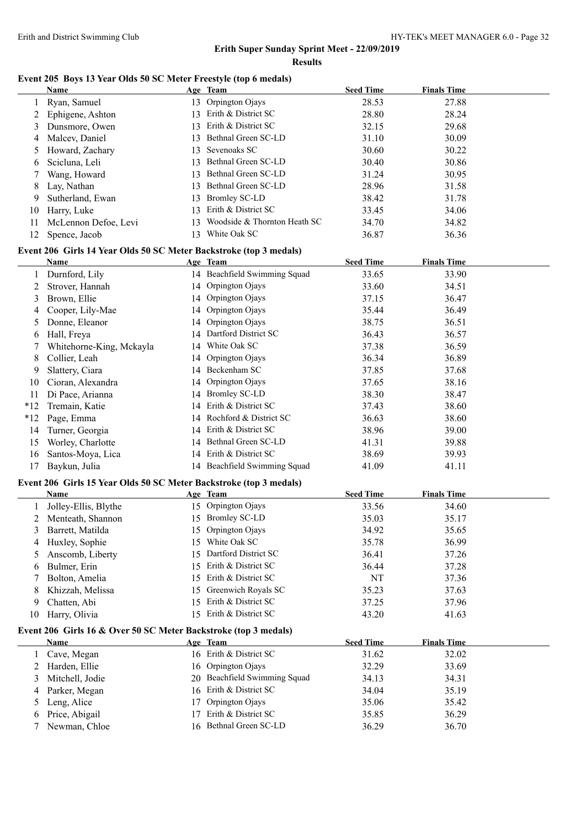|       | Event 205 Boys 13 Year Olds 50 SC Meter Freestyle (top 6 medals)   |    |                                 |                  |                    |  |
|-------|--------------------------------------------------------------------|----|---------------------------------|------------------|--------------------|--|
|       | <b>Name</b>                                                        |    | Age Team                        | <b>Seed Time</b> | <b>Finals Time</b> |  |
| 1     | Ryan, Samuel                                                       |    | 13 Orpington Ojays              | 28.53            | 27.88              |  |
| 2     | Ephigene, Ashton                                                   |    | 13 Erith & District SC          | 28.80            | 28.24              |  |
| 3     | Dunsmore, Owen                                                     | 13 | Erith & District SC             | 32.15            | 29.68              |  |
| 4     | Malcev, Daniel                                                     |    | 13 Bethnal Green SC-LD          | 31.10            | 30.09              |  |
| 5     | Howard, Zachary                                                    | 13 | Sevenoaks SC                    | 30.60            | 30.22              |  |
| 6     | Scicluna, Leli                                                     |    | 13 Bethnal Green SC-LD          | 30.40            | 30.86              |  |
| 7     | Wang, Howard                                                       |    | 13 Bethnal Green SC-LD          | 31.24            | 30.95              |  |
| 8     | Lay, Nathan                                                        |    | 13 Bethnal Green SC-LD          | 28.96            | 31.58              |  |
| 9     | Sutherland, Ewan                                                   |    | 13 Bromley SC-LD                | 38.42            | 31.78              |  |
| 10    | Harry, Luke                                                        |    | 13 Erith & District SC          | 33.45            | 34.06              |  |
| 11    | McLennon Defoe, Levi                                               |    | 13 Woodside & Thornton Heath SC | 34.70            | 34.82              |  |
| 12    | Spence, Jacob                                                      |    | 13 White Oak SC                 | 36.87            | 36.36              |  |
|       | Event 206 Girls 14 Year Olds 50 SC Meter Backstroke (top 3 medals) |    |                                 |                  |                    |  |
|       | Name                                                               |    | Age Team                        | <b>Seed Time</b> | <b>Finals Time</b> |  |
| 1     | Durnford, Lily                                                     |    | 14 Beachfield Swimming Squad    | 33.65            | 33.90              |  |
| 2     | Strover, Hannah                                                    |    | 14 Orpington Ojays              | 33.60            | 34.51              |  |
| 3     | Brown, Ellie                                                       |    | 14 Orpington Ojays              | 37.15            | 36.47              |  |
| 4     | Cooper, Lily-Mae                                                   |    | 14 Orpington Ojays              | 35.44            | 36.49              |  |
| 5     | Donne, Eleanor                                                     |    | 14 Orpington Ojays              | 38.75            | 36.51              |  |
| 6     | Hall, Freya                                                        |    | 14 Dartford District SC         | 36.43            | 36.57              |  |
| 7     | Whitehorne-King, Mckayla                                           |    | 14 White Oak SC                 | 37.38            | 36.59              |  |
| 8     | Collier, Leah                                                      |    | 14 Orpington Ojays              | 36.34            | 36.89              |  |
| 9     | Slattery, Ciara                                                    |    | 14 Beckenham SC                 | 37.85            | 37.68              |  |
| 10    | Cioran, Alexandra                                                  | 14 | Orpington Ojays                 | 37.65            | 38.16              |  |
| 11    | Di Pace, Arianna                                                   |    | 14 Bromley SC-LD                | 38.30            | 38.47              |  |
| $*12$ | Tremain, Katie                                                     |    | 14 Erith & District SC          | 37.43            | 38.60              |  |
| $*12$ | Page, Emma                                                         |    | 14 Rochford & District SC       | 36.63            | 38.60              |  |
| 14    | Turner, Georgia                                                    |    | 14 Erith & District SC          | 38.96            | 39.00              |  |
| 15    | Worley, Charlotte                                                  |    | 14 Bethnal Green SC-LD          | 41.31            | 39.88              |  |
| 16    | Santos-Moya, Lica                                                  |    | 14 Erith & District SC          | 38.69            | 39.93              |  |
| 17    | Baykun, Julia                                                      |    | 14 Beachfield Swimming Squad    | 41.09            | 41.11              |  |
|       | Event 206 Girls 15 Year Olds 50 SC Meter Backstroke (top 3 medals) |    |                                 |                  |                    |  |
|       | Name                                                               |    | Age Team                        | <b>Seed Time</b> | <b>Finals Time</b> |  |
|       | 1 Jolley-Ellis, Blythe                                             |    | 15 Orpington Ojays              | 33.56            | 34.60              |  |
| 2     | Menteath, Shannon                                                  |    | 15 Bromley SC-LD                | 35.03            | 35.17              |  |
| 3     | Barrett, Matilda                                                   | 15 | Orpington Ojays                 | 34.92            | 35.65              |  |
| 4     | Huxley, Sophie                                                     | 15 | White Oak SC                    | 35.78            | 36.99              |  |
| 5     | Anscomb, Liberty                                                   | 15 | Dartford District SC            | 36.41            | 37.26              |  |
| 6     | Bulmer, Erin                                                       | 15 | Erith & District SC             | 36.44            | 37.28              |  |
| 7     | Bolton, Amelia                                                     | 15 | Erith & District SC             | NT               | 37.36              |  |
| 8     | Khizzah, Melissa                                                   | 15 | Greenwich Royals SC             | 35.23            | 37.63              |  |
| 9     | Chatten, Abi                                                       | 15 | Erith & District SC             | 37.25            | 37.96              |  |
| 10    | Harry, Olivia                                                      |    | 15 Erith & District SC          | 43.20            | 41.63              |  |
|       | Event 206 Girls 16 & Over 50 SC Meter Backstroke (top 3 medals)    |    |                                 |                  |                    |  |
|       | <b>Name</b>                                                        |    | Age Team                        | <b>Seed Time</b> | <b>Finals Time</b> |  |
| 1     | Cave, Megan                                                        |    | 16 Erith & District SC          | 31.62            | 32.02              |  |
| 2     | Harden, Ellie                                                      |    | 16 Orpington Ojays              | 32.29            | 33.69              |  |
| 3     | Mitchell, Jodie                                                    |    | 20 Beachfield Swimming Squad    | 34.13            | 34.31              |  |
|       |                                                                    |    |                                 |                  |                    |  |

 Parker, Megan 16 Erith & District SC 34.04 35.19 Leng, Alice 17 Orpington Ojays 35.06 35.42 6 Price, Abigail 17 Erith & District SC 35.85 36.29 7 Newman, Chloe 16 Bethnal Green SC-LD 36.29 36.70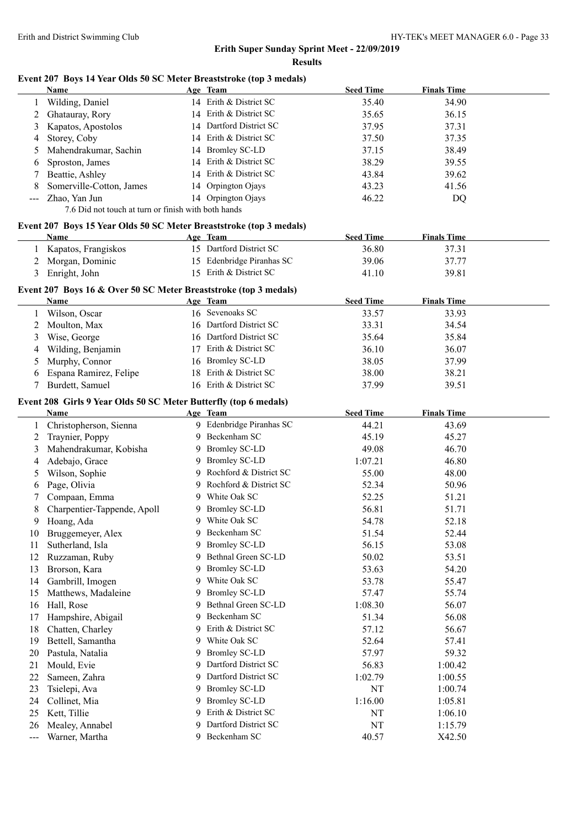#### **Event 207 Boys 14 Year Olds 50 SC Meter Breaststroke (top 3 medals)**

|                                                                                                | <b>Name</b>                                                         |    | Age Team                             | <b>Seed Time</b>          | <b>Finals Time</b>          |  |
|------------------------------------------------------------------------------------------------|---------------------------------------------------------------------|----|--------------------------------------|---------------------------|-----------------------------|--|
| 1                                                                                              | Wilding, Daniel                                                     |    | 14 Erith & District SC               | 35.40                     | 34.90                       |  |
| 2                                                                                              | Ghatauray, Rory                                                     |    | 14 Erith & District SC               | 35.65                     | 36.15                       |  |
| 3                                                                                              | Kapatos, Apostolos                                                  |    | 14 Dartford District SC              | 37.95                     | 37.31                       |  |
| 4                                                                                              | Storey, Coby                                                        |    | 14 Erith & District SC               | 37.50                     | 37.35                       |  |
| 5                                                                                              | Mahendrakumar, Sachin                                               |    | 14 Bromley SC-LD                     | 37.15                     | 38.49                       |  |
| 6                                                                                              | Sproston, James                                                     |    | 14 Erith & District SC               | 38.29                     | 39.55                       |  |
| 7                                                                                              | Beattie, Ashley                                                     |    | 14 Erith & District SC               | 43.84                     | 39.62                       |  |
| 8                                                                                              | Somerville-Cotton, James                                            |    | 14 Orpington Ojays                   | 43.23                     | 41.56                       |  |
| $--$                                                                                           | Zhao, Yan Jun                                                       |    | 14 Orpington Ojays                   | 46.22                     | DQ                          |  |
|                                                                                                | 7.6 Did not touch at turn or finish with both hands                 |    |                                      |                           |                             |  |
|                                                                                                | Event 207 Boys 15 Year Olds 50 SC Meter Breaststroke (top 3 medals) |    |                                      |                           |                             |  |
|                                                                                                | Name                                                                |    | Age Team                             | <b>Seed Time</b>          | <b>Finals Time</b>          |  |
| 1                                                                                              | Kapatos, Frangiskos                                                 |    | 15 Dartford District SC              | 36.80                     | 37.31                       |  |
| 2                                                                                              | Morgan, Dominic                                                     |    | 15 Edenbridge Piranhas SC            | 39.06                     | 37.77                       |  |
| 3                                                                                              | Enright, John                                                       |    | 15 Erith & District SC               | 41.10                     | 39.81                       |  |
|                                                                                                | Event 207 Boys 16 & Over 50 SC Meter Breaststroke (top 3 medals)    |    |                                      |                           |                             |  |
|                                                                                                | Name                                                                |    | Age Team                             | <b>Seed Time</b>          | <b>Finals Time</b>          |  |
| 1                                                                                              | Wilson, Oscar                                                       |    | 16 Sevenoaks SC                      | 33.57                     | 33.93                       |  |
| 2                                                                                              | Moulton, Max                                                        |    | 16 Dartford District SC              | 33.31                     | 34.54                       |  |
| 3                                                                                              | Wise, George                                                        |    | 16 Dartford District SC              | 35.64                     | 35.84                       |  |
| 4                                                                                              | Wilding, Benjamin                                                   |    | 17 Erith & District SC               | 36.10                     | 36.07                       |  |
| 5                                                                                              | Murphy, Connor                                                      |    | 16 Bromley SC-LD                     | 38.05                     | 37.99                       |  |
| 6                                                                                              | Espana Ramirez, Felipe                                              |    | 18 Erith & District SC               | 38.00                     | 38.21                       |  |
| 7                                                                                              | Burdett, Samuel                                                     |    | 16 Erith & District SC               | 37.99                     | 39.51                       |  |
|                                                                                                |                                                                     |    |                                      |                           |                             |  |
|                                                                                                | Event 208 Girls 9 Year Olds 50 SC Meter Butterfly (top 6 medals)    |    |                                      |                           |                             |  |
|                                                                                                | Name                                                                |    | Age Team<br>9 Edenbridge Piranhas SC | <b>Seed Time</b><br>44.21 | <b>Finals Time</b><br>43.69 |  |
| 1                                                                                              | Christopherson, Sienna<br>Traynier, Poppy                           |    | 9 Beckenham SC                       | 45.19                     | 45.27                       |  |
| 2<br>3                                                                                         | Mahendrakumar, Kobisha                                              |    | 9 Bromley SC-LD                      | 49.08                     | 46.70                       |  |
|                                                                                                |                                                                     |    | 9 Bromley SC-LD                      |                           |                             |  |
| 4<br>5                                                                                         | Adebajo, Grace<br>Wilson, Sophie                                    |    | 9 Rochford & District SC             | 1:07.21<br>55.00          | 46.80<br>48.00              |  |
|                                                                                                | Page, Olivia                                                        |    | Rochford & District SC               | 52.34                     | 50.96                       |  |
| 6<br>7                                                                                         | Compaan, Emma                                                       |    | 9 White Oak SC                       | 52.25                     | 51.21                       |  |
|                                                                                                | Charpentier-Tappende, Apoll                                         |    | 9 Bromley SC-LD                      | 56.81                     | 51.71                       |  |
| 8                                                                                              |                                                                     |    | 9 White Oak SC                       | 54.78                     | 52.18                       |  |
| 9                                                                                              | Hoang, Ada                                                          |    | 9 Beckenham SC                       | 51.54                     | 52.44                       |  |
| 10                                                                                             | Bruggemeyer, Alex<br>Sutherland, Isla                               | 9. | <b>Bromley SC-LD</b>                 | 56.15                     | 53.08                       |  |
| 11<br>12                                                                                       | Ruzzaman, Ruby                                                      | 9. | Bethnal Green SC-LD                  | 50.02                     | 53.51                       |  |
|                                                                                                | Brorson, Kara                                                       | 9. | <b>Bromley SC-LD</b>                 | 53.63                     | 54.20                       |  |
| 13<br>14                                                                                       | Gambrill, Imogen                                                    | 9. | White Oak SC                         | 53.78                     | 55.47                       |  |
|                                                                                                | Matthews, Madaleine                                                 | 9. | <b>Bromley SC-LD</b>                 | 57.47                     | 55.74                       |  |
| 15<br>16                                                                                       | Hall, Rose                                                          | 9. | Bethnal Green SC-LD                  | 1:08.30                   | 56.07                       |  |
|                                                                                                | Hampshire, Abigail                                                  | 9. | Beckenham SC                         | 51.34                     | 56.08                       |  |
| 17<br>18                                                                                       | Chatten, Charley                                                    | 9. | Erith & District SC                  | 57.12                     | 56.67                       |  |
| 19                                                                                             | Bettell, Samantha                                                   | 9. | White Oak SC                         | 52.64                     | 57.41                       |  |
| 20                                                                                             | Pastula, Natalia                                                    | 9  | <b>Bromley SC-LD</b>                 | 57.97                     | 59.32                       |  |
|                                                                                                |                                                                     | 9  | Dartford District SC                 |                           |                             |  |
| 21<br>22                                                                                       | Mould, Evie<br>Sameen, Zahra                                        | 9  | Dartford District SC                 | 56.83<br>1:02.79          | 1:00.42<br>1:00.55          |  |
| 23                                                                                             |                                                                     | 9  | <b>Bromley SC-LD</b>                 | NT                        |                             |  |
|                                                                                                | Tsielepi, Ava                                                       | 9  | <b>Bromley SC-LD</b>                 |                           | 1:00.74                     |  |
| 24<br>25                                                                                       | Collinet, Mia                                                       | 9  | Erith & District SC                  | 1:16.00                   | 1:05.81                     |  |
|                                                                                                | Kett, Tillie                                                        | 9  | Dartford District SC                 | NT                        | 1:06.10                     |  |
| 26                                                                                             | Mealey, Annabel                                                     |    | 9 Beckenham SC                       | NT                        | 1:15.79                     |  |
| $\frac{1}{2} \left( \frac{1}{2} \right) \left( \frac{1}{2} \right) \left( \frac{1}{2} \right)$ | Warner, Martha                                                      |    |                                      | 40.57                     | X42.50                      |  |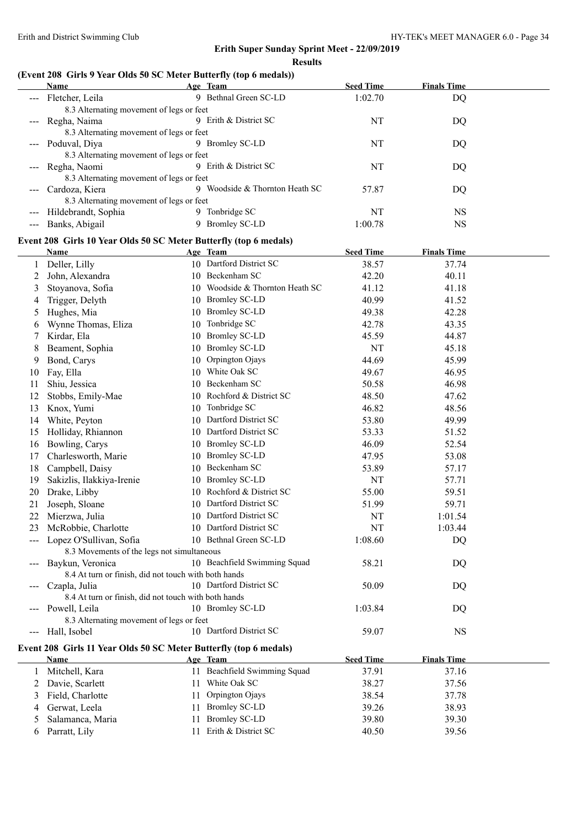#### **Results**

#### **(Event 208 Girls 9 Year Olds 50 SC Meter Butterfly (top 6 medals))**

|                     | Name                                     | Age Team                          | <b>Seed Time</b> | <b>Finals Time</b> |  |
|---------------------|------------------------------------------|-----------------------------------|------------------|--------------------|--|
|                     | --- Fletcher, Leila                      | Bethnal Green SC-LD<br>9          | 1:02.70          | DQ                 |  |
|                     | 8.3 Alternating movement of legs or feet |                                   |                  |                    |  |
| $\qquad \qquad - -$ | Regha, Naima                             | 9 Erith & District SC             | NT               | DQ                 |  |
|                     | 8.3 Alternating movement of legs or feet |                                   |                  |                    |  |
|                     | --- Poduval, Diya                        | Bromley SC-LD<br>9                | NT               | DQ                 |  |
|                     | 8.3 Alternating movement of legs or feet |                                   |                  |                    |  |
|                     | --- Regha, Naomi                         | Erith & District SC<br>9          | NT               | DQ                 |  |
|                     | 8.3 Alternating movement of legs or feet |                                   |                  |                    |  |
|                     | Cardoza, Kiera                           | Woodside & Thornton Heath SC<br>Q | 57.87            | DQ                 |  |
|                     | 8.3 Alternating movement of legs or feet |                                   |                  |                    |  |
|                     | Hildebrandt, Sophia                      | Tonbridge SC<br>9                 | NT               | <b>NS</b>          |  |
|                     | Banks, Abigail                           | Bromley SC-LD                     | 1:00.78          | <b>NS</b>          |  |
|                     |                                          |                                   |                  |                    |  |

#### **Event 208 Girls 10 Year Olds 50 SC Meter Butterfly (top 6 medals)**

| <b>Name</b>               |                                                                                   | <b>Seed Time</b>                                                                                                                                                                                                                                                                                                                                                                                                                                                                                                                                                                                                                                                                                                                                                                                                                                                                                                                                                                                                                                                                                                                         | <b>Finals Time</b>                                     |                                             |
|---------------------------|-----------------------------------------------------------------------------------|------------------------------------------------------------------------------------------------------------------------------------------------------------------------------------------------------------------------------------------------------------------------------------------------------------------------------------------------------------------------------------------------------------------------------------------------------------------------------------------------------------------------------------------------------------------------------------------------------------------------------------------------------------------------------------------------------------------------------------------------------------------------------------------------------------------------------------------------------------------------------------------------------------------------------------------------------------------------------------------------------------------------------------------------------------------------------------------------------------------------------------------|--------------------------------------------------------|---------------------------------------------|
|                           |                                                                                   | 38.57                                                                                                                                                                                                                                                                                                                                                                                                                                                                                                                                                                                                                                                                                                                                                                                                                                                                                                                                                                                                                                                                                                                                    | 37.74                                                  |                                             |
| John, Alexandra           |                                                                                   | 42.20                                                                                                                                                                                                                                                                                                                                                                                                                                                                                                                                                                                                                                                                                                                                                                                                                                                                                                                                                                                                                                                                                                                                    | 40.11                                                  |                                             |
| Stoyanova, Sofia          |                                                                                   | 41.12                                                                                                                                                                                                                                                                                                                                                                                                                                                                                                                                                                                                                                                                                                                                                                                                                                                                                                                                                                                                                                                                                                                                    | 41.18                                                  |                                             |
| Trigger, Delyth           |                                                                                   | 40.99                                                                                                                                                                                                                                                                                                                                                                                                                                                                                                                                                                                                                                                                                                                                                                                                                                                                                                                                                                                                                                                                                                                                    | 41.52                                                  |                                             |
| Hughes, Mia               |                                                                                   | 49.38                                                                                                                                                                                                                                                                                                                                                                                                                                                                                                                                                                                                                                                                                                                                                                                                                                                                                                                                                                                                                                                                                                                                    | 42.28                                                  |                                             |
| Wynne Thomas, Eliza       |                                                                                   | 42.78                                                                                                                                                                                                                                                                                                                                                                                                                                                                                                                                                                                                                                                                                                                                                                                                                                                                                                                                                                                                                                                                                                                                    | 43.35                                                  |                                             |
| Kirdar, Ela               |                                                                                   | 45.59                                                                                                                                                                                                                                                                                                                                                                                                                                                                                                                                                                                                                                                                                                                                                                                                                                                                                                                                                                                                                                                                                                                                    | 44.87                                                  |                                             |
| Beament, Sophia           |                                                                                   | <b>NT</b>                                                                                                                                                                                                                                                                                                                                                                                                                                                                                                                                                                                                                                                                                                                                                                                                                                                                                                                                                                                                                                                                                                                                | 45.18                                                  |                                             |
| Bond, Carys               |                                                                                   | 44.69                                                                                                                                                                                                                                                                                                                                                                                                                                                                                                                                                                                                                                                                                                                                                                                                                                                                                                                                                                                                                                                                                                                                    | 45.99                                                  |                                             |
| Fay, Ella                 |                                                                                   | 49.67                                                                                                                                                                                                                                                                                                                                                                                                                                                                                                                                                                                                                                                                                                                                                                                                                                                                                                                                                                                                                                                                                                                                    | 46.95                                                  |                                             |
| Shiu, Jessica             |                                                                                   | 50.58                                                                                                                                                                                                                                                                                                                                                                                                                                                                                                                                                                                                                                                                                                                                                                                                                                                                                                                                                                                                                                                                                                                                    | 46.98                                                  |                                             |
| Stobbs, Emily-Mae         |                                                                                   | 48.50                                                                                                                                                                                                                                                                                                                                                                                                                                                                                                                                                                                                                                                                                                                                                                                                                                                                                                                                                                                                                                                                                                                                    | 47.62                                                  |                                             |
| Knox, Yumi                |                                                                                   | 46.82                                                                                                                                                                                                                                                                                                                                                                                                                                                                                                                                                                                                                                                                                                                                                                                                                                                                                                                                                                                                                                                                                                                                    | 48.56                                                  |                                             |
| White, Peyton             |                                                                                   | 53.80                                                                                                                                                                                                                                                                                                                                                                                                                                                                                                                                                                                                                                                                                                                                                                                                                                                                                                                                                                                                                                                                                                                                    | 49.99                                                  |                                             |
| Holliday, Rhiannon        |                                                                                   | 53.33                                                                                                                                                                                                                                                                                                                                                                                                                                                                                                                                                                                                                                                                                                                                                                                                                                                                                                                                                                                                                                                                                                                                    | 51.52                                                  |                                             |
| Bowling, Carys            |                                                                                   | 46.09                                                                                                                                                                                                                                                                                                                                                                                                                                                                                                                                                                                                                                                                                                                                                                                                                                                                                                                                                                                                                                                                                                                                    | 52.54                                                  |                                             |
| Charlesworth, Marie       |                                                                                   | 47.95                                                                                                                                                                                                                                                                                                                                                                                                                                                                                                                                                                                                                                                                                                                                                                                                                                                                                                                                                                                                                                                                                                                                    | 53.08                                                  |                                             |
| Campbell, Daisy           |                                                                                   | 53.89                                                                                                                                                                                                                                                                                                                                                                                                                                                                                                                                                                                                                                                                                                                                                                                                                                                                                                                                                                                                                                                                                                                                    | 57.17                                                  |                                             |
| Sakizlis, Ilakkiya-Irenie |                                                                                   | NT                                                                                                                                                                                                                                                                                                                                                                                                                                                                                                                                                                                                                                                                                                                                                                                                                                                                                                                                                                                                                                                                                                                                       | 57.71                                                  |                                             |
| Drake, Libby              |                                                                                   | 55.00                                                                                                                                                                                                                                                                                                                                                                                                                                                                                                                                                                                                                                                                                                                                                                                                                                                                                                                                                                                                                                                                                                                                    | 59.51                                                  |                                             |
| Joseph, Sloane            |                                                                                   | 51.99                                                                                                                                                                                                                                                                                                                                                                                                                                                                                                                                                                                                                                                                                                                                                                                                                                                                                                                                                                                                                                                                                                                                    | 59.71                                                  |                                             |
| Mierzwa, Julia            |                                                                                   | NT                                                                                                                                                                                                                                                                                                                                                                                                                                                                                                                                                                                                                                                                                                                                                                                                                                                                                                                                                                                                                                                                                                                                       | 1:01.54                                                |                                             |
| McRobbie, Charlotte       |                                                                                   | <b>NT</b>                                                                                                                                                                                                                                                                                                                                                                                                                                                                                                                                                                                                                                                                                                                                                                                                                                                                                                                                                                                                                                                                                                                                | 1:03.44                                                |                                             |
| Lopez O'Sullivan, Sofia   |                                                                                   | 1:08.60                                                                                                                                                                                                                                                                                                                                                                                                                                                                                                                                                                                                                                                                                                                                                                                                                                                                                                                                                                                                                                                                                                                                  | DQ                                                     |                                             |
|                           |                                                                                   |                                                                                                                                                                                                                                                                                                                                                                                                                                                                                                                                                                                                                                                                                                                                                                                                                                                                                                                                                                                                                                                                                                                                          |                                                        |                                             |
| Baykun, Veronica          |                                                                                   |                                                                                                                                                                                                                                                                                                                                                                                                                                                                                                                                                                                                                                                                                                                                                                                                                                                                                                                                                                                                                                                                                                                                          | DQ                                                     |                                             |
|                           |                                                                                   |                                                                                                                                                                                                                                                                                                                                                                                                                                                                                                                                                                                                                                                                                                                                                                                                                                                                                                                                                                                                                                                                                                                                          |                                                        |                                             |
|                           |                                                                                   |                                                                                                                                                                                                                                                                                                                                                                                                                                                                                                                                                                                                                                                                                                                                                                                                                                                                                                                                                                                                                                                                                                                                          |                                                        |                                             |
|                           |                                                                                   |                                                                                                                                                                                                                                                                                                                                                                                                                                                                                                                                                                                                                                                                                                                                                                                                                                                                                                                                                                                                                                                                                                                                          |                                                        |                                             |
|                           |                                                                                   |                                                                                                                                                                                                                                                                                                                                                                                                                                                                                                                                                                                                                                                                                                                                                                                                                                                                                                                                                                                                                                                                                                                                          |                                                        |                                             |
|                           |                                                                                   |                                                                                                                                                                                                                                                                                                                                                                                                                                                                                                                                                                                                                                                                                                                                                                                                                                                                                                                                                                                                                                                                                                                                          |                                                        |                                             |
|                           |                                                                                   |                                                                                                                                                                                                                                                                                                                                                                                                                                                                                                                                                                                                                                                                                                                                                                                                                                                                                                                                                                                                                                                                                                                                          |                                                        |                                             |
|                           |                                                                                   |                                                                                                                                                                                                                                                                                                                                                                                                                                                                                                                                                                                                                                                                                                                                                                                                                                                                                                                                                                                                                                                                                                                                          |                                                        |                                             |
| Name                      |                                                                                   |                                                                                                                                                                                                                                                                                                                                                                                                                                                                                                                                                                                                                                                                                                                                                                                                                                                                                                                                                                                                                                                                                                                                          |                                                        |                                             |
|                           |                                                                                   | 37.91                                                                                                                                                                                                                                                                                                                                                                                                                                                                                                                                                                                                                                                                                                                                                                                                                                                                                                                                                                                                                                                                                                                                    | 37.16                                                  |                                             |
| Davie, Scarlett           |                                                                                   | 38.27                                                                                                                                                                                                                                                                                                                                                                                                                                                                                                                                                                                                                                                                                                                                                                                                                                                                                                                                                                                                                                                                                                                                    | 37.56                                                  |                                             |
| Field, Charlotte          |                                                                                   | 38.54                                                                                                                                                                                                                                                                                                                                                                                                                                                                                                                                                                                                                                                                                                                                                                                                                                                                                                                                                                                                                                                                                                                                    | 37.78                                                  |                                             |
| Gerwat, Leela             |                                                                                   | 39.26                                                                                                                                                                                                                                                                                                                                                                                                                                                                                                                                                                                                                                                                                                                                                                                                                                                                                                                                                                                                                                                                                                                                    | 38.93                                                  |                                             |
| Salamanca, Maria          |                                                                                   | 39.80                                                                                                                                                                                                                                                                                                                                                                                                                                                                                                                                                                                                                                                                                                                                                                                                                                                                                                                                                                                                                                                                                                                                    | 39.30                                                  |                                             |
| Parratt, Lily             |                                                                                   | 40.50                                                                                                                                                                                                                                                                                                                                                                                                                                                                                                                                                                                                                                                                                                                                                                                                                                                                                                                                                                                                                                                                                                                                    | 39.56                                                  |                                             |
|                           | Deller, Lilly<br>Czapla, Julia<br>Powell, Leila<br>Hall, Isobel<br>Mitchell, Kara | Age Team<br>10 Dartford District SC<br>10 Beckenham SC<br>10 Woodside & Thornton Heath SC<br>10 Bromley SC-LD<br>10 Bromley SC-LD<br>10 Tonbridge SC<br>10 Bromley SC-LD<br>10 Bromley SC-LD<br>10 Orpington Ojays<br>10 White Oak SC<br>10 Beckenham SC<br>10 Rochford & District SC<br>10 Tonbridge SC<br>10 Dartford District SC<br>10 Dartford District SC<br>10 Bromley SC-LD<br>10 Bromley SC-LD<br>10 Beckenham SC<br>10 Bromley SC-LD<br>10 Rochford & District SC<br>10 Dartford District SC<br>10 Dartford District SC<br>10 Dartford District SC<br>10 Bethnal Green SC-LD<br>8.3 Movements of the legs not simultaneous<br>10 Beachfield Swimming Squad<br>8.4 At turn or finish, did not touch with both hands<br>10 Dartford District SC<br>8.4 At turn or finish, did not touch with both hands<br>10 Bromley SC-LD<br>8.3 Alternating movement of legs or feet<br>10 Dartford District SC<br>Event 208 Girls 11 Year Olds 50 SC Meter Butterfly (top 6 medals)<br>Age Team<br>11 Beachfield Swimming Squad<br>11 White Oak SC<br>Orpington Ojays<br>11<br>11 Bromley SC-LD<br>11 Bromley SC-LD<br>11 Erith & District SC | 58.21<br>50.09<br>1:03.84<br>59.07<br><b>Seed Time</b> | DQ<br>DQ<br><b>NS</b><br><b>Finals Time</b> |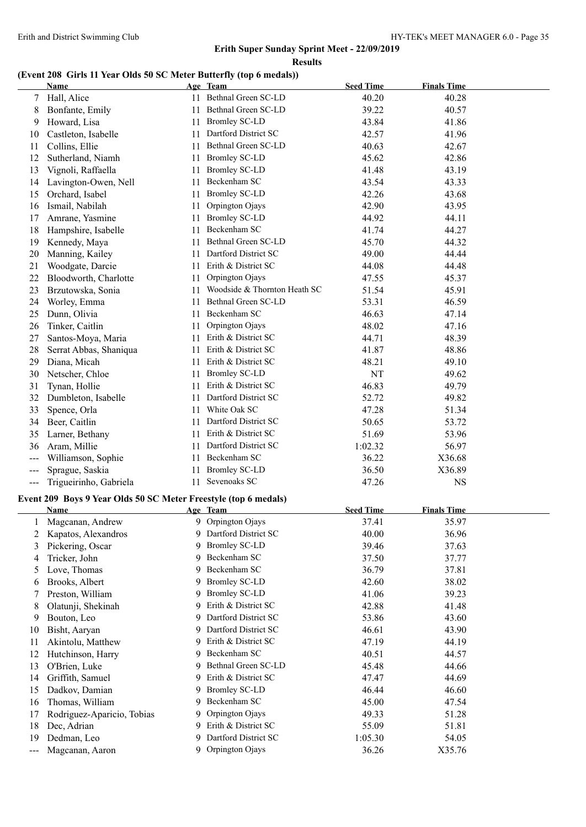#### **Results**

#### **(Event 208 Girls 11 Year Olds 50 SC Meter Butterfly (top 6 medals))**

|         | Name                                                                    |     | Age Team                        | <b>Seed Time</b> | <b>Finals Time</b> |  |
|---------|-------------------------------------------------------------------------|-----|---------------------------------|------------------|--------------------|--|
| 7       | Hall, Alice                                                             |     | 11 Bethnal Green SC-LD          | 40.20            | 40.28              |  |
| 8       | Bonfante, Emily                                                         | 11  | Bethnal Green SC-LD             | 39.22            | 40.57              |  |
| 9       | Howard, Lisa                                                            | 11  | <b>Bromley SC-LD</b>            | 43.84            | 41.86              |  |
| 10      | Castleton, Isabelle                                                     | 11  | Dartford District SC            | 42.57            | 41.96              |  |
| 11      | Collins, Ellie                                                          | 11  | Bethnal Green SC-LD             | 40.63            | 42.67              |  |
| 12      | Sutherland, Niamh                                                       | 11  | <b>Bromley SC-LD</b>            | 45.62            | 42.86              |  |
| 13      | Vignoli, Raffaella                                                      | 11. | <b>Bromley SC-LD</b>            | 41.48            | 43.19              |  |
| 14      | Lavington-Owen, Nell                                                    | 11. | Beckenham SC                    | 43.54            | 43.33              |  |
| 15      | Orchard, Isabel                                                         |     | 11 Bromley SC-LD                | 42.26            | 43.68              |  |
| 16      | Ismail, Nabilah                                                         | 11  | Orpington Ojays                 | 42.90            | 43.95              |  |
| 17      | Amrane, Yasmine                                                         |     | 11 Bromley SC-LD                | 44.92            | 44.11              |  |
| 18      | Hampshire, Isabelle                                                     |     | 11 Beckenham SC                 | 41.74            | 44.27              |  |
| 19      | Kennedy, Maya                                                           | 11  | Bethnal Green SC-LD             | 45.70            | 44.32              |  |
| 20      | Manning, Kailey                                                         | 11. | Dartford District SC            | 49.00            | 44.44              |  |
| 21      | Woodgate, Darcie                                                        | 11  | Erith & District SC             | 44.08            | 44.48              |  |
| 22      | Bloodworth, Charlotte                                                   | 11  | Orpington Ojays                 | 47.55            | 45.37              |  |
| 23      | Brzutowska, Sonia                                                       |     | 11 Woodside & Thornton Heath SC | 51.54            | 45.91              |  |
| 24      | Worley, Emma                                                            | 11  | Bethnal Green SC-LD             | 53.31            | 46.59              |  |
| 25      | Dunn, Olivia                                                            |     | 11 Beckenham SC                 | 46.63            | 47.14              |  |
| 26      | Tinker, Caitlin                                                         | 11  | Orpington Ojays                 | 48.02            | 47.16              |  |
| 27      | Santos-Moya, Maria                                                      |     | 11 Erith & District SC          | 44.71            | 48.39              |  |
| 28      | Serrat Abbas, Shaniqua                                                  |     | 11 Erith & District SC          | 41.87            | 48.86              |  |
| 29      | Diana, Micah                                                            |     | 11 Erith & District SC          | 48.21            | 49.10              |  |
| 30      | Netscher, Chloe                                                         |     | 11 Bromley SC-LD                | NT               | 49.62              |  |
| 31      | Tynan, Hollie                                                           |     | 11 Erith & District SC          | 46.83            | 49.79              |  |
| 32      | Dumbleton, Isabelle                                                     |     | 11 Dartford District SC         | 52.72            | 49.82              |  |
| 33      | Spence, Orla                                                            |     | 11 White Oak SC                 | 47.28            | 51.34              |  |
| 34      | Beer, Caitlin                                                           |     | 11 Dartford District SC         | 50.65            | 53.72              |  |
| 35      | Larner, Bethany                                                         |     | 11 Erith & District SC          | 51.69            | 53.96              |  |
| 36      | Aram, Millie                                                            | 11  | Dartford District SC            | 1:02.32          | 56.97              |  |
| ---     | Williamson, Sophie                                                      |     | 11 Beckenham SC                 | 36.22            | X36.68             |  |
| $- - -$ | Sprague, Saskia                                                         | 11  | <b>Bromley SC-LD</b>            | 36.50            | X36.89             |  |
| $---$   | Trigueirinho, Gabriela                                                  |     | 11 Sevenoaks SC                 | 47.26            | <b>NS</b>          |  |
|         |                                                                         |     |                                 |                  |                    |  |
|         | Event 209 Boys 9 Year Olds 50 SC Meter Freestyle (top 6 medals)<br>Name |     | Age Team                        | <b>Seed Time</b> | <b>Finals Time</b> |  |
|         |                                                                         |     | 9 Orpington Ojays               |                  |                    |  |
| 2       | 1 Magcanan, Andrew<br>Kapatos, Alexandros                               |     | 9 Dartford District SC          | 37.41<br>40.00   | 35.97<br>36.96     |  |
|         | Pickering, Oscar                                                        |     | 9 Bromley SC-LD                 | 39.46            |                    |  |
| 3       | Tricker, John                                                           | 9.  | Beckenham SC                    | 37.50            | 37.63<br>37.77     |  |
| 4       |                                                                         | 9   | Beckenham SC                    |                  |                    |  |
| 5       | Love, Thomas                                                            | 9.  | <b>Bromley SC-LD</b>            | 36.79            | 37.81              |  |
| 6       | Brooks, Albert                                                          |     | <b>Bromley SC-LD</b>            | 42.60            | 38.02              |  |
| 7       | Preston, William                                                        | 9.  | Erith & District SC             | 41.06            | 39.23              |  |
| 8       | Olatunji, Shekinah                                                      | 9   | Dartford District SC            | 42.88            | 41.48              |  |
| 9       | Bouton, Leo                                                             | 9.  | Dartford District SC            | 53.86            | 43.60              |  |
| 10      | Bisht, Aaryan                                                           | 9.  | Erith & District SC             | 46.61            | 43.90              |  |
| 11      | Akintolu, Matthew                                                       | 9.  |                                 | 47.19            | 44.19              |  |
| 12      | Hutchinson, Harry                                                       | 9.  | Beckenham SC                    | 40.51            | 44.57              |  |
| 13      | O'Brien, Luke                                                           | 9.  | Bethnal Green SC-LD             | 45.48            | 44.66              |  |
| 14      | Griffith, Samuel                                                        | 9.  | Erith & District SC             | 47.47            | 44.69              |  |
| 15      | Dadkov, Damian                                                          | 9.  | <b>Bromley SC-LD</b>            | 46.44            | 46.60              |  |
| 16      | Thomas, William                                                         | 9   | Beckenham SC                    | 45.00            | 47.54              |  |
| 17      | Rodriguez-Aparicio, Tobias                                              | 9.  | Orpington Ojays                 | 49.33            | 51.28              |  |
| 18      | Dec, Adrian                                                             | 9.  | Erith & District SC             | 55.09            | 51.81              |  |
| 19      | Dedman, Leo                                                             | 9   | Dartford District SC            | 1:05.30          | 54.05              |  |
| $---$   | Magcanan, Aaron                                                         | 9   | Orpington Ojays                 | 36.26            | X35.76             |  |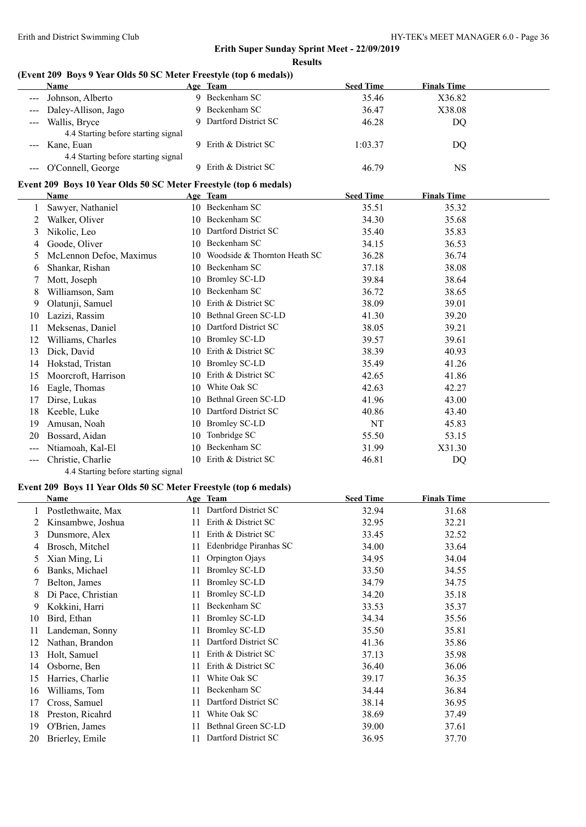#### **(Event 209 Boys 9 Year Olds 50 SC Meter Freestyle (top 6 medals))**

|                                                                                                                                                                                                                                                                                                                                                                                              | <b>Name</b>                         |   | Age Team              | <b>Seed Time</b> | <b>Finals Time</b> |
|----------------------------------------------------------------------------------------------------------------------------------------------------------------------------------------------------------------------------------------------------------------------------------------------------------------------------------------------------------------------------------------------|-------------------------------------|---|-----------------------|------------------|--------------------|
| $\frac{1}{2} \frac{1}{2} \frac{1}{2} \frac{1}{2} \frac{1}{2} \frac{1}{2} \frac{1}{2} \frac{1}{2} \frac{1}{2} \frac{1}{2} \frac{1}{2} \frac{1}{2} \frac{1}{2} \frac{1}{2} \frac{1}{2} \frac{1}{2} \frac{1}{2} \frac{1}{2} \frac{1}{2} \frac{1}{2} \frac{1}{2} \frac{1}{2} \frac{1}{2} \frac{1}{2} \frac{1}{2} \frac{1}{2} \frac{1}{2} \frac{1}{2} \frac{1}{2} \frac{1}{2} \frac{1}{2} \frac{$ | Johnson, Alberto                    | Q | Beckenham SC          | 35.46            | X36.82             |
|                                                                                                                                                                                                                                                                                                                                                                                              | --- Daley-Allison, Jago             | Q | Beckenham SC          | 36.47            | X38.08             |
| $---$                                                                                                                                                                                                                                                                                                                                                                                        | Wallis, Bryce                       |   | Dartford District SC  | 46.28            | DO                 |
|                                                                                                                                                                                                                                                                                                                                                                                              | 4.4 Starting before starting signal |   |                       |                  |                    |
|                                                                                                                                                                                                                                                                                                                                                                                              | --- Kane, Euan                      |   | Erith & District SC   | 1:03.37          | DO                 |
|                                                                                                                                                                                                                                                                                                                                                                                              | 4.4 Starting before starting signal |   |                       |                  |                    |
|                                                                                                                                                                                                                                                                                                                                                                                              | --- O'Connell, George               |   | 9 Erith & District SC | 46.79            | NS                 |

#### **Event 209 Boys 10 Year Olds 50 SC Meter Freestyle (top 6 medals)**

|       | Name                                |    | Age Team                     | <b>Seed Time</b> | <b>Finals Time</b> |
|-------|-------------------------------------|----|------------------------------|------------------|--------------------|
|       | Sawyer, Nathaniel                   | 10 | Beckenham SC                 | 35.51            | 35.32              |
|       | Walker, Oliver                      | 10 | Beckenham SC                 | 34.30            | 35.68              |
| 3     | Nikolic, Leo                        | 10 | Dartford District SC         | 35.40            | 35.83              |
| 4     | Goode, Oliver                       | 10 | Beckenham SC                 | 34.15            | 36.53              |
| 5     | McLennon Defoe, Maximus             | 10 | Woodside & Thornton Heath SC | 36.28            | 36.74              |
| 6     | Shankar, Rishan                     | 10 | Beckenham SC                 | 37.18            | 38.08              |
|       | Mott, Joseph                        | 10 | Bromley SC-LD                | 39.84            | 38.64              |
| 8     | Williamson, Sam                     | 10 | Beckenham SC                 | 36.72            | 38.65              |
| 9     | Olatunji, Samuel                    | 10 | Erith & District SC          | 38.09            | 39.01              |
| 10    | Lazizi, Rassim                      | 10 | Bethnal Green SC-LD          | 41.30            | 39.20              |
| 11    | Meksenas, Daniel                    | 10 | Dartford District SC         | 38.05            | 39.21              |
| 12    | Williams, Charles                   | 10 | <b>Bromley SC-LD</b>         | 39.57            | 39.61              |
| 13    | Dick, David                         | 10 | Erith & District SC          | 38.39            | 40.93              |
| 14    | Hokstad, Tristan                    | 10 | <b>Bromley SC-LD</b>         | 35.49            | 41.26              |
| 15    | Moorcroft, Harrison                 | 10 | Erith & District SC          | 42.65            | 41.86              |
| 16    | Eagle, Thomas                       | 10 | White Oak SC                 | 42.63            | 42.27              |
| 17    | Dirse, Lukas                        | 10 | Bethnal Green SC-LD          | 41.96            | 43.00              |
| 18    | Keeble, Luke                        | 10 | Dartford District SC         | 40.86            | 43.40              |
| 19    | Amusan, Noah                        | 10 | <b>Bromley SC-LD</b>         | NT               | 45.83              |
| 20    | Bossard, Aidan                      | 10 | Tonbridge SC                 | 55.50            | 53.15              |
| ---   | Ntiamoah, Kal-El                    | 10 | Beckenham SC                 | 31.99            | X31.30             |
| $---$ | Christie, Charlie                   | 10 | Erith & District SC          | 46.81            | DQ                 |
|       | 4.4 Starting before starting signal |    |                              |                  |                    |

#### **Event 209 Boys 11 Year Olds 50 SC Meter Freestyle (top 6 medals)**

|    | Name               |    | Age Team               | <b>Seed Time</b> | <b>Finals Time</b> |  |
|----|--------------------|----|------------------------|------------------|--------------------|--|
|    | Postlethwaite, Max | 11 | Dartford District SC   | 32.94            | 31.68              |  |
|    | Kinsambwe, Joshua  | 11 | Erith & District SC    | 32.95            | 32.21              |  |
| 3  | Dunsmore, Alex     | 11 | Erith & District SC    | 33.45            | 32.52              |  |
| 4  | Brosch, Mitchel    | 11 | Edenbridge Piranhas SC | 34.00            | 33.64              |  |
| 5  | Xian Ming, Li      | 11 | Orpington Ojays        | 34.95            | 34.04              |  |
| 6  | Banks, Michael     | 11 | <b>Bromley SC-LD</b>   | 33.50            | 34.55              |  |
|    | Belton, James      | 11 | <b>Bromley SC-LD</b>   | 34.79            | 34.75              |  |
| 8  | Di Pace, Christian | 11 | <b>Bromley SC-LD</b>   | 34.20            | 35.18              |  |
| 9  | Kokkini, Harri     | 11 | Beckenham SC           | 33.53            | 35.37              |  |
| 10 | Bird, Ethan        | 11 | <b>Bromley SC-LD</b>   | 34.34            | 35.56              |  |
| 11 | Landeman, Sonny    | 11 | <b>Bromley SC-LD</b>   | 35.50            | 35.81              |  |
| 12 | Nathan, Brandon    | 11 | Dartford District SC   | 41.36            | 35.86              |  |
| 13 | Holt, Samuel       | 11 | Erith & District SC    | 37.13            | 35.98              |  |
| 14 | Osborne, Ben       | 11 | Erith & District SC    | 36.40            | 36.06              |  |
| 15 | Harries, Charlie   | 11 | White Oak SC           | 39.17            | 36.35              |  |
| 16 | Williams, Tom      | 11 | Beckenham SC           | 34.44            | 36.84              |  |
| 17 | Cross, Samuel      | 11 | Dartford District SC   | 38.14            | 36.95              |  |
| 18 | Preston, Ricahrd   | 11 | White Oak SC           | 38.69            | 37.49              |  |
| 19 | O'Brien, James     | 11 | Bethnal Green SC-LD    | 39.00            | 37.61              |  |
| 20 | Brierley, Emile    |    | Dartford District SC   | 36.95            | 37.70              |  |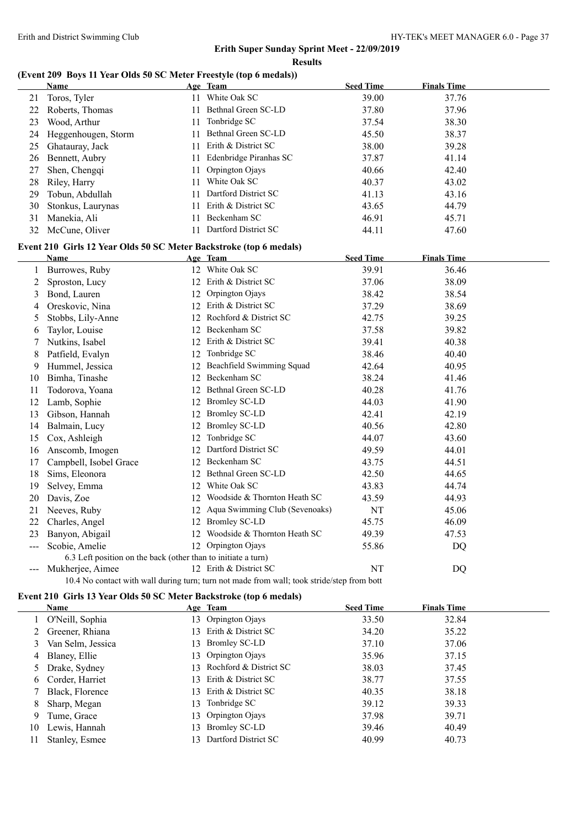#### **Results**

#### **(Event 209 Boys 11 Year Olds 50 SC Meter Freestyle (top 6 medals))**

|    | Name                |     | Age Team               | <b>Seed Time</b> | <b>Finals Time</b> |  |
|----|---------------------|-----|------------------------|------------------|--------------------|--|
|    | 21 Toros, Tyler     | 11  | White Oak SC           | 39.00            | 37.76              |  |
| 22 | Roberts, Thomas     | 11  | Bethnal Green SC-LD    | 37.80            | 37.96              |  |
| 23 | Wood, Arthur        | 11  | Tonbridge SC           | 37.54            | 38.30              |  |
| 24 | Heggenhougen, Storm | 11  | Bethnal Green SC-LD    | 45.50            | 38.37              |  |
| 25 | Ghatauray, Jack     | 11  | Erith & District SC    | 38.00            | 39.28              |  |
| 26 | Bennett, Aubry      | 11. | Edenbridge Piranhas SC | 37.87            | 41.14              |  |
| 27 | Shen, Chengqi       | 11  | Orpington Ojays        | 40.66            | 42.40              |  |
| 28 | Riley, Harry        | 11  | White Oak SC           | 40.37            | 43.02              |  |
| 29 | Tobun, Abdullah     | 11  | Dartford District SC   | 41.13            | 43.16              |  |
| 30 | Stonkus, Laurynas   | 11. | Erith & District SC    | 43.65            | 44.79              |  |
| 31 | Manekia, Ali        | 11  | Beckenham SC           | 46.91            | 45.71              |  |
| 32 | McCune, Oliver      |     | Dartford District SC   | 44.11            | 47.60              |  |
|    |                     |     |                        |                  |                    |  |

#### **Event 210 Girls 12 Year Olds 50 SC Meter Backstroke (top 6 medals)**

|     | <b>Name</b>                                                   |    | Age Team                                                                                   | <b>Seed Time</b> | <b>Finals Time</b> |  |
|-----|---------------------------------------------------------------|----|--------------------------------------------------------------------------------------------|------------------|--------------------|--|
|     | Burrowes, Ruby                                                | 12 | White Oak SC                                                                               | 39.91            | 36.46              |  |
| 2   | Sproston, Lucy                                                | 12 | Erith & District SC                                                                        | 37.06            | 38.09              |  |
| 3   | Bond, Lauren                                                  | 12 | Orpington Ojays                                                                            | 38.42            | 38.54              |  |
| 4   | Oreskovic, Nina                                               | 12 | Erith & District SC                                                                        | 37.29            | 38.69              |  |
| 5   | Stobbs, Lily-Anne                                             | 12 | Rochford & District SC                                                                     | 42.75            | 39.25              |  |
| 6   | Taylor, Louise                                                | 12 | Beckenham SC                                                                               | 37.58            | 39.82              |  |
|     | Nutkins, Isabel                                               | 12 | Erith & District SC                                                                        | 39.41            | 40.38              |  |
| 8   | Patfield, Evalyn                                              | 12 | Tonbridge SC                                                                               | 38.46            | 40.40              |  |
| 9   | Hummel, Jessica                                               | 12 | Beachfield Swimming Squad                                                                  | 42.64            | 40.95              |  |
| 10  | Bimha, Tinashe                                                | 12 | Beckenham SC                                                                               | 38.24            | 41.46              |  |
| 11  | Todorova, Yoana                                               | 12 | Bethnal Green SC-LD                                                                        | 40.28            | 41.76              |  |
| 12  | Lamb, Sophie                                                  | 12 | <b>Bromley SC-LD</b>                                                                       | 44.03            | 41.90              |  |
| 13  | Gibson, Hannah                                                | 12 | <b>Bromley SC-LD</b>                                                                       | 42.41            | 42.19              |  |
| 14  | Balmain, Lucy                                                 | 12 | <b>Bromley SC-LD</b>                                                                       | 40.56            | 42.80              |  |
| 15  | Cox, Ashleigh                                                 | 12 | Tonbridge SC                                                                               | 44.07            | 43.60              |  |
| 16  | Anscomb, Imogen                                               | 12 | Dartford District SC                                                                       | 49.59            | 44.01              |  |
| 17  | Campbell, Isobel Grace                                        | 12 | Beckenham SC                                                                               | 43.75            | 44.51              |  |
| 18  | Sims, Eleonora                                                | 12 | Bethnal Green SC-LD                                                                        | 42.50            | 44.65              |  |
| 19  | Selvey, Emma                                                  | 12 | White Oak SC                                                                               | 43.83            | 44.74              |  |
| 20  | Davis, Zoe                                                    | 12 | Woodside & Thornton Heath SC                                                               | 43.59            | 44.93              |  |
| 21  | Neeves, Ruby                                                  | 12 | Aqua Swimming Club (Sevenoaks)                                                             | NT               | 45.06              |  |
| 22  | Charles, Angel                                                | 12 | <b>Bromley SC-LD</b>                                                                       | 45.75            | 46.09              |  |
| 23  | Banyon, Abigail                                               | 12 | Woodside & Thornton Heath SC                                                               | 49.39            | 47.53              |  |
|     | Scobie, Amelie                                                | 12 | Orpington Ojays                                                                            | 55.86            | DQ                 |  |
|     | 6.3 Left position on the back (other than to initiate a turn) |    |                                                                                            |                  |                    |  |
| --- | Mukherjee, Aimee                                              |    | 12 Erith & District SC                                                                     | NT               | DQ                 |  |
|     |                                                               |    | 10.4 No contact with wall during turn; turn not made from wall; took stride/step from bott |                  |                    |  |

### **Event 210 Girls 13 Year Olds 50 SC Meter Backstroke (top 6 medals)**

|    | Name              |      | Age Team                  | <b>Seed Time</b> | <b>Finals Time</b> |  |
|----|-------------------|------|---------------------------|------------------|--------------------|--|
|    | 1 O'Neill, Sophia |      | 13 Orpington Ojays        | 33.50            | 32.84              |  |
|    | 2 Greener, Rhiana |      | 13 Erith & District SC    | 34.20            | 35.22              |  |
| 3  | Van Selm, Jessica |      | 13 Bromley SC-LD          | 37.10            | 37.06              |  |
|    | 4 Blaney, Ellie   |      | 13 Orpington Ojays        | 35.96            | 37.15              |  |
|    | 5 Drake, Sydney   |      | 13 Rochford & District SC | 38.03            | 37.45              |  |
|    | 6 Corder, Harriet |      | 13 Erith & District SC    | 38.77            | 37.55              |  |
|    | Black, Florence   |      | 13 Erith & District SC    | 40.35            | 38.18              |  |
| 8  | Sharp, Megan      | 13.  | Tonbridge SC              | 39.12            | 39.33              |  |
| 9. | Tume, Grace       |      | 13 Orpington Ojays        | 37.98            | 39.71              |  |
| 10 | Lewis, Hannah     |      | 13 Bromley SC-LD          | 39.46            | 40.49              |  |
| 11 | Stanley, Esmee    | l 3. | Dartford District SC      | 40.99            | 40.73              |  |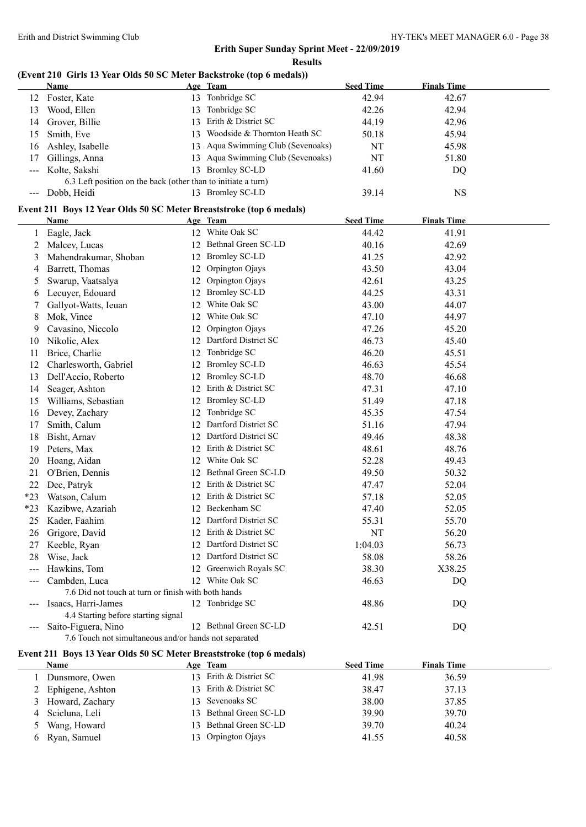#### Erith and District Swimming Club HY-TEK's MEET MANAGER 6.0 - Page 38

## **Erith Super Sunday Sprint Meet - 22/09/2019**

#### **Results**

#### **(Event 210 Girls 13 Year Olds 50 SC Meter Backstroke (top 6 medals))**

|    | Name                                                          |     | Age Team                          | <b>Seed Time</b> | <b>Finals Time</b> |
|----|---------------------------------------------------------------|-----|-----------------------------------|------------------|--------------------|
| 12 | Foster, Kate                                                  | 13. | Tonbridge SC                      | 42.94            | 42.67              |
| 13 | Wood, Ellen                                                   | 13. | Tonbridge SC                      | 42.26            | 42.94              |
| 14 | Grover, Billie                                                |     | 13 Erith & District SC            | 44.19            | 42.96              |
| 15 | Smith, Eve                                                    | 13. | Woodside & Thornton Heath SC      | 50.18            | 45.94              |
| 16 | Ashley, Isabelle                                              |     | 13 Aqua Swimming Club (Sevenoaks) | NT               | 45.98              |
| 17 | Gillings, Anna                                                |     | 13 Aqua Swimming Club (Sevenoaks) | NT               | 51.80              |
|    | --- Kolte, Sakshi                                             |     | 13 Bromley SC-LD                  | 41.60            | DQ                 |
|    | 6.3 Left position on the back (other than to initiate a turn) |     |                                   |                  |                    |
|    | Dobb, Heidi                                                   | 13. | Bromley SC-LD                     | 39.14            | NS                 |

#### **Event 211 Boys 12 Year Olds 50 SC Meter Breaststroke (top 6 medals)**

|                      | <b>Name</b>                                                                                                                                                                                                                                                                                                                                                              |    | Age Team                | <b>Seed Time</b> | <b>Finals Time</b>                  |  |
|----------------------|--------------------------------------------------------------------------------------------------------------------------------------------------------------------------------------------------------------------------------------------------------------------------------------------------------------------------------------------------------------------------|----|-------------------------|------------------|-------------------------------------|--|
| 1                    | Eagle, Jack                                                                                                                                                                                                                                                                                                                                                              |    | 12 White Oak SC         | 44.42            | 41.91                               |  |
| 2                    | Malcev, Lucas                                                                                                                                                                                                                                                                                                                                                            |    | 12 Bethnal Green SC-LD  | 40.16            | 42.69                               |  |
| 3                    | Mahendrakumar, Shoban                                                                                                                                                                                                                                                                                                                                                    |    | 12 Bromley SC-LD        | 41.25            | 42.92                               |  |
| 4                    | Barrett, Thomas                                                                                                                                                                                                                                                                                                                                                          |    | 12 Orpington Ojays      | 43.50            | 43.04                               |  |
| 5                    | Swarup, Vaatsalya                                                                                                                                                                                                                                                                                                                                                        |    | 12 Orpington Ojays      | 42.61            | 43.25                               |  |
| 6                    | Lecuyer, Edouard                                                                                                                                                                                                                                                                                                                                                         |    | 12 Bromley SC-LD        | 44.25            | 43.31                               |  |
| 7                    | Gallyot-Watts, Ieuan                                                                                                                                                                                                                                                                                                                                                     | 12 | White Oak SC            | 43.00            | 44.07                               |  |
| 8                    | Mok, Vince                                                                                                                                                                                                                                                                                                                                                               | 12 | White Oak SC            | 47.10            | 44.97                               |  |
| 9                    | Cavasino, Niccolo                                                                                                                                                                                                                                                                                                                                                        |    | 12 Orpington Ojays      | 47.26            | 45.20                               |  |
| 10                   | Nikolic, Alex                                                                                                                                                                                                                                                                                                                                                            |    | 12 Dartford District SC | 46.73            | 45.40                               |  |
| 11                   | Brice, Charlie                                                                                                                                                                                                                                                                                                                                                           |    | 12 Tonbridge SC         | 46.20            | 45.51                               |  |
| 12                   | Charlesworth, Gabriel                                                                                                                                                                                                                                                                                                                                                    |    | 12 Bromley SC-LD        | 46.63            | 45.54                               |  |
| 13                   | Dell'Accio, Roberto                                                                                                                                                                                                                                                                                                                                                      |    | 12 Bromley SC-LD        | 48.70            | 46.68                               |  |
| 14                   | Seager, Ashton                                                                                                                                                                                                                                                                                                                                                           |    | 12 Erith & District SC  | 47.31            | 47.10                               |  |
| 15                   | Williams, Sebastian                                                                                                                                                                                                                                                                                                                                                      |    | 12 Bromley SC-LD        | 51.49            | 47.18                               |  |
| 16                   | Devey, Zachary                                                                                                                                                                                                                                                                                                                                                           |    | 12 Tonbridge SC         | 45.35            | 47.54                               |  |
| 17                   | Smith, Calum                                                                                                                                                                                                                                                                                                                                                             |    | 12 Dartford District SC | 51.16            | 47.94                               |  |
| 18                   | Bisht, Arnav                                                                                                                                                                                                                                                                                                                                                             |    | 12 Dartford District SC | 49.46            | 48.38                               |  |
| 19                   | Peters, Max                                                                                                                                                                                                                                                                                                                                                              |    | 12 Erith & District SC  | 48.61            | 48.76                               |  |
| 20                   | Hoang, Aidan                                                                                                                                                                                                                                                                                                                                                             |    | 12 White Oak SC         | 52.28            | 49.43                               |  |
| 21                   | O'Brien, Dennis                                                                                                                                                                                                                                                                                                                                                          |    | 12 Bethnal Green SC-LD  | 49.50            | 50.32                               |  |
| 22                   | Dec, Patryk                                                                                                                                                                                                                                                                                                                                                              |    | 12 Erith & District SC  | 47.47            | 52.04                               |  |
| $*23$                | Watson, Calum                                                                                                                                                                                                                                                                                                                                                            |    | 12 Erith & District SC  | 57.18            | 52.05                               |  |
| $*23$                | Kazibwe, Azariah                                                                                                                                                                                                                                                                                                                                                         |    | 12 Beckenham SC         | 47.40            | 52.05                               |  |
| 25                   | Kader, Faahim                                                                                                                                                                                                                                                                                                                                                            |    | 12 Dartford District SC | 55.31            | 55.70                               |  |
| 26                   | Grigore, David                                                                                                                                                                                                                                                                                                                                                           |    | 12 Erith & District SC  | NT               | 56.20                               |  |
| 27                   | Keeble, Ryan                                                                                                                                                                                                                                                                                                                                                             |    | 12 Dartford District SC | 1:04.03          | 56.73                               |  |
| 28                   | Wise, Jack                                                                                                                                                                                                                                                                                                                                                               |    | 12 Dartford District SC | 58.08            | 58.26                               |  |
| ---                  | Hawkins, Tom                                                                                                                                                                                                                                                                                                                                                             |    | 12 Greenwich Royals SC  | 38.30            | X38.25                              |  |
| $\sim$ $\sim$ $\sim$ | Cambden, Luca                                                                                                                                                                                                                                                                                                                                                            |    | 12 White Oak SC         | 46.63            | DQ                                  |  |
|                      | 7.6 Did not touch at turn or finish with both hands                                                                                                                                                                                                                                                                                                                      |    |                         |                  |                                     |  |
|                      | Isaacs, Harri-James                                                                                                                                                                                                                                                                                                                                                      |    | 12 Tonbridge SC         | 48.86            | DQ                                  |  |
|                      | 4.4 Starting before starting signal                                                                                                                                                                                                                                                                                                                                      |    |                         |                  |                                     |  |
|                      | Saito-Figuera, Nino                                                                                                                                                                                                                                                                                                                                                      |    | 12 Bethnal Green SC-LD  | 42.51            | <b>DQ</b>                           |  |
|                      | 7.6 Touch not simultaneous and/or hands not separated                                                                                                                                                                                                                                                                                                                    |    |                         |                  |                                     |  |
|                      | Event 211 Boys 13 Year Olds 50 SC Meter Breaststroke (top 6 medals)                                                                                                                                                                                                                                                                                                      |    |                         |                  |                                     |  |
|                      | $\lambda$ as $\lambda$ as $\lambda$ as $\lambda$ as $\lambda$ as $\lambda$ as $\lambda$ as $\lambda$ as $\lambda$ as $\lambda$ as $\lambda$ as $\lambda$ as $\lambda$ as $\lambda$ as $\lambda$ as $\lambda$ as $\lambda$ as $\lambda$ as $\lambda$ as $\lambda$ as $\lambda$ as $\lambda$ as $\lambda$ as $\lambda$ as $\lambda$ as $\lambda$ as $\lambda$ as $\lambda$ |    |                         | $2$ and Times    | $E_{\text{total}}$ $E_{\text{max}}$ |  |

|                | Name               | Age Team               | <b>Seed Time</b> | <b>Finals Time</b> |
|----------------|--------------------|------------------------|------------------|--------------------|
|                | Dunsmore, Owen     | 13 Erith & District SC | 41.98            | 36.59              |
|                | 2 Ephigene, Ashton | 13 Erith & District SC | 38.47            | 37.13              |
|                | 3 Howard, Zachary  | 13 Sevenoaks SC        | 38.00            | 37.85              |
|                | 4 Scicluna, Leli   | 13 Bethnal Green SC-LD | 39.90            | 39.70              |
|                | 5 Wang, Howard     | 13 Bethnal Green SC-LD | 39.70            | 40.24              |
| 6 <sup>1</sup> | Ryan, Samuel       | 13 Orpington Ojays     | 41.55            | 40.58              |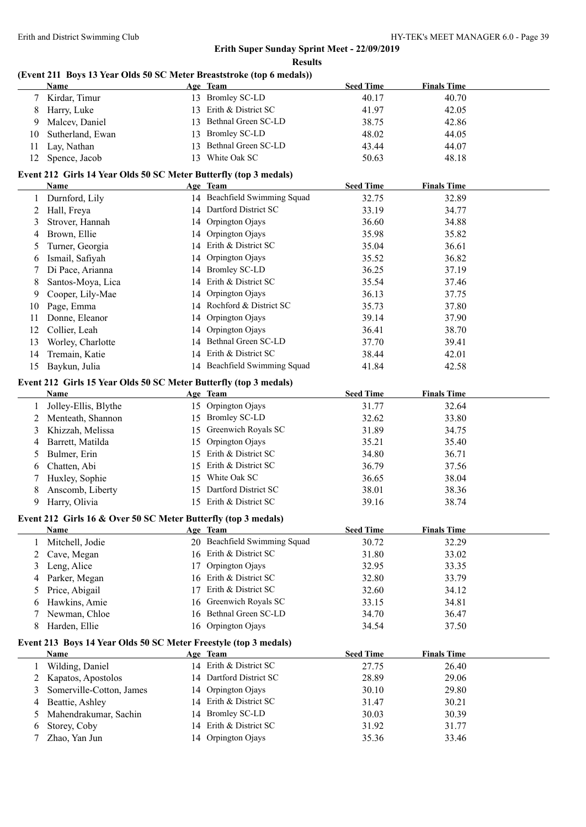**Results**

# **(Event 211 Boys 13 Year Olds 50 SC Meter Breaststroke (top 6 medals))**

|    | <b>Name</b>                                                       |    | Age Team                     | <b>Seed Time</b> | <b>Finals Time</b> |  |
|----|-------------------------------------------------------------------|----|------------------------------|------------------|--------------------|--|
| 7  | Kirdar, Timur                                                     |    | 13 Bromley SC-LD             | 40.17            | 40.70              |  |
| 8  | Harry, Luke                                                       | 13 | Erith & District SC          | 41.97            | 42.05              |  |
| 9  | Malcev, Daniel                                                    | 13 | Bethnal Green SC-LD          | 38.75            | 42.86              |  |
| 10 | Sutherland, Ewan                                                  | 13 | <b>Bromley SC-LD</b>         | 48.02            | 44.05              |  |
| 11 | Lay, Nathan                                                       | 13 | Bethnal Green SC-LD          | 43.44            | 44.07              |  |
| 12 | Spence, Jacob                                                     |    | 13 White Oak SC              | 50.63            | 48.18              |  |
|    |                                                                   |    |                              |                  |                    |  |
|    | Event 212 Girls 14 Year Olds 50 SC Meter Butterfly (top 3 medals) |    |                              |                  |                    |  |
|    | Name                                                              |    | Age Team                     | <b>Seed Time</b> | <b>Finals Time</b> |  |
| 1  | Durnford, Lily                                                    |    | 14 Beachfield Swimming Squad | 32.75            | 32.89              |  |
| 2  | Hall, Freya                                                       |    | 14 Dartford District SC      | 33.19            | 34.77              |  |
| 3  | Strover, Hannah                                                   |    | 14 Orpington Ojays           | 36.60            | 34.88              |  |
| 4  | Brown, Ellie                                                      | 14 | Orpington Ojays              | 35.98            | 35.82              |  |
| 5  | Turner, Georgia                                                   |    | 14 Erith & District SC       | 35.04            | 36.61              |  |
| 6  | Ismail, Safiyah                                                   | 14 | Orpington Ojays              | 35.52            | 36.82              |  |
| 7  | Di Pace, Arianna                                                  |    | 14 Bromley SC-LD             | 36.25            | 37.19              |  |
| 8  | Santos-Moya, Lica                                                 | 14 | Erith & District SC          | 35.54            | 37.46              |  |
| 9  | Cooper, Lily-Mae                                                  | 14 | Orpington Ojays              | 36.13            | 37.75              |  |
| 10 | Page, Emma                                                        |    | 14 Rochford & District SC    | 35.73            | 37.80              |  |
| 11 | Donne, Eleanor                                                    | 14 | Orpington Ojays              | 39.14            | 37.90              |  |
| 12 | Collier, Leah                                                     |    | 14 Orpington Ojays           | 36.41            | 38.70              |  |
| 13 | Worley, Charlotte                                                 |    | 14 Bethnal Green SC-LD       | 37.70            | 39.41              |  |
| 14 | Tremain, Katie                                                    |    | 14 Erith & District SC       | 38.44            | 42.01              |  |
| 15 | Baykun, Julia                                                     |    | 14 Beachfield Swimming Squad | 41.84            | 42.58              |  |
|    | Event 212 Girls 15 Year Olds 50 SC Meter Butterfly (top 3 medals) |    |                              |                  |                    |  |
|    | <b>Name</b>                                                       |    | Age Team                     | <b>Seed Time</b> | <b>Finals Time</b> |  |
| 1  | Jolley-Ellis, Blythe                                              |    | 15 Orpington Ojays           | 31.77            | 32.64              |  |
| 2  | Menteath, Shannon                                                 |    | 15 Bromley SC-LD             | 32.62            | 33.80              |  |
| 3  | Khizzah, Melissa                                                  | 15 | Greenwich Royals SC          | 31.89            | 34.75              |  |
| 4  | Barrett, Matilda                                                  | 15 | Orpington Ojays              | 35.21            | 35.40              |  |
| 5  | Bulmer, Erin                                                      | 15 | Erith & District SC          | 34.80            | 36.71              |  |
| 6  | Chatten, Abi                                                      | 15 | Erith & District SC          | 36.79            | 37.56              |  |
| 7  | Huxley, Sophie                                                    | 15 | White Oak SC                 | 36.65            | 38.04              |  |
| 8  | Anscomb, Liberty                                                  | 15 | Dartford District SC         | 38.01            | 38.36              |  |
| 9  |                                                                   |    | 15 Erith & District SC       | 39.16            |                    |  |
|    | Harry, Olivia                                                     |    |                              |                  | 38.74              |  |
|    | Event 212 Girls 16 & Over 50 SC Meter Butterfly (top 3 medals)    |    |                              |                  |                    |  |
|    | <b>Name</b>                                                       |    | Age Team                     | <b>Seed Time</b> | <b>Finals Time</b> |  |
| 1  | Mitchell, Jodie                                                   |    | 20 Beachfield Swimming Squad | 30.72            | 32.29              |  |
| 2  | Cave, Megan                                                       | 16 | Erith & District SC          | 31.80            | 33.02              |  |
| 3  | Leng, Alice                                                       | 17 | Orpington Ojays              | 32.95            | 33.35              |  |
| 4  | Parker, Megan                                                     | 16 | Erith & District SC          | 32.80            | 33.79              |  |
| 5  | Price, Abigail                                                    | 17 | Erith & District SC          | 32.60            | 34.12              |  |
| 6  | Hawkins, Amie                                                     | 16 | Greenwich Royals SC          | 33.15            | 34.81              |  |
|    | Newman, Chloe                                                     | 16 | Bethnal Green SC-LD          | 34.70            | 36.47              |  |
| 8  | Harden, Ellie                                                     | 16 | Orpington Ojays              | 34.54            | 37.50              |  |
|    | Event 213 Boys 14 Year Olds 50 SC Meter Freestyle (top 3 medals)  |    |                              |                  |                    |  |
|    | <b>Name</b>                                                       |    | Age Team                     | <b>Seed Time</b> | <b>Finals Time</b> |  |
| 1  | Wilding, Daniel                                                   |    | 14 Erith & District SC       | 27.75            | 26.40              |  |
| 2  | Kapatos, Apostolos                                                |    | 14 Dartford District SC      | 28.89            | 29.06              |  |
| 3  | Somerville-Cotton, James                                          | 14 | Orpington Ojays              | 30.10            | 29.80              |  |
| 4  | Beattie, Ashley                                                   | 14 | Erith & District SC          | 31.47            | 30.21              |  |
| 5  | Mahendrakumar, Sachin                                             | 14 | <b>Bromley SC-LD</b>         | 30.03            | 30.39              |  |
| 6  | Storey, Coby                                                      | 14 | Erith & District SC          | 31.92            | 31.77              |  |
| 7  | Zhao, Yan Jun                                                     | 14 | Orpington Ojays              | 35.36            | 33.46              |  |
|    |                                                                   |    |                              |                  |                    |  |